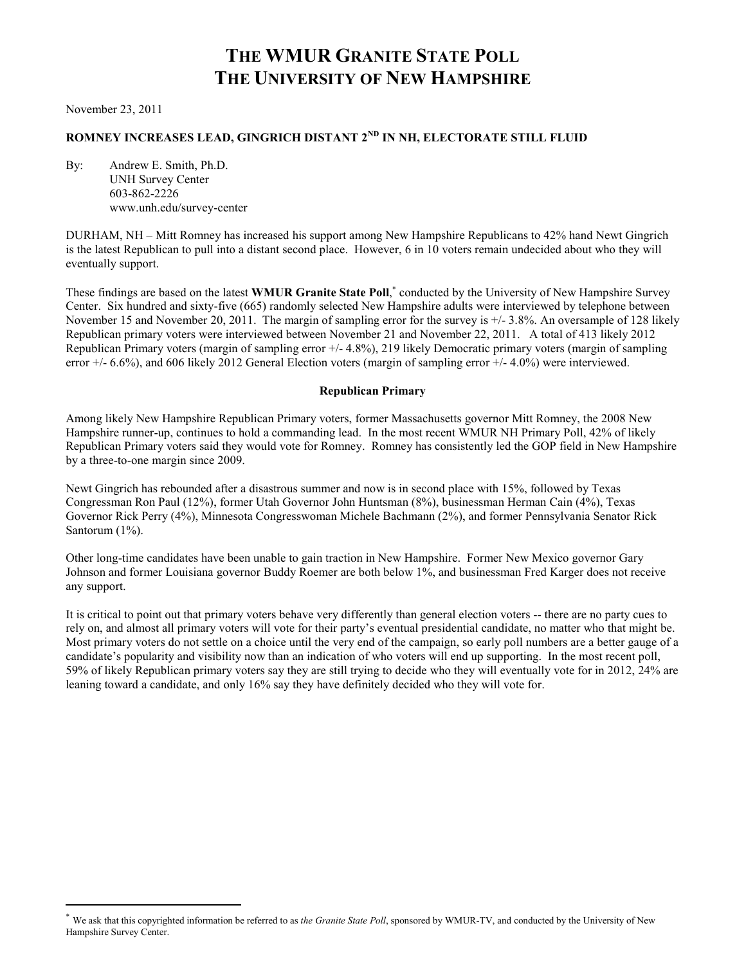# **THE WMUR GRANITE STATE POLL THE UNIVERSITY OF NEW HAMPSHIRE**

November 23, 2011

l

# **ROMNEY INCREASES LEAD, GINGRICH DISTANT 2ND IN NH, ELECTORATE STILL FLUID**

By: Andrew E. Smith, Ph.D. UNH Survey Center 603-862-2226 www.unh.edu/survey-center

DURHAM, NH – Mitt Romney has increased his support among New Hampshire Republicans to 42% hand Newt Gingrich is the latest Republican to pull into a distant second place. However, 6 in 10 voters remain undecided about who they will eventually support.

These findings are based on the latest WMUR Granite State Poll,<sup>\*</sup> conducted by the University of New Hampshire Survey Center. Six hundred and sixty-five (665) randomly selected New Hampshire adults were interviewed by telephone between November 15 and November 20, 2011. The margin of sampling error for the survey is  $+/- 3.8\%$ . An oversample of 128 likely Republican primary voters were interviewed between November 21 and November 22, 2011. A total of 413 likely 2012 Republican Primary voters (margin of sampling error +/- 4.8%), 219 likely Democratic primary voters (margin of sampling error  $+/- 6.6%$ ), and 606 likely 2012 General Election voters (margin of sampling error  $+/- 4.0%$ ) were interviewed.

#### **Republican Primary**

Among likely New Hampshire Republican Primary voters, former Massachusetts governor Mitt Romney, the 2008 New Hampshire runner-up, continues to hold a commanding lead. In the most recent WMUR NH Primary Poll, 42% of likely Republican Primary voters said they would vote for Romney. Romney has consistently led the GOP field in New Hampshire by a three-to-one margin since 2009.

Newt Gingrich has rebounded after a disastrous summer and now is in second place with 15%, followed by Texas Congressman Ron Paul (12%), former Utah Governor John Huntsman (8%), businessman Herman Cain (4%), Texas Governor Rick Perry (4%), Minnesota Congresswoman Michele Bachmann (2%), and former Pennsylvania Senator Rick Santorum (1%).

Other long-time candidates have been unable to gain traction in New Hampshire. Former New Mexico governor Gary Johnson and former Louisiana governor Buddy Roemer are both below 1%, and businessman Fred Karger does not receive any support.

It is critical to point out that primary voters behave very differently than general election voters -- there are no party cues to rely on, and almost all primary voters will vote for their party's eventual presidential candidate, no matter who that might be. Most primary voters do not settle on a choice until the very end of the campaign, so early poll numbers are a better gauge of a candidate's popularity and visibility now than an indication of who voters will end up supporting. In the most recent poll, 59% of likely Republican primary voters say they are still trying to decide who they will eventually vote for in 2012, 24% are leaning toward a candidate, and only 16% say they have definitely decided who they will vote for.

We ask that this copyrighted information be referred to as *the Granite State Poll*, sponsored by WMUR-TV, and conducted by the University of New Hampshire Survey Center.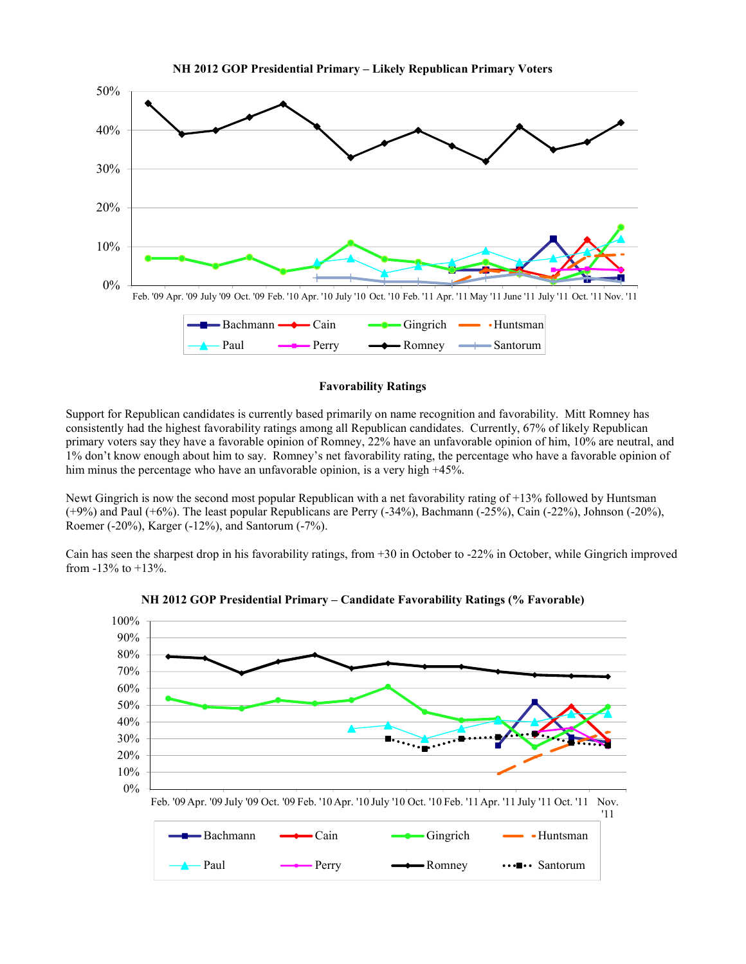



#### **Favorability Ratings**

Support for Republican candidates is currently based primarily on name recognition and favorability. Mitt Romney has consistently had the highest favorability ratings among all Republican candidates. Currently, 67% of likely Republican primary voters say they have a favorable opinion of Romney, 22% have an unfavorable opinion of him, 10% are neutral, and 1% don't know enough about him to say. Romney's net favorability rating, the percentage who have a favorable opinion of him minus the percentage who have an unfavorable opinion, is a very high +45%.

Newt Gingrich is now the second most popular Republican with a net favorability rating of +13% followed by Huntsman (+9%) and Paul (+6%). The least popular Republicans are Perry (-34%), Bachmann (-25%), Cain (-22%), Johnson (-20%), Roemer (-20%), Karger (-12%), and Santorum (-7%).

Cain has seen the sharpest drop in his favorability ratings, from +30 in October to -22% in October, while Gingrich improved from -13% to +13%.



**NH 2012 GOP Presidential Primary – Candidate Favorability Ratings (% Favorable)**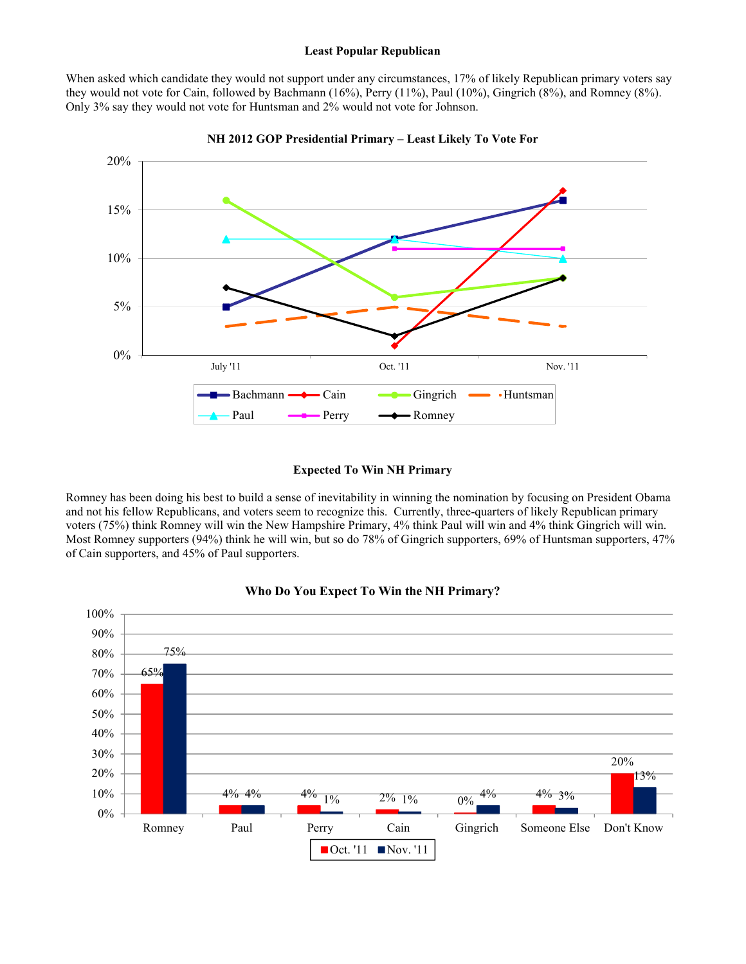#### **Least Popular Republican**

When asked which candidate they would not support under any circumstances, 17% of likely Republican primary voters say they would not vote for Cain, followed by Bachmann (16%), Perry (11%), Paul (10%), Gingrich (8%), and Romney (8%). Only 3% say they would not vote for Huntsman and 2% would not vote for Johnson.



#### **NH 2012 GOP Presidential Primary – Least Likely To Vote For**

#### **Expected To Win NH Primary**

Romney has been doing his best to build a sense of inevitability in winning the nomination by focusing on President Obama and not his fellow Republicans, and voters seem to recognize this. Currently, three-quarters of likely Republican primary voters (75%) think Romney will win the New Hampshire Primary, 4% think Paul will win and 4% think Gingrich will win. Most Romney supporters (94%) think he will win, but so do 78% of Gingrich supporters, 69% of Huntsman supporters, 47% of Cain supporters, and 45% of Paul supporters.



#### **Who Do You Expect To Win the NH Primary?**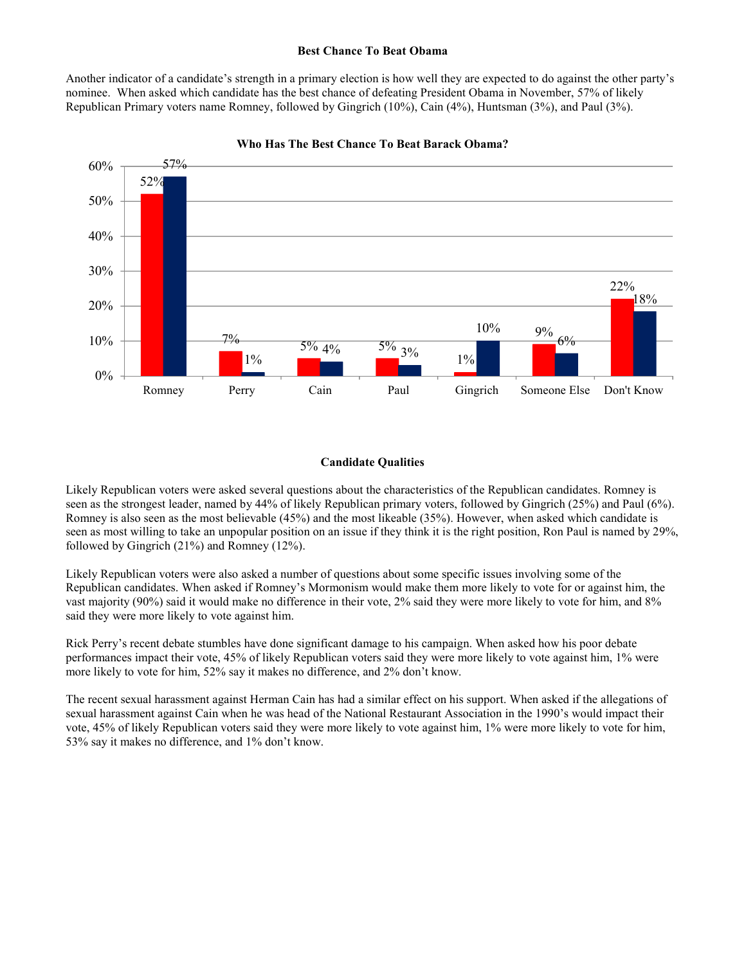#### **Best Chance To Beat Obama**

Another indicator of a candidate's strength in a primary election is how well they are expected to do against the other party's nominee. When asked which candidate has the best chance of defeating President Obama in November, 57% of likely Republican Primary voters name Romney, followed by Gingrich (10%), Cain (4%), Huntsman (3%), and Paul (3%).



**Who Has The Best Chance To Beat Barack Obama?**

#### **Candidate Qualities**

Likely Republican voters were asked several questions about the characteristics of the Republican candidates. Romney is seen as the strongest leader, named by 44% of likely Republican primary voters, followed by Gingrich (25%) and Paul (6%). Romney is also seen as the most believable (45%) and the most likeable (35%). However, when asked which candidate is seen as most willing to take an unpopular position on an issue if they think it is the right position, Ron Paul is named by 29%, followed by Gingrich (21%) and Romney (12%).

Likely Republican voters were also asked a number of questions about some specific issues involving some of the Republican candidates. When asked if Romney's Mormonism would make them more likely to vote for or against him, the vast majority (90%) said it would make no difference in their vote, 2% said they were more likely to vote for him, and 8% said they were more likely to vote against him.

Rick Perry's recent debate stumbles have done significant damage to his campaign. When asked how his poor debate performances impact their vote, 45% of likely Republican voters said they were more likely to vote against him, 1% were more likely to vote for him, 52% say it makes no difference, and 2% don't know.

The recent sexual harassment against Herman Cain has had a similar effect on his support. When asked if the allegations of sexual harassment against Cain when he was head of the National Restaurant Association in the 1990's would impact their vote, 45% of likely Republican voters said they were more likely to vote against him, 1% were more likely to vote for him, 53% say it makes no difference, and 1% don't know.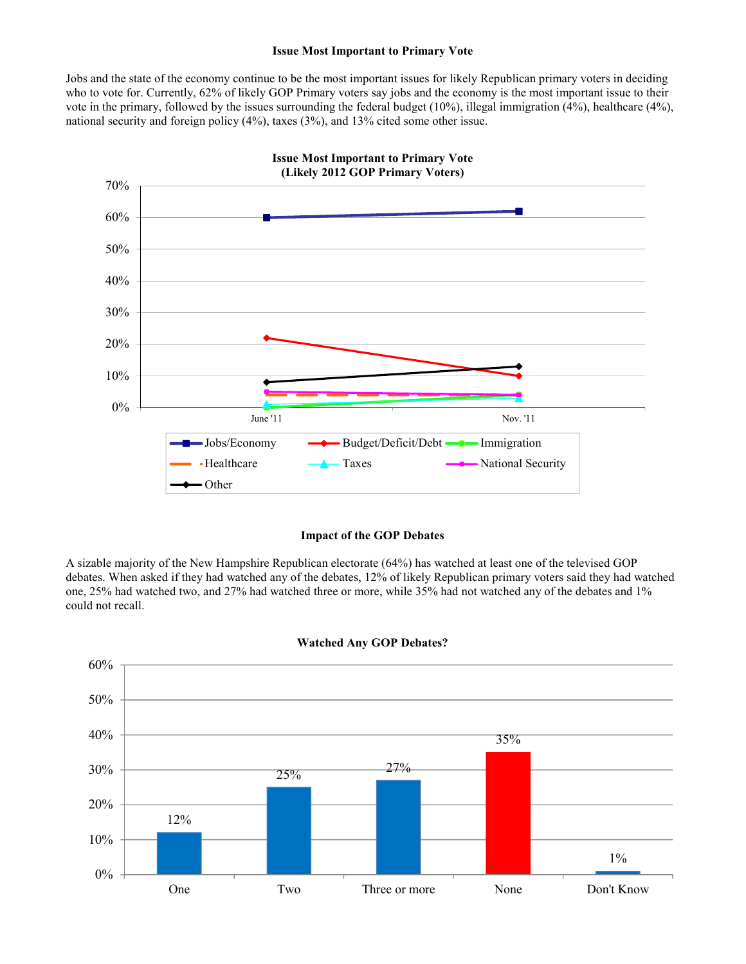#### **Issue Most Important to Primary Vote**

Jobs and the state of the economy continue to be the most important issues for likely Republican primary voters in deciding who to vote for. Currently, 62% of likely GOP Primary voters say jobs and the economy is the most important issue to their vote in the primary, followed by the issues surrounding the federal budget  $(10\%)$ , illegal immigration  $(4\%)$ , healthcare  $(4\%)$ , national security and foreign policy (4%), taxes (3%), and 13% cited some other issue.



#### **Impact of the GOP Debates**

A sizable majority of the New Hampshire Republican electorate (64%) has watched at least one of the televised GOP debates. When asked if they had watched any of the debates, 12% of likely Republican primary voters said they had watched one, 25% had watched two, and 27% had watched three or more, while 35% had not watched any of the debates and 1% could not recall.



#### **Watched Any GOP Debates?**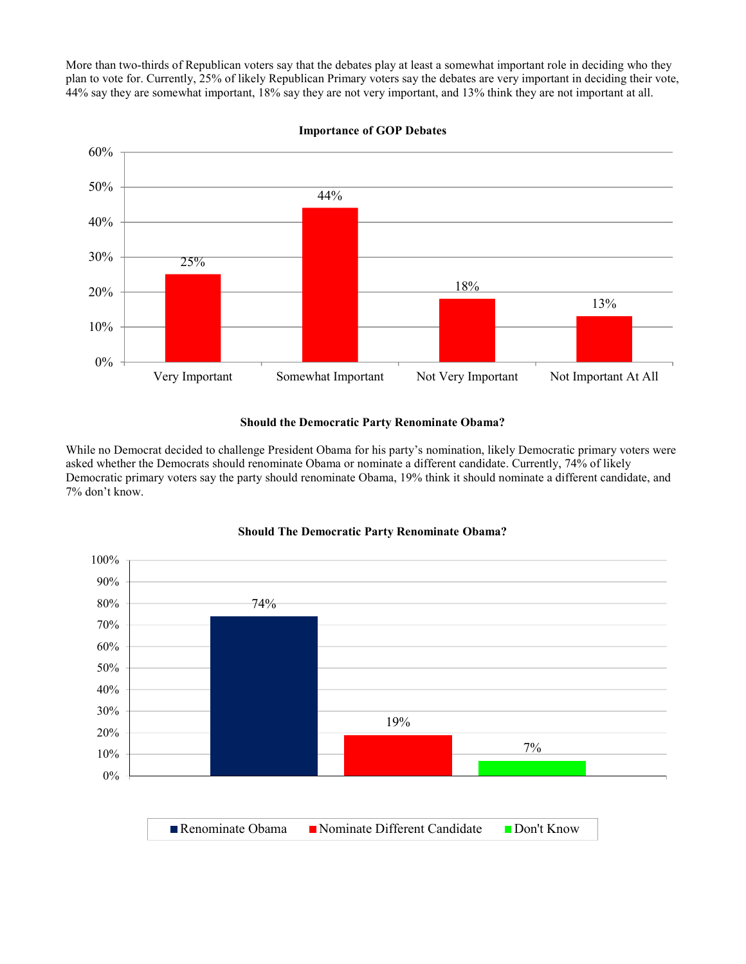More than two-thirds of Republican voters say that the debates play at least a somewhat important role in deciding who they plan to vote for. Currently, 25% of likely Republican Primary voters say the debates are very important in deciding their vote, 44% say they are somewhat important, 18% say they are not very important, and 13% think they are not important at all.



**Importance of GOP Debates**

#### **Should the Democratic Party Renominate Obama?**

While no Democrat decided to challenge President Obama for his party's nomination, likely Democratic primary voters were asked whether the Democrats should renominate Obama or nominate a different candidate. Currently, 74% of likely Democratic primary voters say the party should renominate Obama, 19% think it should nominate a different candidate, and 7% don't know.



#### **Should The Democratic Party Renominate Obama?**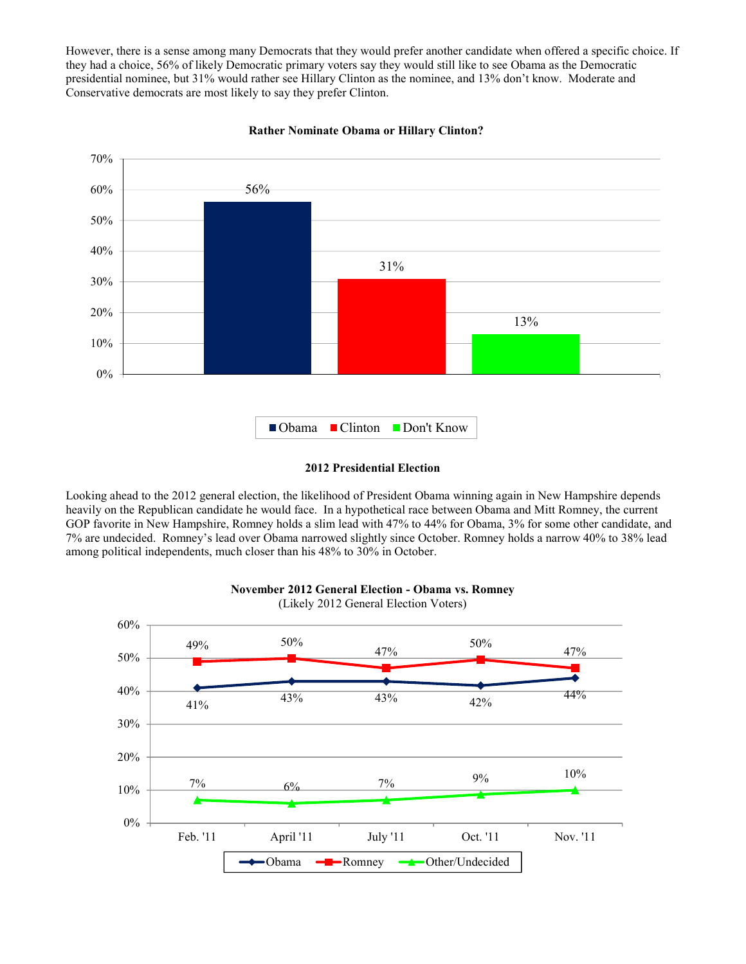However, there is a sense among many Democrats that they would prefer another candidate when offered a specific choice. If they had a choice, 56% of likely Democratic primary voters say they would still like to see Obama as the Democratic presidential nominee, but 31% would rather see Hillary Clinton as the nominee, and 13% don't know. Moderate and Conservative democrats are most likely to say they prefer Clinton.



**Rather Nominate Obama or Hillary Clinton?**

#### **2012 Presidential Election**

Looking ahead to the 2012 general election, the likelihood of President Obama winning again in New Hampshire depends heavily on the Republican candidate he would face. In a hypothetical race between Obama and Mitt Romney, the current GOP favorite in New Hampshire, Romney holds a slim lead with 47% to 44% for Obama, 3% for some other candidate, and 7% are undecided. Romney's lead over Obama narrowed slightly since October. Romney holds a narrow 40% to 38% lead among political independents, much closer than his 48% to 30% in October.



# **November 2012 General Election - Obama vs. Romney**

(Likely 2012 General Election Voters)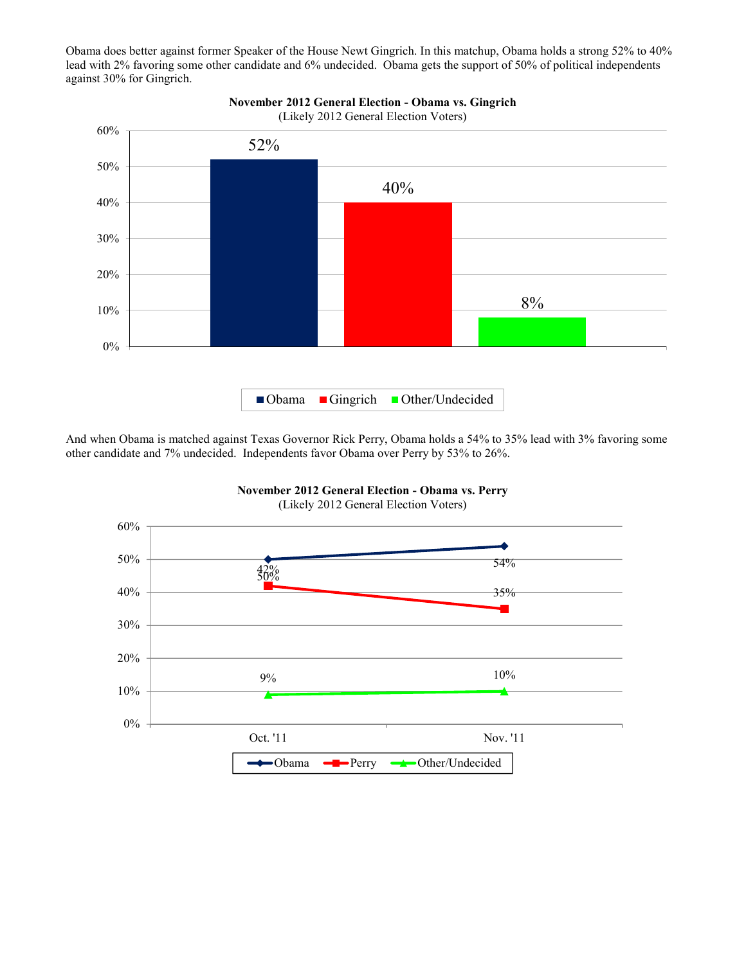Obama does better against former Speaker of the House Newt Gingrich. In this matchup, Obama holds a strong 52% to 40% lead with 2% favoring some other candidate and 6% undecided. Obama gets the support of 50% of political independents against 30% for Gingrich.



# **November 2012 General Election - Obama vs. Gingrich**

And when Obama is matched against Texas Governor Rick Perry, Obama holds a 54% to 35% lead with 3% favoring some other candidate and 7% undecided. Independents favor Obama over Perry by 53% to 26%.

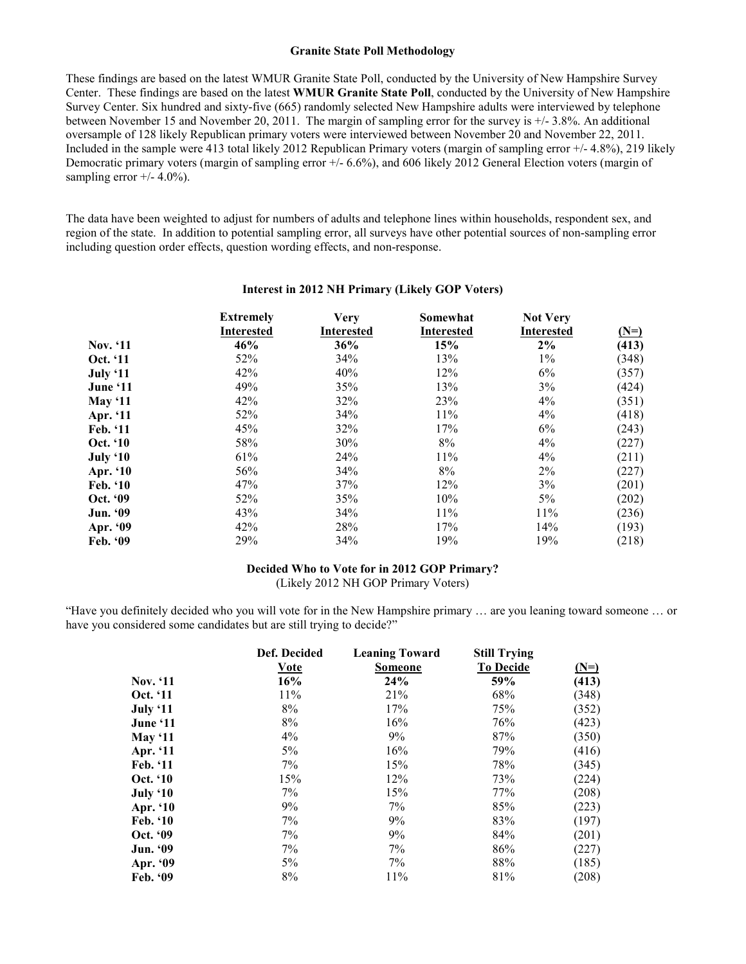#### **Granite State Poll Methodology**

These findings are based on the latest WMUR Granite State Poll, conducted by the University of New Hampshire Survey Center. These findings are based on the latest **WMUR Granite State Poll**, conducted by the University of New Hampshire Survey Center. Six hundred and sixty-five (665) randomly selected New Hampshire adults were interviewed by telephone between November 15 and November 20, 2011. The margin of sampling error for the survey is +/- 3.8%. An additional oversample of 128 likely Republican primary voters were interviewed between November 20 and November 22, 2011. Included in the sample were 413 total likely 2012 Republican Primary voters (margin of sampling error +/- 4.8%), 219 likely Democratic primary voters (margin of sampling error +/- 6.6%), and 606 likely 2012 General Election voters (margin of sampling error  $+/$ - 4.0%).

The data have been weighted to adjust for numbers of adults and telephone lines within households, respondent sex, and region of the state. In addition to potential sampling error, all surveys have other potential sources of non-sampling error including question order effects, question wording effects, and non-response.

|                 | <b>Extremely</b><br><b>Interested</b> | <b>Very</b><br><b>Interested</b> | Somewhat<br><b>Interested</b> | <b>Not Very</b><br><b>Interested</b> | $(N=)$ |
|-----------------|---------------------------------------|----------------------------------|-------------------------------|--------------------------------------|--------|
| <b>Nov.</b> '11 | 46%                                   | 36%                              | 15%                           | 2%                                   | (413)  |
| Oct. '11        | 52%                                   | 34%                              | 13%                           | $1\%$                                | (348)  |
| July '11        | 42%                                   | 40%                              | 12%                           | 6%                                   | (357)  |
| June '11        | 49%                                   | 35%                              | 13%                           | 3%                                   | (424)  |
| <b>May '11</b>  | 42%                                   | 32%                              | 23%                           | $4\%$                                | (351)  |
| Apr. '11        | 52%                                   | 34%                              | 11%                           | 4%                                   | (418)  |
| Feb. '11        | 45%                                   | 32%                              | 17%                           | 6%                                   | (243)  |
| Oct. '10        | 58%                                   | 30%                              | 8%                            | $4\%$                                | (227)  |
| July '10        | 61%                                   | 24%                              | 11%                           | 4%                                   | (211)  |
| Apr. '10        | 56%                                   | 34%                              | 8%                            | 2%                                   | (227)  |
| Feb. '10        | 47%                                   | 37%                              | 12%                           | 3%                                   | (201)  |
| Oct. '09        | 52%                                   | 35%                              | 10%                           | 5%                                   | (202)  |
| Jun. '09        | 43%                                   | 34%                              | 11%                           | 11%                                  | (236)  |
| Apr. '09        | 42%                                   | 28%                              | 17%                           | 14%                                  | (193)  |
| Feb. '09        | 29%                                   | 34%                              | 19%                           | 19%                                  | (218)  |

#### **Interest in 2012 NH Primary (Likely GOP Voters)**

#### **Decided Who to Vote for in 2012 GOP Primary?**  (Likely 2012 NH GOP Primary Voters)

"Have you definitely decided who you will vote for in the New Hampshire primary … are you leaning toward someone … or have you considered some candidates but are still trying to decide?"

|                 | Def. Decided<br>Vote | <b>Leaning Toward</b><br><b>Someone</b> | <b>Still Trying</b><br><b>To Decide</b> | $(N=)$ |
|-----------------|----------------------|-----------------------------------------|-----------------------------------------|--------|
| <b>Nov.</b> '11 | 16%                  | 24%                                     | 59%                                     | (413)  |
| Oct. '11        | 11%                  | 21%                                     | 68%                                     | (348)  |
| <b>July '11</b> | 8%                   | 17%                                     | 75%                                     | (352)  |
| June '11        | 8%                   | 16%                                     | 76%                                     | (423)  |
| May $`11$       | 4%                   | 9%                                      | 87%                                     | (350)  |
| Apr. '11        | 5%                   | 16%                                     | 79%                                     | (416)  |
| Feb. '11        | $7\%$                | 15%                                     | 78%                                     | (345)  |
| <b>Oct.</b> '10 | 15%                  | 12%                                     | 73%                                     | (224)  |
| July '10        | $7\%$                | 15%                                     | 77%                                     | (208)  |
| Apr. '10        | 9%                   | 7%                                      | 85%                                     | (223)  |
| <b>Feb.</b> '10 | 7%                   | 9%                                      | 83%                                     | (197)  |
| Oct. '09        | 7%                   | 9%                                      | 84%                                     | (201)  |
| Jun. '09        | 7%                   | 7%                                      | 86%                                     | (227)  |
| Apr. '09        | 5%                   | $7\%$                                   | 88%                                     | (185)  |
| Feb. '09        | 8%                   | 11%                                     | 81%                                     | (208)  |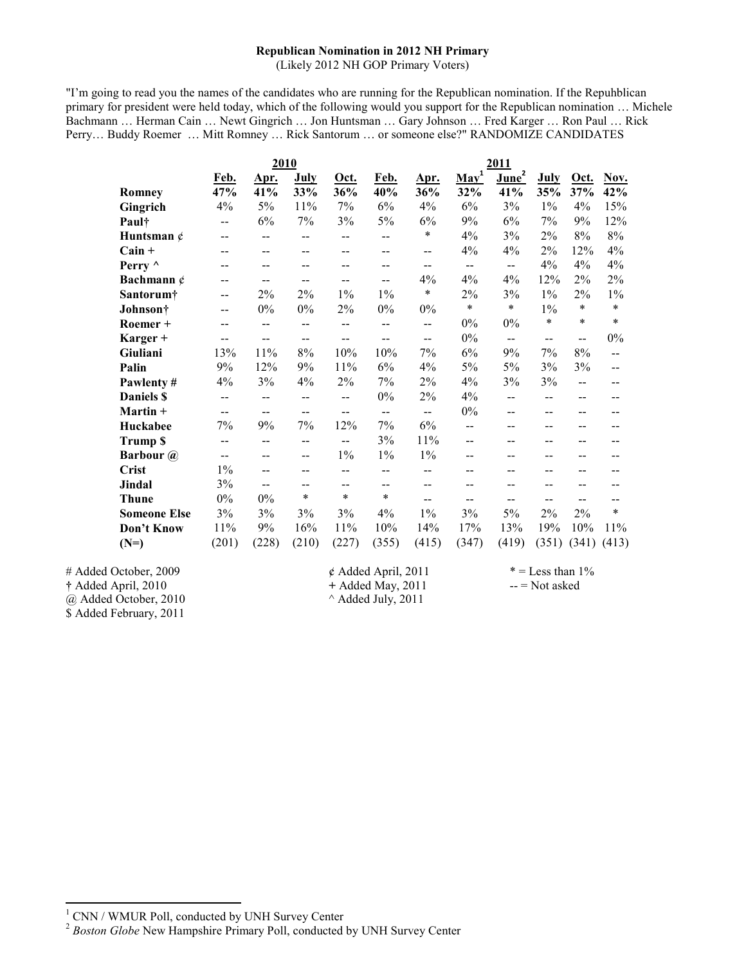# **Republican Nomination in 2012 NH Primary**

(Likely 2012 NH GOP Primary Voters)

"I'm going to read you the names of the candidates who are running for the Republican nomination. If the Repuhblican primary for president were held today, which of the following would you support for the Republican nomination … Michele Bachmann … Herman Cain … Newt Gingrich … Jon Huntsman … Gary Johnson … Fred Karger … Ron Paul … Rick Perry… Buddy Roemer … Mitt Romney … Rick Santorum … or someone else?" RANDOMIZE CANDIDATES

|                     | 2010                     |             |       | 2011           |                |                |                          |                          |             |       |        |
|---------------------|--------------------------|-------------|-------|----------------|----------------|----------------|--------------------------|--------------------------|-------------|-------|--------|
|                     | Feb.                     | <u>Apr.</u> | July  | Oct.           | Feb.           | Apr.           | Mav <sup>1</sup>         | $\overline{June}^2$      | <b>July</b> | Oct.  | Nov.   |
| Romney              | 47%                      | 41%         | 33%   | 36%            | 40%            | 36%            | 32%                      | 41%                      | 35%         | 37%   | 42%    |
| Gingrich            | 4%                       | 5%          | 11%   | 7%             | 6%             | 4%             | 6%                       | 3%                       | $1\%$       | 4%    | 15%    |
| Paul†               | $\overline{\phantom{m}}$ | 6%          | 7%    | 3%             | 5%             | 6%             | 9%                       | 6%                       | 7%          | 9%    | 12%    |
| Huntsman $\phi$     | $-$                      | --          | $-$   | $-$            | $-$            | $\ast$         | 4%                       | 3%                       | 2%          | 8%    | $8\%$  |
| $Cain +$            | $-$                      | $-$         | --    | $-$            | $-$            | $-$            | 4%                       | 4%                       | 2%          | 12%   | 4%     |
| Perry $\wedge$      | $\overline{\phantom{a}}$ | $-$         | $-$   | $-$            | $-$            | $-$            | $\overline{\phantom{a}}$ | $-$                      | 4%          | 4%    | 4%     |
| Bachmann $\phi$     | $-$                      | $-$         | --    | --             | $-$            | 4%             | 4%                       | 4%                       | 12%         | 2%    | 2%     |
| Santorum†           | --                       | $2\%$       | $2\%$ | $1\%$          | $1\%$          | $\ast$         | 2%                       | 3%                       | $1\%$       | 2%    | $1\%$  |
| Johnson†            | $-$                      | $0\%$       | $0\%$ | $2\%$          | $0\%$          | $0\%$          | $\ast$                   | $\star$                  | $1\%$       | *     | $\ast$ |
| Roemer +            | $-$                      | $-$         | $-$   | $\overline{a}$ | $\overline{a}$ | --             | $0\%$                    | $0\%$                    | $\star$     | *     | $\ast$ |
| Karger +            | $-$                      | $-$         | --    | --             | $-$            | $-$            | $0\%$                    | $\overline{\phantom{a}}$ | $-$         | $-$   | 0%     |
| Giuliani            | 13%                      | 11%         | $8\%$ | 10%            | 10%            | 7%             | 6%                       | 9%                       | 7%          | 8%    | $-$    |
| Palin               | 9%                       | 12%         | 9%    | 11%            | 6%             | 4%             | 5%                       | 5%                       | 3%          | 3%    | $-$    |
| Pawlenty#           | 4%                       | 3%          | 4%    | $2\%$          | 7%             | $2\%$          | 4%                       | 3%                       | 3%          | $-$   | $-$    |
| <b>Daniels \$</b>   | $\overline{\phantom{a}}$ | --          | --    | --             | $0\%$          | $2\%$          | 4%                       | --                       | --          | $-$   |        |
| Martin +            | $-$                      | $-$         | $-$   | --             | $-$            | --             | $0\%$                    | $-$                      | $-$         |       |        |
| Huckabee            | 7%                       | 9%          | 7%    | 12%            | 7%             | 6%             | $\overline{a}$           | --                       | --          |       |        |
| <b>Trump \$</b>     | $-$                      | --          | $-$   | $\overline{a}$ | 3%             | 11%            | $\overline{a}$           | --                       | --          | --    |        |
| <b>Barbour</b> @    | $\overline{\phantom{a}}$ | $-$         | $-$   | $1\%$          | $1\%$          | $1\%$          | $-$                      | --                       | --          | --    |        |
| <b>Crist</b>        | $1\%$                    |             | --    | $-$            | $-$            | $-$            | --                       | --                       |             |       |        |
| Jindal              | 3%                       |             | --    | $-$            | $-$            | $\overline{a}$ | $-$                      | --                       |             |       |        |
| <b>Thune</b>        | 0%                       | $0\%$       | *     | $\ast$         | $\ast$         | $-$            | $-$                      | --                       | --          |       |        |
| <b>Someone Else</b> | 3%                       | 3%          | 3%    | 3%             | 4%             | $1\%$          | 3%                       | 5%                       | $2\%$       | $2\%$ | $\ast$ |
| Don't Know          | 11%                      | 9%          | 16%   | 11%            | 10%            | 14%            | 17%                      | 13%                      | 19%         | 10%   | 11%    |
| $(N=)$              | (201)                    | (228)       | (210) | (227)          | (355)          | (415)          | (347)                    | (419)                    | (351)       | (341) | (413)  |

# Added October, 2009  $\ell$  Added April, 2011  $* =$  Less than 1% **†** Added April, 2010 **+ Added May, 2011** -- = Not asked  $\hat{\omega}$  Added October, 2010  $\hat{\omega}$  Added July, 2011 @ Added October, 2010 \$ Added February, 2011

l

<sup>1</sup> CNN / WMUR Poll, conducted by UNH Survey Center

<sup>&</sup>lt;sup>2</sup> Boston Globe New Hampshire Primary Poll, conducted by UNH Survey Center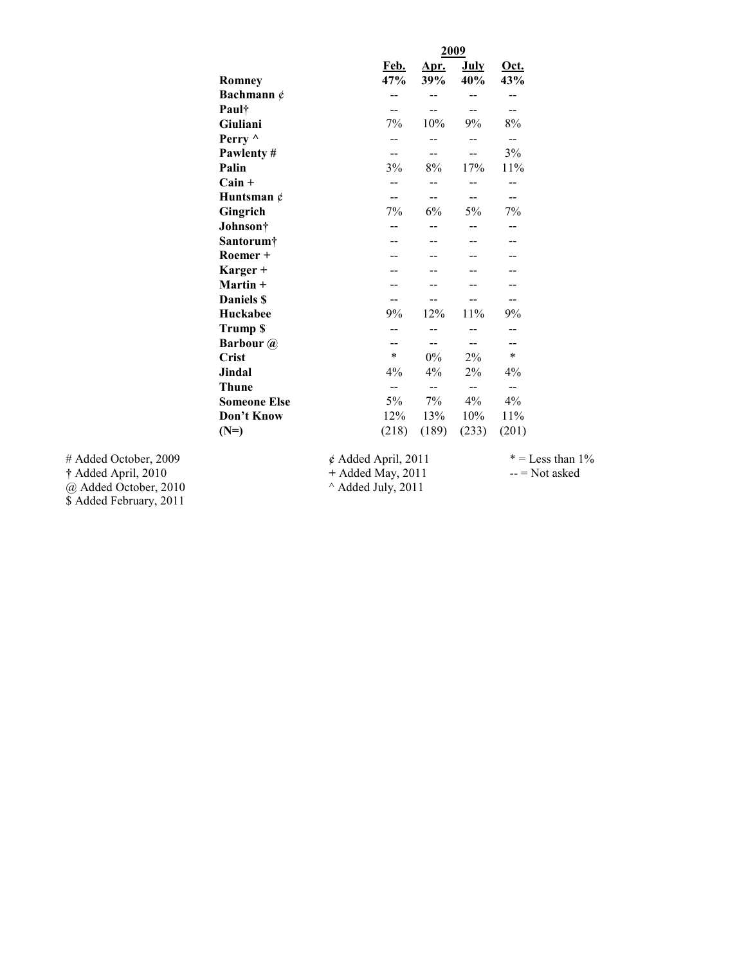|                     |                         | 2009        |                          |                |  |
|---------------------|-------------------------|-------------|--------------------------|----------------|--|
| Romney              | Feb.<br>47%             | Apr.<br>39% | July<br>40%              | Oct.<br>43%    |  |
| Bachmann $\phi$     |                         |             |                          |                |  |
| Paul†               |                         |             |                          |                |  |
| Giuliani            | 7%                      | 10%         | 9%                       | 8%             |  |
| Perry ^             |                         |             |                          | $-$            |  |
| Pawlenty#           |                         |             |                          | 3%             |  |
| Palin               | 3%                      | 8%          | 17%                      | 11%            |  |
| $Cain +$            |                         |             |                          |                |  |
| Huntsman $\phi$     |                         |             | $-$                      |                |  |
| Gingrich            | 7%                      | 6%          | 5%                       | 7%             |  |
| Johnson†            |                         |             |                          |                |  |
| Santorum†           |                         |             |                          |                |  |
| Roemer +            |                         |             |                          |                |  |
| Karger +            |                         |             |                          |                |  |
| Martin +            |                         |             |                          |                |  |
| Daniels \$          |                         |             |                          |                |  |
| Huckabee            | 9%                      | 12%         | 11%                      | 9%             |  |
| Trump \$            |                         |             |                          |                |  |
| <b>Barbour</b> @    |                         |             |                          |                |  |
| <b>Crist</b>        | $\ast$                  | $0\%$       | 2%                       | $\ast$         |  |
| Jindal              | 4%                      | 4%          | $2\%$                    | 4%             |  |
| <b>Thune</b>        | --                      | $-$         | $\overline{\phantom{a}}$ | $-$            |  |
| <b>Someone Else</b> | 5%                      | 7%          | $4\%$                    | 4%             |  |
| Don't Know          | 12%                     | 13%         | 10%                      | 11%            |  |
| $(N=)$              | (218)                   | (189)       | (233)                    | (201)          |  |
|                     | $\phi$ Added April 2011 |             |                          | $z_{29}$ T = * |  |

# Added October, 2009  $\phi$  Added April, 2011 \* = Less than 1%<br>
† Added April, 2010 + Added May, 2011 - = Not asked @ Added October, 2010 ^ Added July, 2011 **†** Added April, 2010 **+** Added May, 2011 -- = Not asked  $\omega$  Added October, 2010  $\sim$  Added July, 2011 \$ Added February, 2011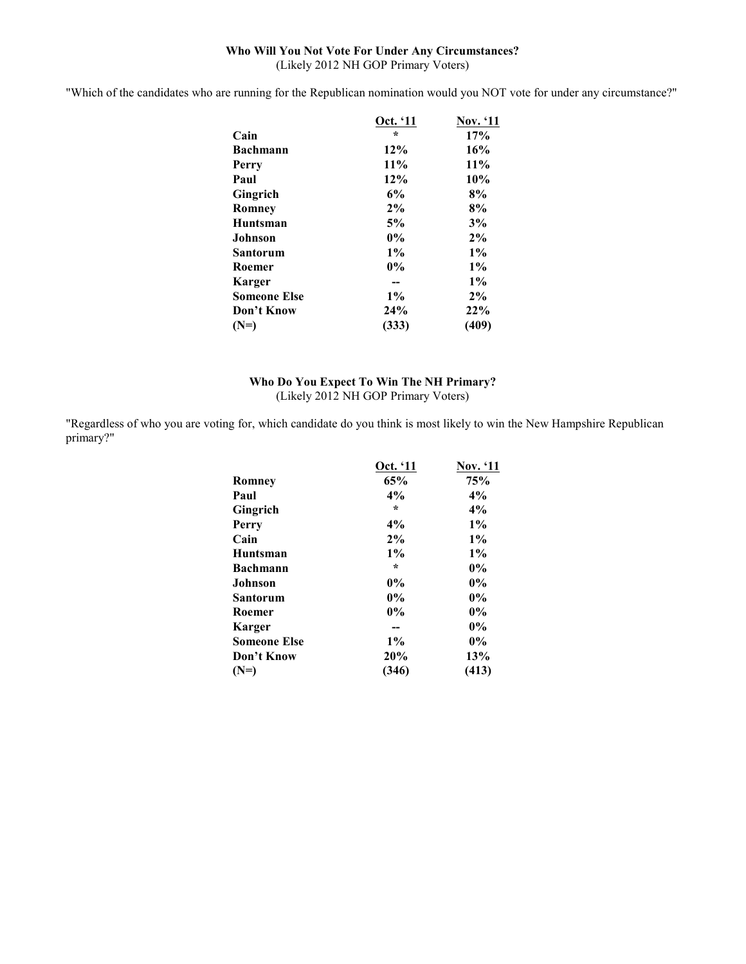#### **Who Will You Not Vote For Under Any Circumstances?**  (Likely 2012 NH GOP Primary Voters)

"Which of the candidates who are running for the Republican nomination would you NOT vote for under any circumstance?"

|              | Oct. '11 | <b>Nov.</b> '11 |
|--------------|----------|-----------------|
| Cain         | $\star$  | 17%             |
| Bachmann     | 12%      | 16%             |
| Perry        | 11%      | 11%             |
| Paul         | 12%      | 10%             |
| Gingrich     | 6%       | 8%              |
| Romnev       | $2\%$    | 8%              |
| Huntsman     | 5%       | 3%              |
| Johnson      | $0\%$    | $2\%$           |
| Santorum     | $1\%$    | $1\%$           |
| Roemer       | $0\%$    | $1\%$           |
| Karger       |          | $1\%$           |
| Someone Else | $1\%$    | 2%              |
| Don't Know   | 24%      | 22%             |
| (N=)         | (333)    | (409)           |
|              |          |                 |

# **Who Do You Expect To Win The NH Primary?**  (Likely 2012 NH GOP Primary Voters)

"Regardless of who you are voting for, which candidate do you think is most likely to win the New Hampshire Republican primary?"

|                     | Oct. '11 | Nov. '11 |
|---------------------|----------|----------|
| Romney              | 65%      | 75%      |
| Paul                | 4%       | 4%       |
| Gingrich            | $\star$  | 4%       |
| Perry               | 4%       | $1\%$    |
| Cain                | 2%       | $1\%$    |
| Huntsman            | $1\%$    | $1\%$    |
| <b>Bachmann</b>     | $\star$  | $0\%$    |
| Johnson             | 0%       | $0\%$    |
| Santorum            | 0%       | $0\%$    |
| Roemer              | $0\%$    | $0\%$    |
| Karger              |          | $0\%$    |
| <b>Someone Else</b> | $1\%$    | $0\%$    |
| Don't Know          | 20%      | 13%      |
| (N=)                | (346)    | (413)    |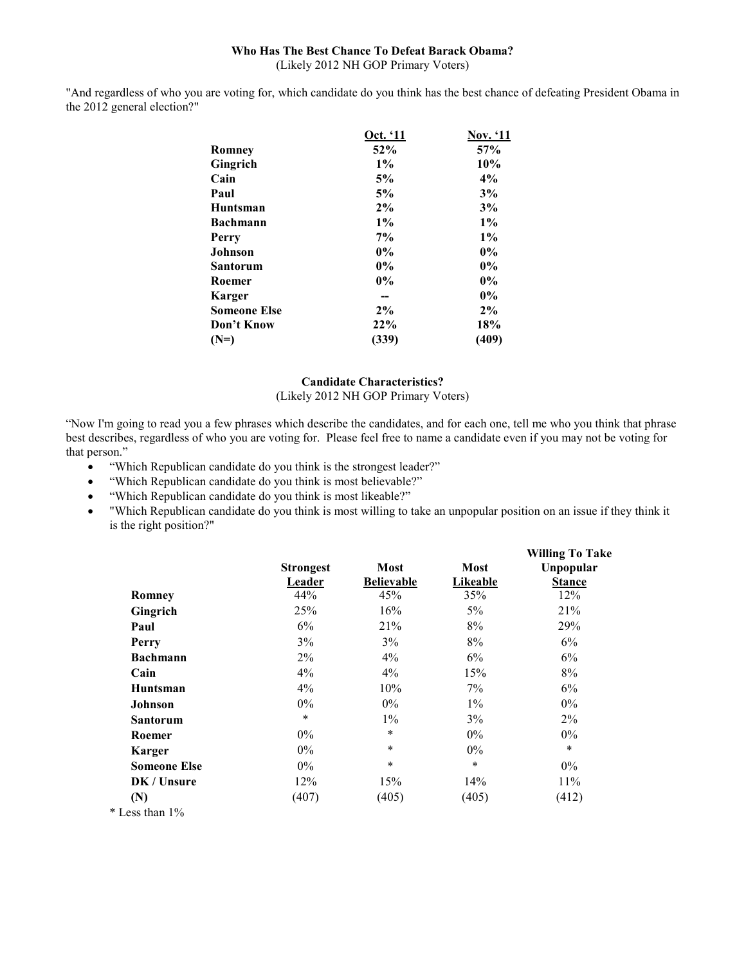#### **Who Has The Best Chance To Defeat Barack Obama?**  (Likely 2012 NH GOP Primary Voters)

"And regardless of who you are voting for, which candidate do you think has the best chance of defeating President Obama in the 2012 general election?"

|                     | Oct. '11 | <b>Nov.</b> '11 |
|---------------------|----------|-----------------|
| Romney              | 52%      | 57%             |
| Gingrich            | $1\%$    | 10%             |
| Cain                | 5%       | 4%              |
| Paul                | 5%       | 3%              |
| <b>Huntsman</b>     | 2%       | 3%              |
| <b>Bachmann</b>     | $1\%$    | $1\%$           |
| Perry               | 7%       | $1\%$           |
| <b>Johnson</b>      | $0\%$    | $0\%$           |
| Santorum            | $0\%$    | $0\%$           |
| Roemer              | $0\%$    | $0\%$           |
| Karger              |          | $0\%$           |
| <b>Someone Else</b> | $2\%$    | 2%              |
| Don't Know          | 22%      | 18%             |
| $(N=)$              | (339)    | (409)           |

#### **Candidate Characteristics?**  (Likely 2012 NH GOP Primary Voters)

"Now I'm going to read you a few phrases which describe the candidates, and for each one, tell me who you think that phrase best describes, regardless of who you are voting for. Please feel free to name a candidate even if you may not be voting for that person."

- "Which Republican candidate do you think is the strongest leader?"
- "Which Republican candidate do you think is most believable?"
- "Which Republican candidate do you think is most likeable?"
- "Which Republican candidate do you think is most willing to take an unpopular position on an issue if they think it is the right position?"

|                     |                  |                   |             | <b>Willing To Take</b> |
|---------------------|------------------|-------------------|-------------|------------------------|
|                     | <b>Strongest</b> | Most              | <b>Most</b> | Unpopular              |
|                     | Leader           | <b>Believable</b> | Likeable    | <b>Stance</b>          |
| Romney              | 44%              | 45%               | 35%         | 12%                    |
| Gingrich            | 25%              | 16%               | 5%          | 21%                    |
| Paul                | 6%               | 21%               | 8%          | 29%                    |
| Perry               | 3%               | 3%                | 8%          | 6%                     |
| <b>Bachmann</b>     | $2\%$            | $4\%$             | 6%          | 6%                     |
| Cain                | 4%               | 4%                | 15%         | 8%                     |
| <b>Huntsman</b>     | $4\%$            | 10%               | 7%          | 6%                     |
| Johnson             | $0\%$            | $0\%$             | $1\%$       | $0\%$                  |
| <b>Santorum</b>     | $\star$          | $1\%$             | 3%          | $2\%$                  |
| Roemer              | $0\%$            | $\ast$            | $0\%$       | $0\%$                  |
| <b>Karger</b>       | $0\%$            | $\ast$            | $0\%$       | $\ast$                 |
| <b>Someone Else</b> | $0\%$            | $\ast$            | $\ast$      | $0\%$                  |
| DK / Unsure         | 12%              | 15%               | 14%         | 11%                    |
| (N)                 | (407)            | (405)             | (405)       | (412)                  |
| $*$ Less than $1\%$ |                  |                   |             |                        |
|                     |                  |                   |             |                        |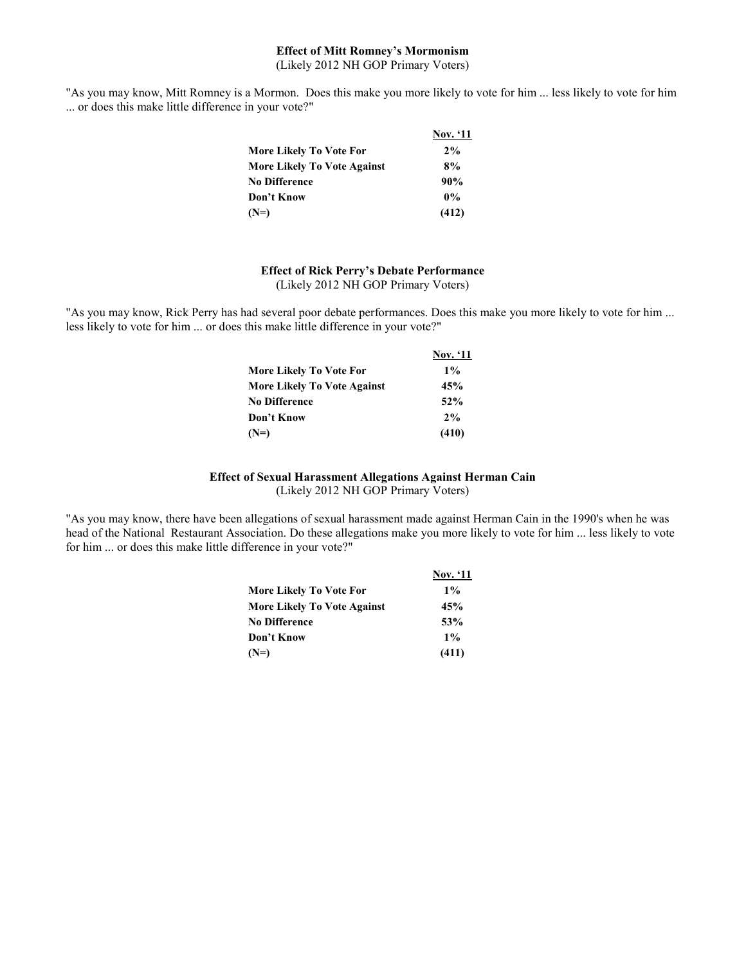#### **Effect of Mitt Romney's Mormonism**  (Likely 2012 NH GOP Primary Voters)

"As you may know, Mitt Romney is a Mormon. Does this make you more likely to vote for him ... less likely to vote for him ... or does this make little difference in your vote?"

|                                    | <b>Nov.</b> '11 |
|------------------------------------|-----------------|
| More Likely To Vote For            | 2%              |
| <b>More Likely To Vote Against</b> | 8%              |
| No Difference                      | 90%             |
| Don't Know                         | $0\%$           |
| (N=)                               | (412)           |

#### **Effect of Rick Perry's Debate Performance**  (Likely 2012 NH GOP Primary Voters)

"As you may know, Rick Perry has had several poor debate performances. Does this make you more likely to vote for him ... less likely to vote for him ... or does this make little difference in your vote?"

|                                    | <b>Nov.</b> '11 |
|------------------------------------|-----------------|
| More Likely To Vote For            | $1\%$           |
| <b>More Likely To Vote Against</b> | 45%             |
| <b>No Difference</b>               | 52%             |
| Don't Know                         | 2%              |
| $(N=)$                             | (410)           |

#### **Effect of Sexual Harassment Allegations Against Herman Cain**  (Likely 2012 NH GOP Primary Voters)

"As you may know, there have been allegations of sexual harassment made against Herman Cain in the 1990's when he was head of the National Restaurant Association. Do these allegations make you more likely to vote for him ... less likely to vote for him ... or does this make little difference in your vote?"

|                                    | <b>Nov.</b> '11 |
|------------------------------------|-----------------|
| More Likely To Vote For            | $1\%$           |
| <b>More Likely To Vote Against</b> | 45%             |
| No Difference                      | 53%             |
| Don't Know                         | $1\%$           |
| (N=)                               | (411)           |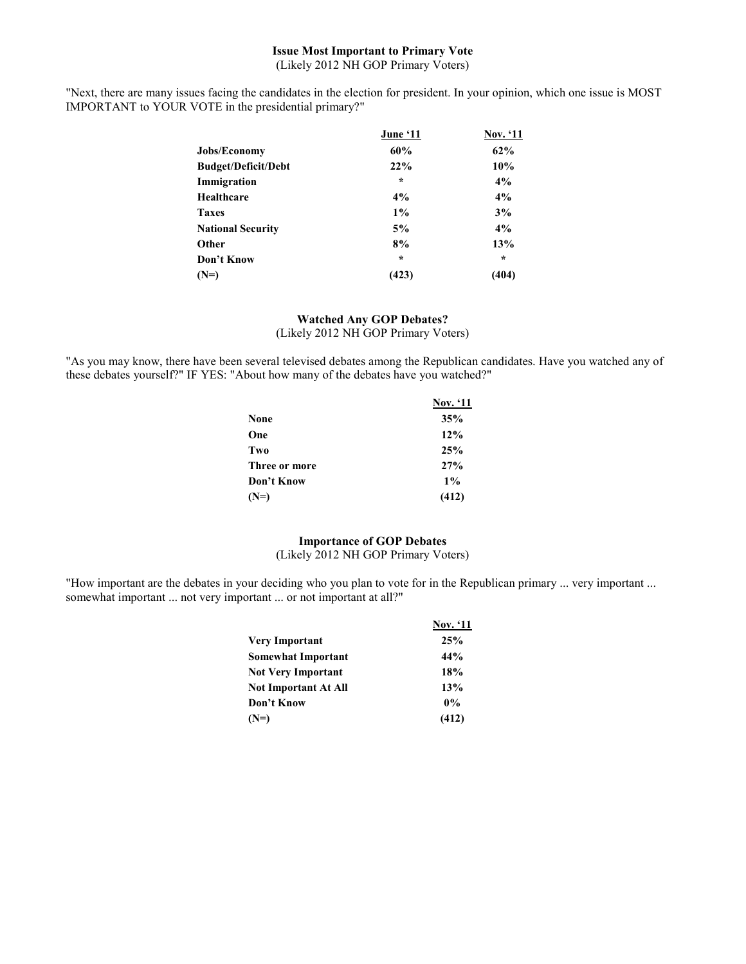#### **Issue Most Important to Primary Vote**  (Likely 2012 NH GOP Primary Voters)

"Next, there are many issues facing the candidates in the election for president. In your opinion, which one issue is MOST IMPORTANT to YOUR VOTE in the presidential primary?"

|                            | June '11 | <b>Nov.</b> '11 |
|----------------------------|----------|-----------------|
| <b>Jobs/Economy</b>        | 60%      | 62%             |
| <b>Budget/Deficit/Debt</b> | 22%      | 10%             |
| Immigration                | $\star$  | 4%              |
| Healthcare                 | 4%       | 4%              |
| <b>Taxes</b>               | $1\%$    | 3%              |
| <b>National Security</b>   | 5%       | 4%              |
| Other                      | 8%       | 13%             |
| Don't Know                 | $\star$  | $\star$         |
| $(N=)$                     | (423)    | (404)           |

#### **Watched Any GOP Debates?**  (Likely 2012 NH GOP Primary Voters)

"As you may know, there have been several televised debates among the Republican candidates. Have you watched any of these debates yourself?" IF YES: "About how many of the debates have you watched?"

|               | <b>Nov.</b> '11 |
|---------------|-----------------|
| None          | 35%             |
| One           | 12%             |
| Two           | 25%             |
| Three or more | 27%             |
| Don't Know    | $1\%$           |
| $(N=)$        | (412)           |

#### **Importance of GOP Debates**

(Likely 2012 NH GOP Primary Voters)

"How important are the debates in your deciding who you plan to vote for in the Republican primary ... very important ... somewhat important ... not very important ... or not important at all?"

|                      | <b>Nov.</b> '11 |
|----------------------|-----------------|
| Very Important       | 25%             |
| Somewhat Important   | 44%             |
| Not Very Important   | 18%             |
| Not Important At All | 13%             |
| Don't Know           | $0\%$           |
| (N=)                 | (412)           |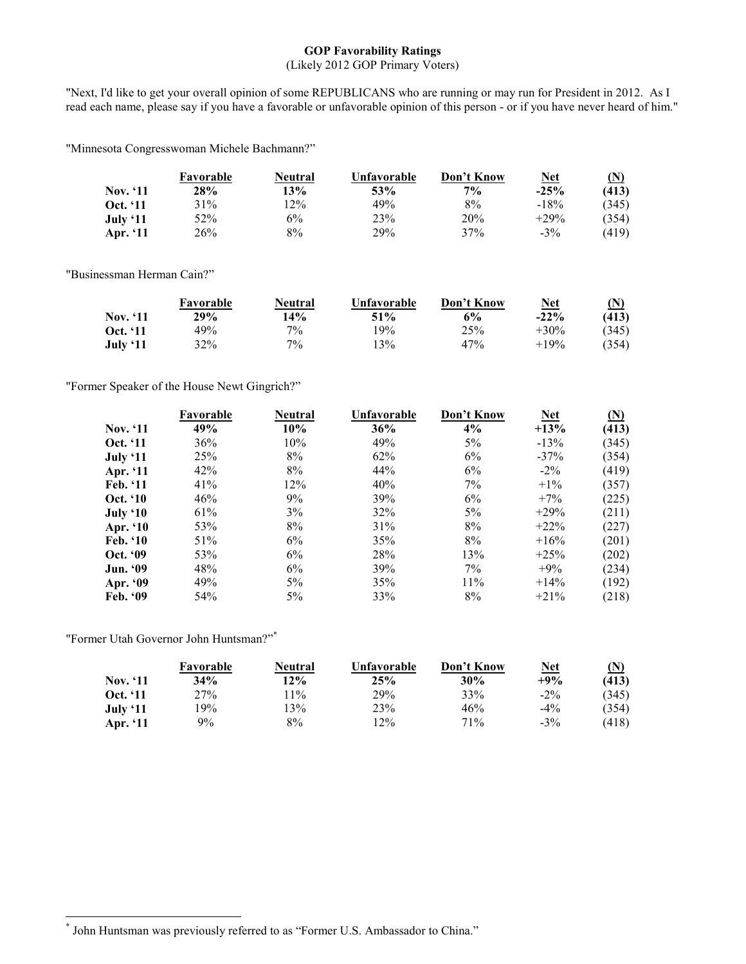# **GOP Favorability Ratings**

# (Likely 2012 GOP Primary Voters)

"Next, I'd like to get your overall opinion of some REPUBLICANS who are running or may run for President in 2012. As I read each name, please say if you have a favorable or unfavorable opinion of this person - or if you have never heard of him."

"Minnesota Congresswoman Michele Bachmann?"

|                 | Favorable | Neutral | Unfavorable | Don't Know | <u>Net</u> | (N)   |
|-----------------|-----------|---------|-------------|------------|------------|-------|
| <b>Nov.</b> '11 | 28%       | 13%     | 53%         | $7\%$      | $-25%$     | (413) |
| Oct. '11        | 31%       | 12%     | 49%         | 8%         | $-18%$     | (345) |
| July $`11$      | 52%       | 6%      | 23%         | 20%        | $+29%$     | (354) |
| Apr. '11        | 26%       | 8%      | 29%         | 37%        | $-3\%$     | (419) |

"Businessman Herman Cain?"

|                 | Favorable | Neutral | Unfavorable | Don't Know | <u>Net</u> | $({\bf N})$ |
|-----------------|-----------|---------|-------------|------------|------------|-------------|
| Nov. '11        | 29%       | 14%     | $51\%$      | 6%         | $-22\%$    | (413)       |
| <b>Oct.</b> '11 | 49%       | $7\%$   | $19\%$      | 25%        | $+30\%$    | (345)       |
| July '11        | 32%       | $7\%$   | $13\%$      | 47%        | $+19%$     | (354)       |

"Former Speaker of the House Newt Gingrich?"

|                 | Favorable | <b>Neutral</b> | Unfavorable | Don't Know | <b>Net</b> | (N)   |
|-----------------|-----------|----------------|-------------|------------|------------|-------|
| <b>Nov.</b> '11 | 49%       | 10%            | 36%         | 4%         | $+13%$     | (413) |
| <b>Oct.</b> '11 | 36%       | 10%            | 49%         | $5\%$      | $-13%$     | (345) |
| July ' $11$     | 25%       | 8%             | 62%         | 6%         | $-37\%$    | (354) |
| Apr. '11        | 42%       | 8%             | 44%         | 6%         | $-2\%$     | (419) |
| Feb. '11        | 41%       | 12%            | 40%         | 7%         | $+1\%$     | (357) |
| <b>Oct. '10</b> | 46%       | 9%             | 39%         | 6%         | $+7\%$     | (225) |
| July $`10$      | 61%       | 3%             | 32%         | $5\%$      | $+29%$     | (211) |
| Apr. '10        | 53%       | 8%             | 31%         | 8%         | $+22\%$    | (227) |
| Feb. '10        | 51%       | 6%             | 35%         | 8%         | $+16%$     | (201) |
| Oct. '09        | 53%       | 6%             | 28%         | 13%        | $+25%$     | (202) |
| <b>Jun. '09</b> | 48%       | 6%             | 39%         | 7%         | $+9\%$     | (234) |
| Apr. '09        | 49%       | $5\%$          | 35%         | 11%        | $+14\%$    | (192) |
| <b>Feb.</b> '09 | 54%       | $5\%$          | 33%         | 8%         | $+21\%$    | (218) |

"Former Utah Governor John Huntsman?"\*

 $\overline{a}$ 

|                 | Favorable  | Neutral | Unfavorable | Don't Know | <u>Net</u> | $(\mathbf{N})$ |
|-----------------|------------|---------|-------------|------------|------------|----------------|
| <b>Nov.</b> '11 | <b>34%</b> | 12%     | 25%         | 30%        | $+9%$      | (413)          |
| Oct. '11        | 27%        | $11\%$  | 29%         | 33%        | $-2\%$     | (345)          |
| July $`11$      | 19%        | 3%      | 23%         | 46%        | $-4\%$     | (354)          |
| Apr. '11        | $9\%$      | 8%      | 12%         | 71%        | $-3\%$     | (418)          |

<sup>\*</sup> John Huntsman was previously referred to as "Former U.S. Ambassador to China."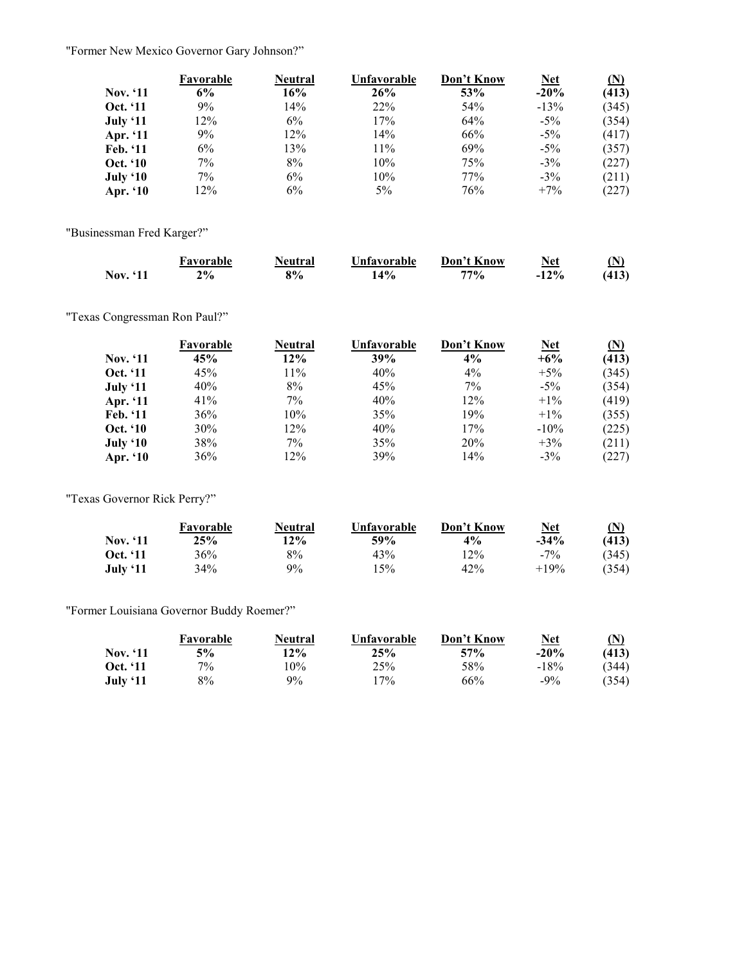"Former New Mexico Governor Gary Johnson?"

|                 | Favorable | <b>Neutral</b> | Unfavorable | Don't Know | <b>Net</b> | (N)   |
|-----------------|-----------|----------------|-------------|------------|------------|-------|
| <b>Nov.</b> '11 | 6%        | 16%            | 26%         | 53%        | $-20%$     | (413) |
| <b>Oct.</b> '11 | 9%        | 14%            | 22%         | 54%        | $-13%$     | (345) |
| July '11        | 12%       | $6\%$          | 17%         | 64%        | $-5\%$     | (354) |
| Apr. '11        | 9%        | 12%            | 14%         | 66%        | $-5\%$     | (417) |
| Feb. '11        | 6%        | 13%            | 11%         | 69%        | $-5\%$     | (357) |
| <b>Oct.</b> '10 | 7%        | 8%             | 10%         | 75%        | $-3\%$     | (227) |
| July '10        | 7%        | 6%             | 10%         | 77%        | $-3\%$     | (211) |
| Apr. $`10$      | 12%       | $6\%$          | $5\%$       | 76%        | $+7\%$     | (227) |

"Businessman Fred Karger?"

|                 | Favorable | Neutral | Unfavorable | Don't Know | Net     | 'N    |
|-----------------|-----------|---------|-------------|------------|---------|-------|
| <b>Nov.</b> '11 | $2\%$     | 8%      | 14%         | $77\%$     | $-12\%$ | (413) |

"Texas Congressman Ron Paul?"

|                 | Favorable | Neutral | Unfavorable | Don't Know | <b>Net</b> | (N)   |
|-----------------|-----------|---------|-------------|------------|------------|-------|
| <b>Nov.</b> '11 | 45%       | $12\%$  | 39%         | 4%         | $+6\%$     | (413) |
| <b>Oct.</b> '11 | 45%       | 11%     | 40%         | $4\%$      | $+5\%$     | (345) |
| July ' $11$     | 40%       | 8%      | 45%         | $7\%$      | $-5\%$     | (354) |
| Apr. '11        | 41%       | 7%      | 40%         | 12%        | $+1\%$     | (419) |
| Feb. '11        | 36%       | 10%     | 35%         | 19%        | $+1\%$     | (355) |
| <b>Oct.</b> '10 | 30%       | 12%     | 40%         | 17%        | $-10\%$    | (225) |
| July '10        | 38%       | 7%      | 35%         | 20%        | $+3%$      | (211) |
| Apr. '10        | 36%       | 12%     | 39%         | 14%        | $-3\%$     | (227) |

"Texas Governor Rick Perry?"

|          | Favorable | Neutral | Unfavorable | Don't Know | <u>Net</u> | (N)   |
|----------|-----------|---------|-------------|------------|------------|-------|
| Nov. '11 | 25%       | $12\%$  | 59%         | $4\%$      | $-34\%$    | (413) |
| Oct. '11 | 36%       | 8%      | 43%         | 12%        | $-7\%$     | (345) |
| July '11 | 34%       | $9\%$   | 15%         | 42%        | $+19%$     | (354) |

"Former Louisiana Governor Buddy Roemer?"

|                 | Favorable | Neutral | Unfavorable | Don't Know | <u>Net</u> | $\bf{(N)}$ |
|-----------------|-----------|---------|-------------|------------|------------|------------|
| Nov. '11        | $5\%$     | 12%     | 25%         | 57%        | $-20%$     | (413)      |
| <b>Oct. '11</b> | $7\%$     | 10%     | 25%         | 58%        | $-18%$     | 344)       |
| July '11        | 8%        | $9\%$   | $17\%$      | 66%        | $-9\%$     | (354)      |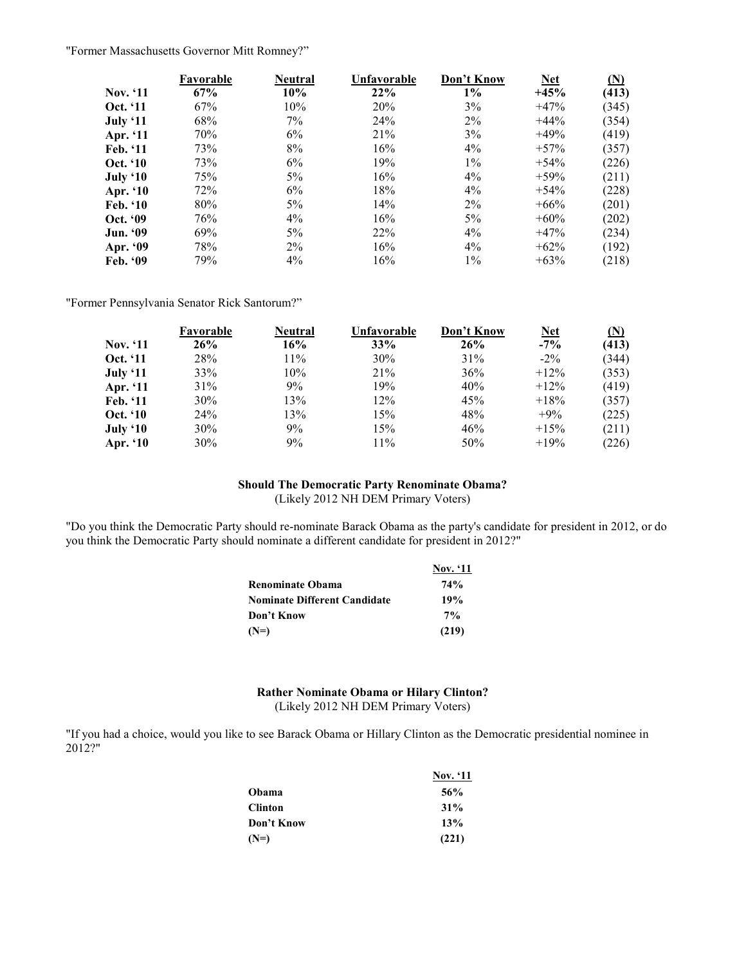"Former Massachusetts Governor Mitt Romney?"

|                 | Favorable | Neutral | Unfavorable | Don't Know | <b>Net</b> | (N)   |
|-----------------|-----------|---------|-------------|------------|------------|-------|
| <b>Nov.</b> '11 | 67%       | 10%     | 22%         | $1\%$      | $+45%$     | (413) |
| <b>Oct.</b> '11 | 67%       | 10%     | 20%         | 3%         | $+47%$     | (345) |
| July ' $11$     | 68%       | $7\%$   | 24%         | $2\%$      | $+44\%$    | (354) |
| Apr. '11        | 70%       | 6%      | 21%         | 3%         | $+49%$     | (419) |
| Feb. '11        | 73%       | 8%      | 16%         | $4\%$      | $+57\%$    | (357) |
| <b>Oct. '10</b> | 73%       | 6%      | 19%         | $1\%$      | $+54\%$    | (226) |
| July $`10$      | 75%       | 5%      | 16%         | $4\%$      | $+59%$     | (211) |
| Apr. '10        | 72%       | 6%      | 18%         | $4\%$      | $+54%$     | (228) |
| Feb. '10        | 80%       | 5%      | 14%         | $2\%$      | $+66%$     | (201) |
| <b>Oct. '09</b> | 76%       | $4\%$   | 16%         | $5\%$      | $+60%$     | (202) |
| <b>Jun. '09</b> | 69%       | $5\%$   | 22%         | $4\%$      | $+47%$     | (234) |
| Apr. '09        | 78%       | $2\%$   | 16%         | $4\%$      | $+62\%$    | (192) |
| Feb. $99$       | 79%       | $4\%$   | 16%         | $1\%$      | $+63%$     | (218) |

"Former Pennsylvania Senator Rick Santorum?"

|                 | Favorable       | <b>Neutral</b> | Unfavorable | Don't Know | <b>Net</b> | (N)   |
|-----------------|-----------------|----------------|-------------|------------|------------|-------|
| <b>Nov.</b> '11 | 26%             | 16%            | 33%         | 26%        | $-7\%$     | (413) |
| <b>Oct.</b> '11 | 28%             | 11%            | 30%         | 31%        | $-2\%$     | (344) |
| July ' $11$     | 33%             | 10%            | 21%         | 36%        | $+12\%$    | (353) |
| Apr. '11        | 31%             | 9%             | 19%         | 40%        | $+12\%$    | (419) |
| Feb. '11        | 30%             | 13%            | 12%         | 45%        | $+18%$     | (357) |
| <b>Oct.</b> '10 | 24 <sup>%</sup> | 13%            | 15%         | 48%        | $+9\%$     | (225) |
| July $`10$      | 30%             | 9%             | 15%         | 46%        | $+15%$     | (211) |
| Apr. '10        | 30%             | 9%             | 11%         | 50%        | $+19%$     | (226) |

# **Should The Democratic Party Renominate Obama?**

(Likely 2012 NH DEM Primary Voters)

"Do you think the Democratic Party should re-nominate Barack Obama as the party's candidate for president in 2012, or do you think the Democratic Party should nominate a different candidate for president in 2012?"

|                                     | <b>Nov.</b> '11 |
|-------------------------------------|-----------------|
| <b>Renominate Obama</b>             | 74%             |
| <b>Nominate Different Candidate</b> | 19%             |
| Don't Know                          | $7\%$           |
| $(N=)$                              | (219)           |

#### **Rather Nominate Obama or Hilary Clinton?**  (Likely 2012 NH DEM Primary Voters)

"If you had a choice, would you like to see Barack Obama or Hillary Clinton as the Democratic presidential nominee in 2012?"

|            | <b>Nov.</b> '11 |
|------------|-----------------|
| Obama      | 56%             |
| Clinton    | 31%             |
| Don't Know | 13%             |
| (N=)       | (221)           |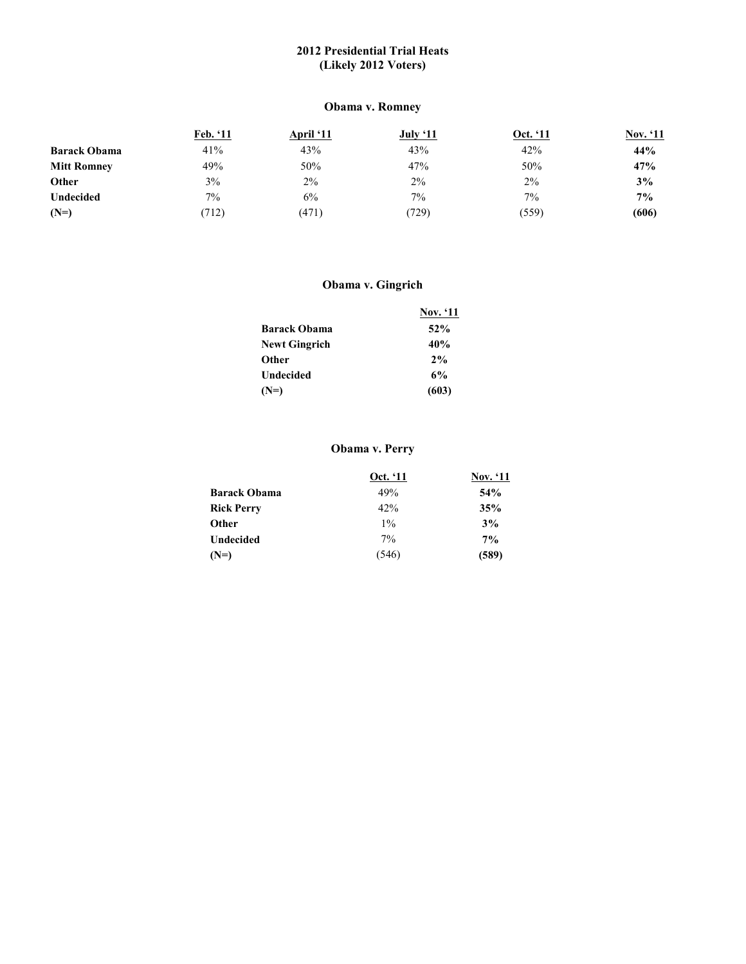# **2012 Presidential Trial Heats (Likely 2012 Voters)**

# **Obama v. Romney**

|                     | Feb. '11 | <b>April</b> '11 | July '11 | Oct. '11 | Nov. '11 |
|---------------------|----------|------------------|----------|----------|----------|
| <b>Barack Obama</b> | 41%      | 43%              | 43%      | 42%      | 44%      |
| <b>Mitt Romney</b>  | 49%      | 50%              | 47%      | 50%      | 47%      |
| Other               | 3%       | 2%               | 2%       | $2\%$    | 3%       |
| <b>Undecided</b>    | $7\%$    | 6%               | $7\%$    | $7\%$    | $7\%$    |
| $(N=)$              | (712)    | (471)            | (729)    | (559)    | (606)    |

# **Obama v. Gingrich**

|                      | <b>Nov.</b> '11 |
|----------------------|-----------------|
| <b>Barack Obama</b>  | 52%             |
| <b>Newt Gingrich</b> | 40%             |
| <b>Other</b>         | 2%              |
| Undecided            | 6%              |
| $(N=)$               | (603)           |

# **Obama v. Perry**

|                     | Oct. '11 | <b>Nov.</b> '11 |
|---------------------|----------|-----------------|
| <b>Barack Obama</b> | 49%      | 54%             |
| <b>Rick Perry</b>   | 42%      | 35%             |
| Other               | $1\%$    | 3%              |
| <b>Undecided</b>    | $7\%$    | $7\%$           |
| $(N=)$              | (546)    | (589)           |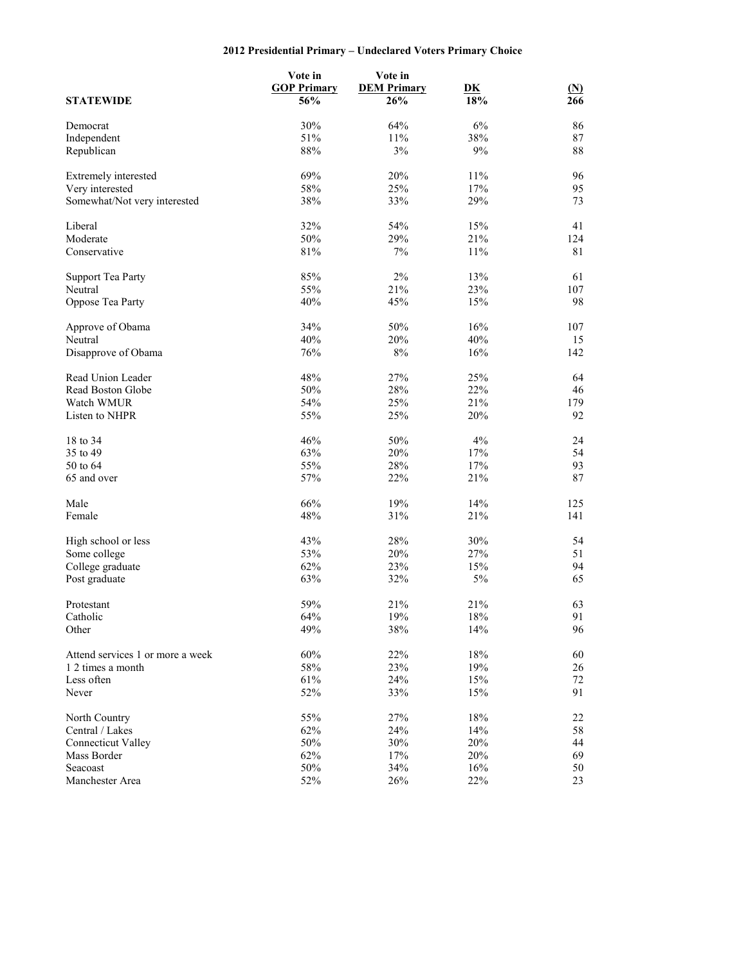# **2012 Presidential Primary – Undeclared Voters Primary Choice**

|                                  | Vote in<br><b>GOP Primary</b> | Vote in<br><b>DEM Primary</b> | D <sub>K</sub> | $\mathbf{M}$ |
|----------------------------------|-------------------------------|-------------------------------|----------------|--------------|
| <b>STATEWIDE</b>                 | 56%                           | 26%                           | 18%            | 266          |
| Democrat                         | 30%                           | 64%                           | 6%             | 86           |
| Independent                      | 51%                           | 11%                           | 38%            | $87\,$       |
| Republican                       | 88%                           | 3%                            | 9%             | $88\,$       |
| Extremely interested             | 69%                           | 20%                           | 11%            | 96           |
| Very interested                  | 58%                           | 25%                           | 17%            | 95           |
| Somewhat/Not very interested     | 38%                           | 33%                           | 29%            | 73           |
| Liberal                          | 32%                           | 54%                           | 15%            | 41           |
| Moderate                         | 50%                           | 29%                           | 21%            | 124          |
| Conservative                     | 81%                           | 7%                            | 11%            | 81           |
| <b>Support Tea Party</b>         | 85%                           | $2\%$                         | 13%            | 61           |
| Neutral                          | 55%                           | 21%                           | 23%            | 107          |
| Oppose Tea Party                 | 40%                           | 45%                           | 15%            | 98           |
| Approve of Obama                 | 34%                           | 50%                           | 16%            | 107          |
| Neutral                          | 40%                           | 20%                           | 40%            | 15           |
| Disapprove of Obama              | 76%                           | $8\%$                         | 16%            | 142          |
| Read Union Leader                | 48%                           | 27%                           | 25%            | 64           |
| Read Boston Globe                | 50%                           | 28%                           | 22%            | 46           |
| Watch WMUR                       | 54%                           | 25%                           | 21%            | 179          |
| Listen to NHPR                   | 55%                           | 25%                           | 20%            | 92           |
| 18 to 34                         | 46%                           | 50%                           | 4%             | 24           |
| 35 to 49                         | 63%                           | 20%                           | 17%            | 54           |
| 50 to 64                         | 55%                           | 28%                           | 17%            | 93           |
| 65 and over                      | 57%                           | 22%                           | 21%            | 87           |
| Male                             | 66%                           | 19%                           | 14%            | 125          |
| Female                           | 48%                           | 31%                           | 21%            | 141          |
| High school or less              | 43%                           | 28%                           | 30%            | 54           |
| Some college                     | 53%                           | 20%                           | 27%            | 51           |
| College graduate                 | 62%                           | 23%                           | 15%            | 94           |
| Post graduate                    | 63%                           | 32%                           | $5\%$          | 65           |
| Protestant                       | 59%                           | 21%                           | 21%            | 63           |
| Catholic                         | 64%                           | 19%                           | $18\%$         | 91           |
| Other                            | 49%                           | 38%                           | 14%            | 96           |
| Attend services 1 or more a week | 60%                           | 22%                           | 18%            | 60           |
| 1 2 times a month                | $58\%$                        | 23%                           | 19%            | 26           |
| Less often                       | 61%                           | 24%                           | 15%            | $72\,$       |
| Never                            | 52%                           | 33%                           | 15%            | 91           |
| North Country                    | 55%                           | 27%                           | $18\%$         | 22           |
| Central / Lakes                  | 62%                           | 24%                           | 14%            | 58           |
| Connecticut Valley               | 50%                           | 30%                           | 20%            | 44           |
| Mass Border                      | 62%                           | 17%                           | 20%            | 69           |
| Seacoast                         | 50%                           | 34%                           | 16%            | 50           |
| Manchester Area                  | 52%                           | 26%                           | 22%            | 23           |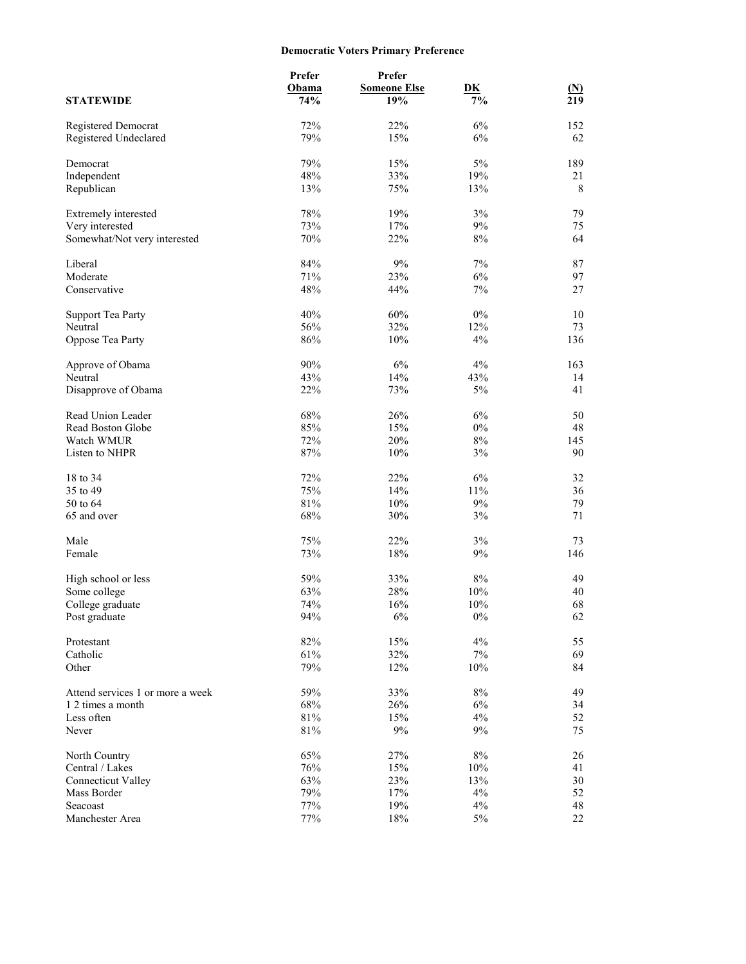# **Democratic Voters Primary Preference**

|                                     | Prefer<br>Obama | Prefer<br><b>Someone Else</b> | DK    |                     |
|-------------------------------------|-----------------|-------------------------------|-------|---------------------|
| <b>STATEWIDE</b>                    | 74%             | 19%                           | 7%    | $\mathbf{M}$<br>219 |
| Registered Democrat                 | 72%             | 22%                           | 6%    | 152                 |
| Registered Undeclared               | 79%             | 15%                           | 6%    | 62                  |
| Democrat                            | 79%             | 15%                           | 5%    | 189                 |
| Independent                         | 48%             | 33%                           | 19%   | 21                  |
| Republican                          | 13%             | 75%                           | 13%   | 8                   |
| Extremely interested                | 78%             | 19%                           | 3%    | 79                  |
| Very interested                     | 73%             | 17%                           | 9%    | 75                  |
| Somewhat/Not very interested        | 70%             | 22%                           | 8%    | 64                  |
| Liberal                             | 84%             | 9%                            | 7%    | 87                  |
| Moderate                            | 71%             | 23%                           | 6%    | 97                  |
| Conservative                        | 48%             | 44%                           | $7\%$ | 27                  |
| <b>Support Tea Party</b>            | 40%             | 60%                           | $0\%$ | 10                  |
| Neutral                             | 56%             | 32%                           | 12%   | 73                  |
| Oppose Tea Party                    | 86%             | 10%                           | 4%    | 136                 |
| Approve of Obama                    | 90%             | 6%                            | 4%    | 163                 |
| Neutral                             | 43%             | 14%                           | 43%   | 14                  |
| Disapprove of Obama                 | 22%             | 73%                           | 5%    | 41                  |
| Read Union Leader                   | 68%             | 26%                           | 6%    | 50                  |
| Read Boston Globe                   | 85%             | 15%                           | $0\%$ | 48                  |
| Watch WMUR                          | 72%             | 20%                           | $8\%$ | 145                 |
| Listen to NHPR                      | 87%             | 10%                           | 3%    | 90                  |
| 18 to 34                            | 72%             | 22%                           | 6%    | 32                  |
| 35 to 49                            | 75%             | 14%                           | 11%   | 36                  |
| 50 to 64                            | 81%             | 10%                           | 9%    | 79                  |
| 65 and over                         | 68%             | 30%                           | 3%    | 71                  |
| Male                                | 75%             | 22%                           | 3%    | 73                  |
| Female                              | 73%             | 18%                           | $9\%$ | 146                 |
|                                     | 59%             | 33%                           | $8\%$ | 49                  |
| High school or less<br>Some college | 63%             | 28%                           | 10%   | 40                  |
| College graduate                    | 74%             | 16%                           | 10%   | 68                  |
| Post graduate                       | 94%             | $6\%$                         | $0\%$ | 62                  |
| Protestant                          | 82%             | 15%                           | 4%    | 55                  |
| Catholic                            | 61%             | 32%                           | $7\%$ | 69                  |
| Other                               | 79%             | 12%                           | 10%   | 84                  |
| Attend services 1 or more a week    | 59%             | 33%                           | $8\%$ | 49                  |
| 1 2 times a month                   | 68%             | 26%                           | $6\%$ | 34                  |
| Less often                          | $81\%$          | 15%                           | 4%    | 52                  |
| Never                               | $81\%$          | 9%                            | 9%    | 75                  |
| North Country                       | 65%             | 27%                           | $8\%$ | 26                  |
| Central / Lakes                     | 76%             | 15%                           | 10%   | 41                  |
| Connecticut Valley                  | 63%             | 23%                           | 13%   | 30                  |
| Mass Border                         | 79%             | 17%                           | 4%    | 52                  |
| Seacoast                            | 77%             | 19%                           | $4\%$ | 48                  |
| Manchester Area                     | 77%             | 18%                           | $5\%$ | 22                  |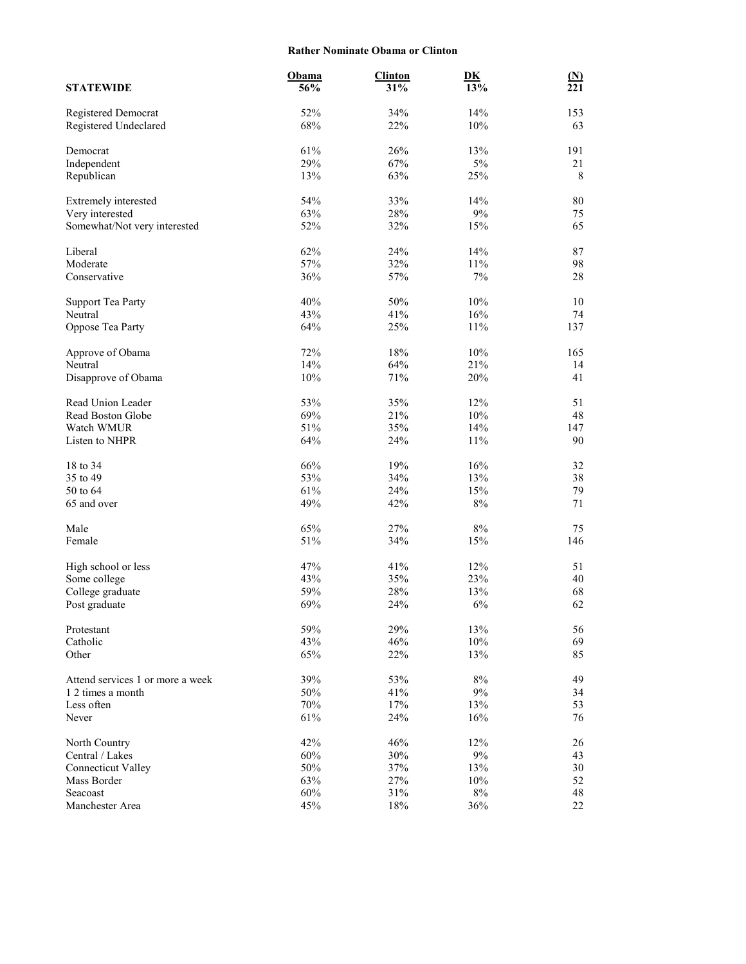#### **Rather Nominate Obama or Clinton**

|                                  | Obama         | <b>Clinton</b> | D <sub>K</sub> | $\mathbf{M}$ |
|----------------------------------|---------------|----------------|----------------|--------------|
| <b>STATEWIDE</b>                 | 56%           | 31%            | 13%            | 221          |
| Registered Democrat              | 52%           | 34%            | 14%            | 153          |
| Registered Undeclared            | 68%           | 22%            | 10%            | 63           |
| Democrat                         | 61%           | 26%            | 13%            | 191          |
| Independent                      | 29%           | 67%            | 5%             | 21           |
| Republican                       | 13%           | 63%            | 25%            | 8            |
| Extremely interested             | 54%           | 33%            | 14%            | $80\,$       |
| Very interested                  | 63%           | 28%            | $9\%$          | 75           |
| Somewhat/Not very interested     | 52%           | 32%            | 15%            | 65           |
| Liberal                          | 62%           | 24%            | 14%            | 87           |
| Moderate                         | 57%           | 32%            | 11%            | 98           |
| Conservative                     | 36%           | 57%            | 7%             | 28           |
| <b>Support Tea Party</b>         | 40%           | 50%            | 10%            | 10           |
| Neutral                          | 43%           | 41%            | 16%            | 74           |
| Oppose Tea Party                 | 64%           | 25%            | 11%            | 137          |
| Approve of Obama                 | 72%           | 18%            | $10\%$         | 165          |
| Neutral                          | 14%           | 64%            | 21%            | 14           |
| Disapprove of Obama              | 10%           | 71%            | 20%            | 41           |
| Read Union Leader                | 53%           | 35%            | 12%            | 51           |
| Read Boston Globe                | 69%           | 21%            | 10%            | $48\,$       |
| Watch WMUR                       | 51%           | 35%            | 14%            | 147          |
| Listen to NHPR                   | 64%           | 24%            | 11%            | 90           |
| 18 to 34                         | 66%           | 19%            | 16%            | 32           |
| 35 to 49                         | 53%           | 34%            | 13%            | 38           |
| 50 to 64                         | 61%           | 24%            | 15%            | 79           |
| 65 and over                      | 49%           | 42%            | $8\%$          | 71           |
| Male                             | 65%           | 27%            | 8%             | 75           |
| Female                           | 51%           | 34%            | 15%            | 146          |
| High school or less              | 47%           | 41%            | 12%            | 51           |
| Some college                     | 43%           | 35%            | 23%            | 40           |
| College graduate                 | 59%           | 28%            | 13%            | 68           |
| Post graduate                    | 69%           | 24%            | 6%             | 62           |
| Protestant                       | 59%           | 29%            | 13%            | 56           |
| Catholic                         | 43%           | 46%            | $10\%$         | 69           |
| Other                            | 65%           | 22%            | 13%            | 85           |
| Attend services 1 or more a week | 39%           | 53%            | $8\%$          | 49           |
| 1 2 times a month                | 50%           | 41%            | $9\%$          | 34           |
| Less often                       | $70\%$        | 17%            | 13%            | 53           |
| Never                            | 61%           | 24%            | 16%            | 76           |
| North Country                    | 42%           | 46%            | 12%            | 26           |
| Central / Lakes                  | 60%           | 30%            | $9\%$          | 43           |
| <b>Connecticut Valley</b>        | 50%           | 37%            | 13%            | 30           |
| Mass Border<br>Seacoast          | 63%<br>$60\%$ | 27%<br>31%     | 10%<br>$8\%$   | 52<br>48     |
| Manchester Area                  | 45%           | $18\%$         | 36%            | $22\,$       |
|                                  |               |                |                |              |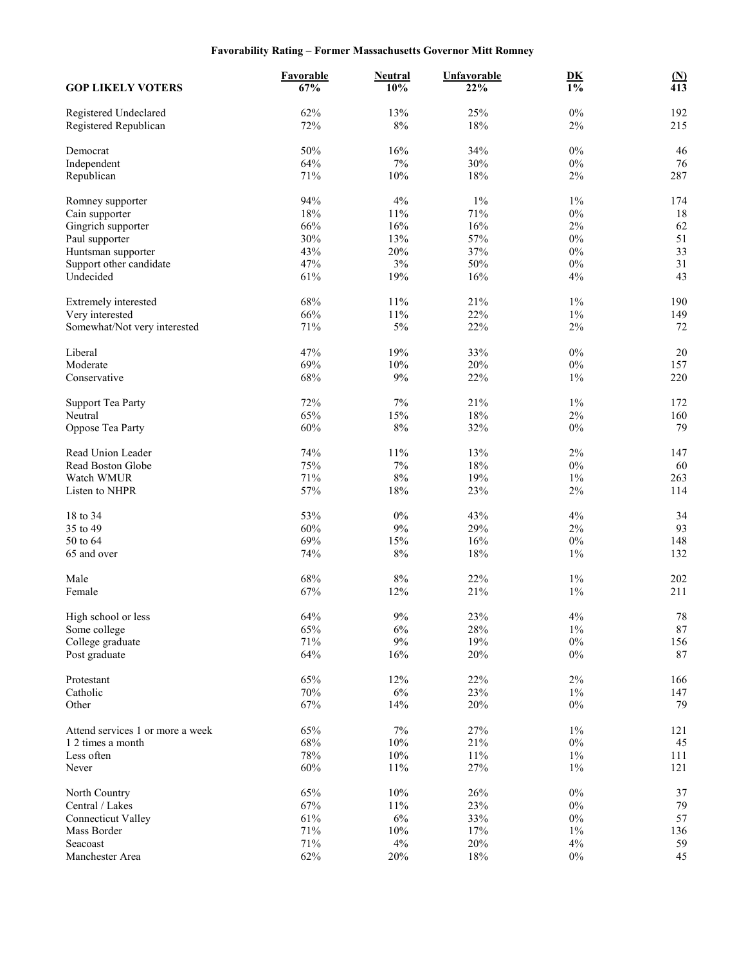# **Favorability Rating – Former Massachusetts Governor Mitt Romney**

| <b>GOP LIKELY VOTERS</b>                              | Favorable<br>67% | <b>Neutral</b><br>10% | <b>Unfavorable</b><br>22% | $\underline{\mathbf{D}}\underline{\mathbf{K}}$<br>$\overline{1\%}$ | $\frac{\text{(N)}}{413}$ |
|-------------------------------------------------------|------------------|-----------------------|---------------------------|--------------------------------------------------------------------|--------------------------|
| Registered Undeclared<br>Registered Republican        | 62%<br>72%       | 13%<br>$8\%$          | 25%<br>18%                | $0\%$<br>$2\%$                                                     | 192<br>215               |
| Democrat                                              | 50%              | 16%                   | 34%                       | $0\%$                                                              | 46                       |
| Independent                                           | 64%              | $7\%$                 | 30%                       | $0\%$                                                              | 76                       |
| Republican                                            | 71%              | $10\%$                | 18%                       | $2\%$                                                              | 287                      |
|                                                       | 94%              | 4%                    | $1\%$                     | $1\%$                                                              | 174                      |
| Romney supporter<br>Cain supporter                    | 18%              | 11%                   | 71%                       | $0\%$                                                              | 18                       |
| Gingrich supporter                                    | 66%              | 16%                   | 16%                       | $2\%$                                                              | 62                       |
| Paul supporter                                        | 30%              | 13%                   | 57%                       | $0\%$                                                              | 51                       |
| Huntsman supporter                                    | 43%              | 20%                   | 37%                       | $0\%$                                                              | 33                       |
| Support other candidate                               | 47%              | $3\%$                 | 50%                       | $0\%$                                                              | 31                       |
| Undecided                                             | 61%              | 19%                   | 16%                       | 4%                                                                 | 43                       |
| Extremely interested                                  | 68%              | 11%                   | 21%                       | $1\%$                                                              | 190                      |
| Very interested                                       | 66%              | 11%                   | 22%                       | $1\%$                                                              | 149                      |
| Somewhat/Not very interested                          | 71%              | $5\%$                 | 22%                       | $2\%$                                                              | 72                       |
|                                                       |                  |                       |                           |                                                                    |                          |
| Liberal                                               | 47%              | 19%                   | 33%                       | $0\%$                                                              | $20\,$                   |
| Moderate                                              | 69%              | 10%                   | 20%                       | $0\%$                                                              | 157                      |
| Conservative                                          | 68%              | 9%                    | 22%                       | $1\%$                                                              | 220                      |
| <b>Support Tea Party</b>                              | 72%              | $7\%$                 | 21%                       | $1\%$                                                              | 172                      |
| Neutral                                               | 65%              | 15%                   | 18%                       | $2\%$                                                              | 160                      |
| Oppose Tea Party                                      | 60%              | $8\%$                 | 32%                       | $0\%$                                                              | 79                       |
| Read Union Leader                                     | 74%              | 11%                   | 13%                       | 2%                                                                 | 147                      |
| Read Boston Globe                                     | 75%              | $7\%$                 | 18%                       | $0\%$                                                              | 60                       |
| Watch WMUR                                            | 71%              | $8\%$                 | 19%                       | $1\%$                                                              | 263                      |
| Listen to NHPR                                        | 57%              | 18%                   | 23%                       | $2\%$                                                              | 114                      |
| 18 to 34                                              | 53%              | $0\%$                 | 43%                       | 4%                                                                 | 34                       |
| 35 to 49                                              | 60%              | $9\%$                 | 29%                       | $2\%$                                                              | 93                       |
| 50 to 64                                              | 69%              | 15%                   | 16%                       | $0\%$                                                              | 148                      |
| 65 and over                                           | 74%              | $8\%$                 | 18%                       | $1\%$                                                              | 132                      |
| Male                                                  | 68%              | $8\%$                 | 22%                       | $1\%$                                                              | 202                      |
| Female                                                | 67%              | 12%                   | 21%                       | $1\%$                                                              | 211                      |
| High school or less                                   | $64\%$           | $9\%$                 | 23%                       | $4\%$                                                              | $78\,$                   |
| Some college                                          | 65%              | 6%                    | 28%                       | $1\%$                                                              | $87\,$                   |
| College graduate                                      | 71%              | $9\%$                 | 19%                       | $0\%$                                                              | 156                      |
| Post graduate                                         | 64%              | 16%                   | 20%                       | $0\%$                                                              | 87                       |
| Protestant                                            | 65%              | 12%                   | 22%                       | $2\%$                                                              | 166                      |
| Catholic                                              | 70%              | $6\%$                 | 23%                       | $1\%$                                                              | 147                      |
| Other                                                 | 67%              | 14%                   | 20%                       | $0\%$                                                              | 79                       |
|                                                       | 65%              | $7\%$                 | 27%                       | $1\%$                                                              |                          |
| Attend services 1 or more a week<br>1 2 times a month | 68%              | 10%                   | 21%                       | $0\%$                                                              | 121<br>45                |
| Less often                                            | 78%              | $10\%$                | $11\%$                    | $1\%$                                                              | 111                      |
| Never                                                 | 60%              | 11%                   | 27%                       | $1\%$                                                              | 121                      |
|                                                       | 65%              | 10%                   | 26%                       | $0\%$                                                              |                          |
| North Country<br>Central / Lakes                      | 67%              | 11%                   | 23%                       | $0\%$                                                              | 37<br>79                 |
| <b>Connecticut Valley</b>                             | 61%              | $6\%$                 | 33%                       | $0\%$                                                              | 57                       |
| Mass Border                                           | 71%              | 10%                   | 17%                       | $1\%$                                                              | 136                      |
| Seacoast                                              | 71%              | $4\%$                 | $20\%$                    | 4%                                                                 | 59                       |
| Manchester Area                                       | 62%              | 20%                   | 18%                       | $0\%$                                                              | 45                       |
|                                                       |                  |                       |                           |                                                                    |                          |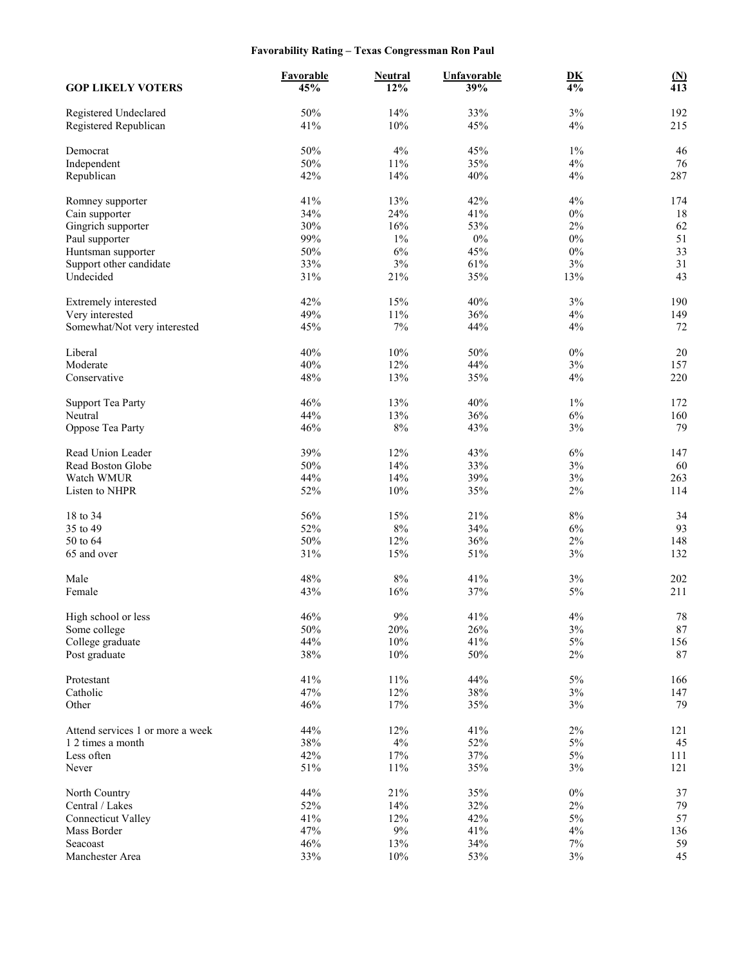# **Favorability Rating – Texas Congressman Ron Paul**

| <b>GOP LIKELY VOTERS</b>                       | Favorable<br>45% | <b>Neutral</b><br>12% | <b>Unfavorable</b><br>39% | $\underline{\mathbf{D}}\underline{\mathbf{K}}$<br>4% | $\frac{\text{(N)}}{413}$ |
|------------------------------------------------|------------------|-----------------------|---------------------------|------------------------------------------------------|--------------------------|
| Registered Undeclared<br>Registered Republican | 50%<br>41%       | 14%<br>10%            | 33%<br>45%                | $3\%$<br>4%                                          | 192<br>215               |
|                                                |                  |                       |                           |                                                      |                          |
| Democrat                                       | 50%              | 4%                    | 45%                       | $1\%$                                                | 46                       |
| Independent                                    | 50%              | $11\%$                | 35%                       | 4%                                                   | 76                       |
| Republican                                     | 42%              | 14%                   | 40%                       | 4%                                                   | 287                      |
| Romney supporter                               | 41%              | 13%                   | 42%                       | 4%                                                   | 174                      |
| Cain supporter                                 | 34%              | 24%                   | 41%                       | $0\%$                                                | 18                       |
| Gingrich supporter                             | 30%              | 16%                   | 53%                       | $2\%$                                                | 62                       |
| Paul supporter                                 | 99%              | $1\%$                 | $0\%$                     | $0\%$                                                | 51                       |
| Huntsman supporter                             | 50%              | $6\%$                 | 45%                       | $0\%$                                                | 33                       |
| Support other candidate                        | 33%              | 3%                    | 61%                       | 3%                                                   | 31                       |
| Undecided                                      | 31%              | 21%                   | 35%                       | 13%                                                  | 43                       |
| Extremely interested                           | 42%              | 15%                   | 40%                       | $3\%$                                                | 190                      |
| Very interested                                | 49%              | 11%                   | 36%                       | 4%                                                   | 149                      |
| Somewhat/Not very interested                   | 45%              | $7\%$                 | 44%                       | 4%                                                   | 72                       |
| Liberal                                        | 40%              | 10%                   | 50%                       | $0\%$                                                | 20                       |
| Moderate                                       | 40%              | 12%                   | 44%                       | $3\%$                                                | 157                      |
| Conservative                                   | 48%              | 13%                   | 35%                       | 4%                                                   | 220                      |
|                                                |                  |                       |                           |                                                      |                          |
| <b>Support Tea Party</b>                       | 46%              | 13%                   | 40%                       | $1\%$                                                | 172                      |
| Neutral                                        | 44%              | 13%                   | 36%                       | $6\%$                                                | 160                      |
| Oppose Tea Party                               | 46%              | $8\%$                 | 43%                       | $3\%$                                                | 79                       |
| Read Union Leader                              | 39%              | 12%                   | 43%                       | 6%                                                   | 147                      |
| Read Boston Globe                              | 50%              | 14%                   | 33%                       | $3\%$                                                | 60                       |
| Watch WMUR                                     | 44%              | 14%                   | 39%                       | $3\%$                                                | 263                      |
| Listen to NHPR                                 | 52%              | 10%                   | 35%                       | $2\%$                                                | 114                      |
|                                                |                  |                       |                           |                                                      |                          |
| 18 to 34<br>35 to 49                           | 56%<br>52%       | 15%<br>$8\%$          | 21%<br>34%                | 8%<br>6%                                             | 34<br>93                 |
| 50 to 64                                       | 50%              | 12%                   | 36%                       | 2%                                                   | 148                      |
| 65 and over                                    | 31%              | 15%                   | 51%                       | $3\%$                                                | 132                      |
|                                                |                  |                       |                           |                                                      |                          |
| Male                                           | 48%              | $8\%$                 | 41%                       | 3%                                                   | 202                      |
| Female                                         | 43%              | 16%                   | 37%                       | $5\%$                                                | 211                      |
|                                                |                  |                       |                           |                                                      |                          |
| High school or less<br>Some college            | 46%<br>50%       | 9%<br>20%             | 41%<br>26%                | 4%<br>$3\%$                                          | 78<br>87                 |
| College graduate                               | 44%              | $10\%$                | 41%                       | $5\%$                                                | 156                      |
| Post graduate                                  | $38\%$           | $10\%$                | 50%                       | $2\%$                                                | $87\,$                   |
|                                                |                  |                       |                           |                                                      |                          |
| Protestant                                     | 41%              | $11\%$                | 44%                       | $5\%$                                                | 166                      |
| Catholic                                       | 47%              | $12\%$                | 38%                       | $3\%$                                                | 147                      |
| Other                                          | 46%              | 17%                   | 35%                       | $3\%$                                                | 79                       |
| Attend services 1 or more a week               | 44%              | 12%                   | 41%                       | $2\%$                                                | 121                      |
| 1 2 times a month                              | 38%              | $4\%$                 | 52%                       | $5\%$                                                | 45                       |
| Less often                                     | 42%              | $17\%$                | 37%                       | $5\%$                                                | 111                      |
| Never                                          | $51\%$           | 11%                   | 35%                       | $3\%$                                                | 121                      |
|                                                |                  |                       |                           |                                                      |                          |
| North Country<br>Central / Lakes               | 44%<br>52%       | 21%<br>14%            | 35%<br>32%                | $0\%$<br>$2\%$                                       | 37<br>79                 |
| <b>Connecticut Valley</b>                      | 41%              | 12%                   | 42%                       | $5\%$                                                | 57                       |
| Mass Border                                    | 47%              | $9\%$                 | 41%                       | $4\%$                                                | 136                      |
| Seacoast                                       | 46%              | 13%                   | 34%                       | $7\%$                                                | 59                       |
| Manchester Area                                | 33%              | 10%                   | 53%                       | $3\%$                                                | 45                       |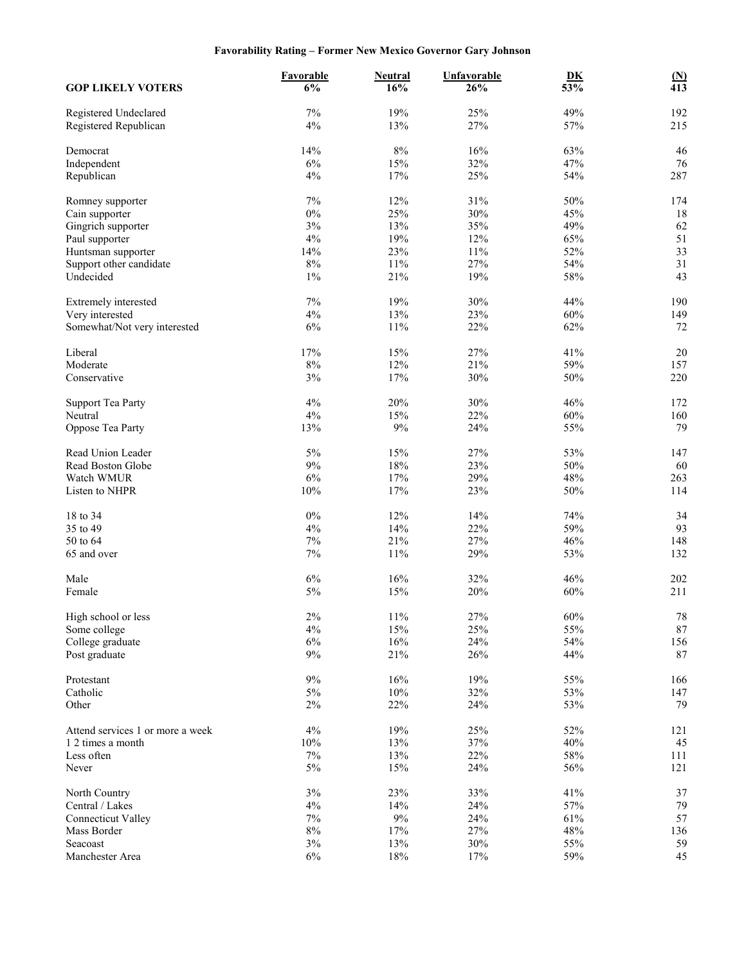# **Favorability Rating – Former New Mexico Governor Gary Johnson**

| <b>GOP LIKELY VOTERS</b>            | Favorable<br>6% | <b>Neutral</b><br>16% | <b>Unfavorable</b><br>26% | D <sub>K</sub><br>53% | $\frac{\text{(N)}}{413}$ |
|-------------------------------------|-----------------|-----------------------|---------------------------|-----------------------|--------------------------|
| Registered Undeclared               | $7\%$           | 19%                   | 25%                       | 49%                   | 192                      |
| Registered Republican               | 4%              | 13%                   | 27%                       | 57%                   | 215                      |
| Democrat                            | 14%             | $8\%$                 | 16%                       | 63%                   | 46                       |
| Independent                         | 6%              | 15%                   | 32%                       | 47%                   | 76                       |
| Republican                          | 4%              | 17%                   | 25%                       | 54%                   | 287                      |
| Romney supporter                    | 7%              | 12%                   | 31%                       | 50%                   | 174                      |
| Cain supporter                      | $0\%$           | 25%                   | 30%                       | 45%                   | 18                       |
| Gingrich supporter                  | 3%              | 13%                   | 35%                       | 49%                   | 62                       |
|                                     | 4%              | 19%                   | 12%                       | 65%                   | 51                       |
| Paul supporter                      | 14%             | 23%                   | 11%                       | 52%                   | 33                       |
| Huntsman supporter                  |                 |                       |                           |                       |                          |
| Support other candidate             | $8\%$           | $11\%$                | 27%                       | 54%                   | 31                       |
| Undecided                           | $1\%$           | 21%                   | 19%                       | 58%                   | 43                       |
| Extremely interested                | 7%              | 19%                   | 30%                       | 44%                   | 190                      |
| Very interested                     | 4%              | 13%                   | 23%                       | 60%                   | 149                      |
| Somewhat/Not very interested        | 6%              | 11%                   | 22%                       | 62%                   | 72                       |
| Liberal                             | 17%             | 15%                   | 27%                       | 41%                   | 20                       |
| Moderate                            | $8\%$           | 12%                   | 21%                       | 59%                   | 157                      |
| Conservative                        | 3%              | 17%                   | 30%                       | 50%                   | 220                      |
|                                     | 4%              | 20%                   | 30%                       | 46%                   | 172                      |
| <b>Support Tea Party</b><br>Neutral | 4%              | 15%                   | 22%                       | 60%                   | 160                      |
|                                     |                 |                       |                           |                       |                          |
| Oppose Tea Party                    | 13%             | $9\%$                 | 24%                       | 55%                   | 79                       |
| Read Union Leader                   | 5%              | 15%                   | 27%                       | 53%                   | 147                      |
| Read Boston Globe                   | $9\%$           | $18\%$                | 23%                       | 50%                   | 60                       |
| Watch WMUR                          | 6%              | 17%                   | 29%                       | 48%                   | 263                      |
| Listen to NHPR                      | 10%             | 17%                   | 23%                       | $50\%$                | 114                      |
| 18 to 34                            | $0\%$           | 12%                   | 14%                       | 74%                   | 34                       |
| 35 to 49                            | 4%              | 14%                   | 22%                       | 59%                   | 93                       |
| 50 to 64                            | 7%              | 21%                   | 27%                       | 46%                   | 148                      |
| 65 and over                         | 7%              | 11%                   | 29%                       | 53%                   | 132                      |
| Male                                | 6%              | 16%                   | 32%                       | 46%                   | 202                      |
| Female                              | $5\%$           | 15%                   | 20%                       | 60%                   | 211                      |
|                                     |                 |                       |                           |                       |                          |
| High school or less                 | $2\%$           | $11\%$                | 27%                       | $60\%$                | 78                       |
| Some college                        | $4\%$           | 15%                   | 25%                       | 55%                   | $87\,$                   |
| College graduate                    | $6\%$           | $16\%$                | 24%                       | 54%                   | 156                      |
| Post graduate                       | $9\%$           | 21%                   | 26%                       | 44%                   | 87                       |
| Protestant                          | 9%              | 16%                   | 19%                       | 55%                   | 166                      |
| Catholic                            | 5%              | $10\%$                | 32%                       | 53%                   | 147                      |
| Other                               | $2\%$           | 22%                   | 24%                       | 53%                   | 79                       |
| Attend services 1 or more a week    | $4\%$           | 19%                   | 25%                       | 52%                   | 121                      |
| 1 2 times a month                   |                 |                       |                           |                       |                          |
| Less often                          | 10%<br>$7\%$    | 13%<br>13%            | 37%<br>22%                | 40%<br>58%            | 45<br>111                |
| Never                               | $5\%$           | 15%                   | 24%                       | 56%                   | 121                      |
|                                     |                 |                       |                           |                       |                          |
| North Country                       | $3\%$           | 23%                   | 33%                       | 41%                   | 37                       |
| Central / Lakes                     | 4%              | 14%                   | 24%                       | 57%                   | 79                       |
| <b>Connecticut Valley</b>           | 7%              | $9\%$                 | 24%                       | 61%                   | 57                       |
| Mass Border                         | $8\%$           | 17%                   | 27%                       | 48%                   | 136                      |
| Seacoast                            | $3\%$           | 13%                   | $30\%$                    | 55%                   | 59                       |
| Manchester Area                     | $6\%$           | $18\%$                | 17%                       | 59%                   | 45                       |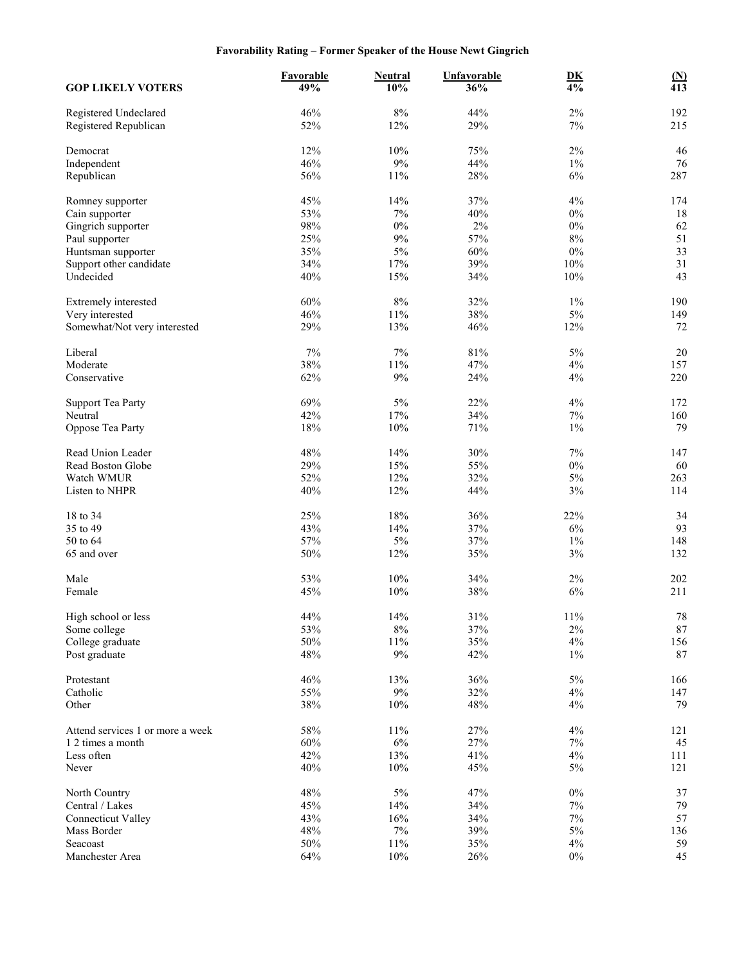# **Favorability Rating – Former Speaker of the House Newt Gingrich**

| <b>GOP LIKELY VOTERS</b>                       | Favorable<br>49% | <b>Neutral</b><br>10% | <b>Unfavorable</b><br>36% | $\mathbf{D}\mathbf{K}$<br>$\overline{4\%}$ | $\frac{\text{(N)}}{413}$ |
|------------------------------------------------|------------------|-----------------------|---------------------------|--------------------------------------------|--------------------------|
| Registered Undeclared<br>Registered Republican | 46%<br>52%       | $8\%$<br>12%          | 44%<br>29%                | $2\%$<br>7%                                | 192<br>215               |
| Democrat                                       | 12%              | 10%                   | 75%                       | $2\%$                                      | 46                       |
| Independent                                    | 46%              | $9\%$                 | 44%                       | $1\%$                                      | 76                       |
| Republican                                     | 56%              | 11%                   | 28%                       | $6\%$                                      | 287                      |
| Romney supporter                               | 45%              | 14%                   | 37%                       | 4%                                         | 174                      |
| Cain supporter                                 | 53%              | 7%                    | 40%                       | $0\%$                                      | 18                       |
| Gingrich supporter                             | 98%              | $0\%$                 | 2%                        | $0\%$                                      | 62                       |
| Paul supporter                                 | 25%              | 9%                    | 57%                       | 8%                                         | 51                       |
| Huntsman supporter                             | 35%              | 5%                    | 60%                       | $0\%$                                      | 33                       |
| Support other candidate                        | 34%              | 17%                   | 39%                       | 10%                                        | 31                       |
| Undecided                                      | 40%              | 15%                   | 34%                       | 10%                                        | 43                       |
| Extremely interested                           | 60%              | $8\%$                 | 32%                       | $1\%$                                      | 190                      |
| Very interested                                | 46%              | $11\%$                | 38%                       | $5\%$                                      | 149                      |
| Somewhat/Not very interested                   | 29%              | 13%                   | 46%                       | 12%                                        | 72                       |
| Liberal                                        | 7%               | 7%                    | 81%                       | 5%                                         | 20                       |
| Moderate                                       | 38%              | 11%                   | 47%                       | 4%                                         | 157                      |
| Conservative                                   | 62%              | 9%                    | 24%                       | 4%                                         | 220                      |
| <b>Support Tea Party</b>                       | 69%              | 5%                    | 22%                       | 4%                                         | 172                      |
| Neutral                                        | 42%              | 17%                   | 34%                       | $7\%$                                      | 160                      |
| Oppose Tea Party                               | 18%              | 10%                   | 71%                       | $1\%$                                      | 79                       |
| Read Union Leader                              | 48%              | 14%                   | 30%                       | 7%                                         | 147                      |
| Read Boston Globe                              | 29%              | 15%                   | 55%                       | $0\%$                                      | 60                       |
| Watch WMUR                                     | 52%              | 12%                   | 32%                       | $5\%$                                      | 263                      |
| Listen to NHPR                                 | 40%              | 12%                   | 44%                       | 3%                                         | 114                      |
|                                                |                  |                       |                           |                                            |                          |
| 18 to 34<br>35 to 49                           | 25%<br>43%       | 18%<br>14%            | 36%<br>37%                | 22%<br>$6\%$                               | 34<br>93                 |
| 50 to 64                                       | 57%              | $5\%$                 | 37%                       | $1\%$                                      | 148                      |
| 65 and over                                    | 50%              | 12%                   | 35%                       | $3\%$                                      | 132                      |
|                                                |                  |                       |                           |                                            |                          |
| Male                                           | 53%              | 10%                   | 34%                       | $2\%$                                      | 202                      |
| Female                                         | 45%              | 10%                   | 38%                       | 6%                                         | 211                      |
| High school or less                            | 44%              | $14\%$                | $31\%$                    | $11\%$                                     | 78                       |
| Some college                                   | 53%              | $8\%$                 | 37%                       | $2\%$                                      | $87\,$                   |
| College graduate                               | 50%              | $11\%$                | 35%                       | $4\%$                                      | 156                      |
| Post graduate                                  | 48%              | 9%                    | 42%                       | $1\%$                                      | 87                       |
| Protestant                                     | 46%              | 13%                   | 36%                       | $5\%$                                      | 166                      |
| Catholic                                       | 55%              | $9\%$                 | 32%                       | 4%                                         | 147                      |
| Other                                          | 38%              | 10%                   | 48%                       | 4%                                         | 79                       |
| Attend services 1 or more a week               | 58%              | $11\%$                | 27%                       | 4%                                         | 121                      |
| 1 2 times a month                              | 60%              | 6%                    | 27%                       | $7\%$                                      | 45                       |
| Less often                                     | 42%              | 13%                   | 41%                       | 4%                                         | 111                      |
| Never                                          | 40%              | 10%                   | 45%                       | $5\%$                                      | 121                      |
| North Country                                  | 48%              | $5\%$                 | 47%                       | $0\%$                                      | 37                       |
| Central / Lakes                                | 45%              | 14%                   | 34%                       | $7\%$                                      | 79                       |
| <b>Connecticut Valley</b>                      | 43%              | 16%                   | 34%                       | $7\%$                                      | 57                       |
| Mass Border                                    | 48%              | $7\%$                 | 39%                       | $5\%$                                      | 136                      |
| Seacoast                                       | $50\%$           | $11\%$                | 35%                       | $4\%$                                      | 59                       |
| Manchester Area                                | 64%              | 10%                   | 26%                       | $0\%$                                      | 45                       |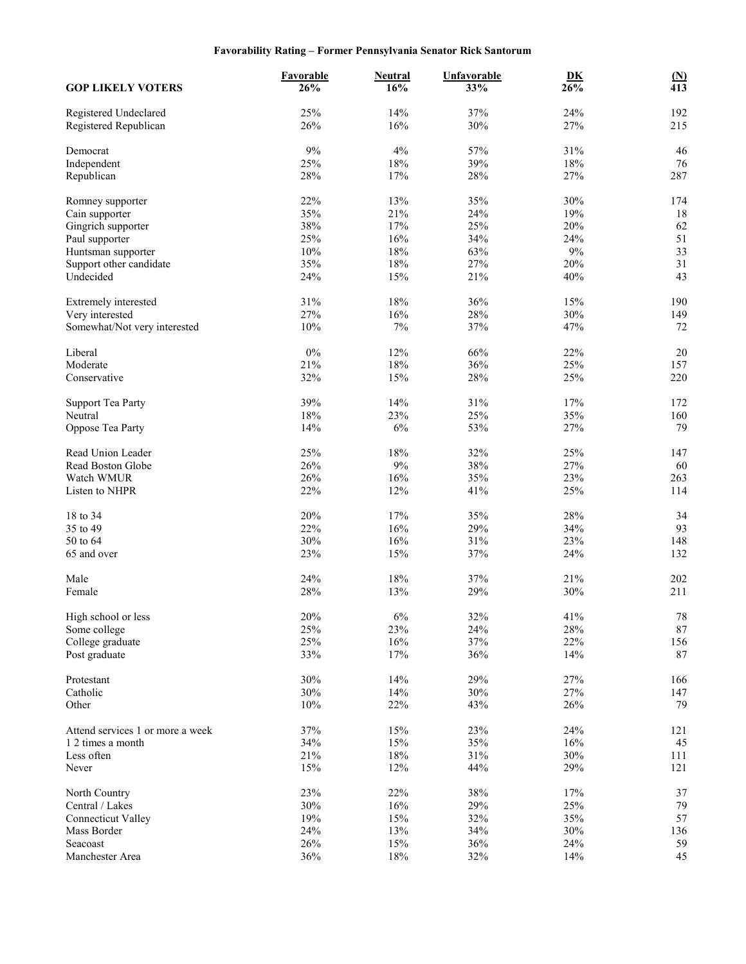# **Favorability Rating – Former Pennsylvania Senator Rick Santorum**

| <b>GOP LIKELY VOTERS</b>                       | <b>Favorable</b><br>26% | <b>Neutral</b><br>16% | <b>Unfavorable</b><br>33% | D <sub>K</sub><br>26% | $\frac{\text{(N)}}{413}$ |
|------------------------------------------------|-------------------------|-----------------------|---------------------------|-----------------------|--------------------------|
| Registered Undeclared<br>Registered Republican | 25%<br>26%              | 14%<br>16%            | 37%<br>30%                | 24%<br>27%            | 192<br>215               |
|                                                |                         |                       |                           |                       |                          |
| Democrat                                       | 9%                      | 4%                    | 57%                       | 31%                   | 46                       |
| Independent                                    | 25%<br>28%              | $18\%$<br>17%         | 39%<br>28%                | 18%<br>27%            | 76<br>287                |
| Republican                                     |                         |                       |                           |                       |                          |
| Romney supporter                               | 22%                     | 13%                   | 35%                       | 30%                   | 174                      |
| Cain supporter                                 | 35%                     | 21%                   | 24%                       | 19%                   | 18                       |
| Gingrich supporter                             | 38%                     | 17%                   | 25%                       | 20%                   | 62                       |
| Paul supporter                                 | 25%                     | 16%                   | 34%                       | 24%                   | 51                       |
| Huntsman supporter                             | $10\%$                  | 18%                   | 63%                       | $9\%$                 | 33                       |
| Support other candidate                        | 35%                     | $18\%$                | 27%                       | 20%                   | 31                       |
| Undecided                                      | 24%                     | 15%                   | 21%                       | 40%                   | 43                       |
| Extremely interested                           | 31%                     | 18%                   | 36%                       | 15%                   | 190                      |
| Very interested                                | 27%                     | 16%                   | 28%                       | 30%                   | 149                      |
| Somewhat/Not very interested                   | 10%                     | $7\%$                 | 37%                       | 47%                   | 72                       |
| Liberal                                        | $0\%$                   | 12%                   | 66%                       | 22%                   | 20                       |
| Moderate                                       | 21%                     | $18\%$                | 36%                       | 25%                   | 157                      |
| Conservative                                   | 32%                     | 15%                   | 28%                       | 25%                   | 220                      |
|                                                |                         |                       |                           |                       |                          |
| <b>Support Tea Party</b>                       | 39%                     | 14%                   | 31%                       | 17%                   | 172                      |
| Neutral                                        | 18%                     | 23%                   | 25%                       | 35%                   | 160                      |
| Oppose Tea Party                               | 14%                     | $6\%$                 | 53%                       | 27%                   | 79                       |
| Read Union Leader                              | 25%                     | 18%                   | 32%                       | 25%                   | 147                      |
| Read Boston Globe                              | 26%                     | $9\%$                 | 38%                       | 27%                   | 60                       |
| Watch WMUR                                     | 26%                     | 16%                   | 35%                       | 23%                   | 263                      |
| Listen to NHPR                                 | 22%                     | 12%                   | 41%                       | 25%                   | 114                      |
|                                                |                         |                       |                           |                       |                          |
| 18 to 34<br>35 to 49                           | 20%<br>22%              | 17%<br>16%            | 35%<br>29%                | 28%<br>34%            | 34<br>93                 |
| 50 to 64                                       | 30%                     | 16%                   | 31%                       | 23%                   | 148                      |
| 65 and over                                    | 23%                     | 15%                   | 37%                       | 24%                   | 132                      |
|                                                |                         |                       |                           |                       |                          |
| Male                                           | 24%                     | 18%                   | 37%                       | 21%                   | 202                      |
| Female                                         | 28%                     | 13%                   | 29%                       | 30%                   | 211                      |
| High school or less                            | $20\%$                  | $6\%$                 | $32\%$                    | 41%                   | $78\,$                   |
| Some college                                   | 25%                     | 23%                   | 24%                       | $28\%$                | $87\,$                   |
| College graduate                               | 25%                     | $16\%$                | 37%                       | 22%                   | 156                      |
| Post graduate                                  | 33%                     | 17%                   | 36%                       | 14%                   | 87                       |
|                                                |                         |                       |                           |                       |                          |
| Protestant                                     | 30%                     | 14%                   | 29%                       | 27%                   | 166                      |
| Catholic                                       | 30%                     | 14%                   | 30%                       | 27%                   | 147                      |
| Other                                          | 10%                     | 22%                   | 43%                       | 26%                   | 79                       |
| Attend services 1 or more a week               | 37%                     | 15%                   | 23%                       | 24%                   | 121                      |
| 1 2 times a month                              | 34%                     | 15%                   | 35%                       | 16%                   | 45                       |
| Less often                                     | 21%                     | $18\%$                | 31%                       | 30%                   | 111                      |
| Never                                          | 15%                     | 12%                   | 44%                       | 29%                   | 121                      |
| North Country                                  | 23%                     | 22%                   | 38%                       | 17%                   | 37                       |
| Central / Lakes                                | 30%                     | 16%                   | 29%                       | 25%                   | 79                       |
| <b>Connecticut Valley</b>                      | 19%                     | 15%                   | 32%                       | 35%                   | 57                       |
| Mass Border                                    | 24%                     | 13%                   | 34%                       | 30%                   | 136                      |
| Seacoast                                       | 26%                     | 15%                   | 36%                       | 24%                   | 59                       |
| Manchester Area                                | 36%                     | $18\%$                | 32%                       | 14%                   | 45                       |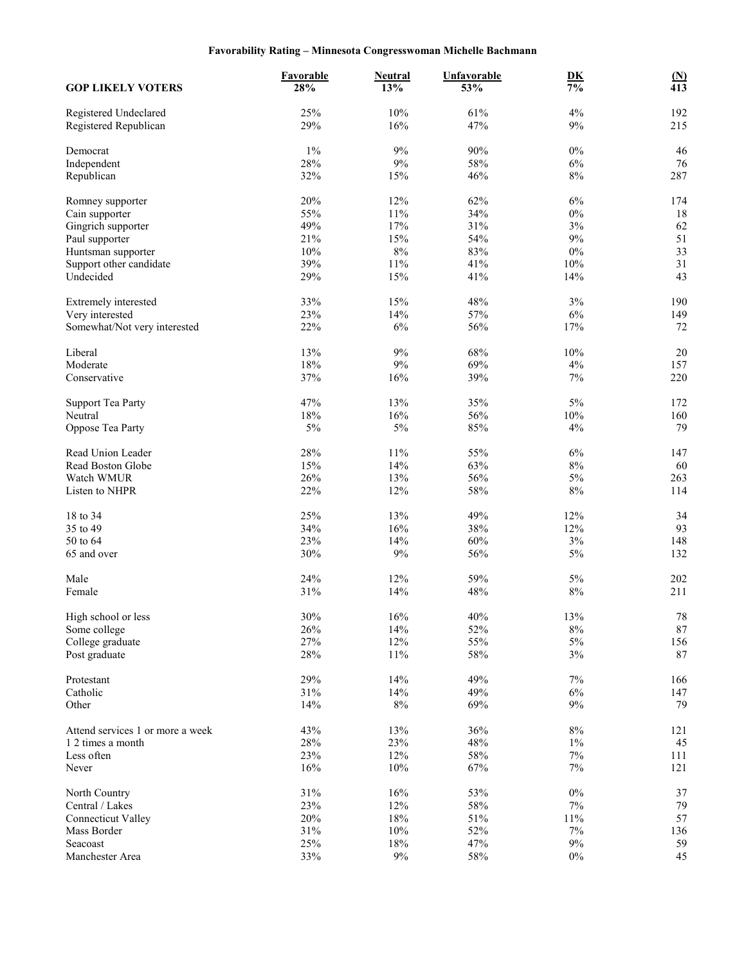# **Favorability Rating – Minnesota Congresswoman Michelle Bachmann**

| <b>GOP LIKELY VOTERS</b>                       | Favorable<br>28% | <b>Neutral</b><br>13% | <b>Unfavorable</b><br>53% | $\underline{\mathbf{D}}\underline{\mathbf{K}}$<br>$\frac{1}{7\%}$ | $\underline{\mathbf{(N)}}$<br>$\overline{413}$ |
|------------------------------------------------|------------------|-----------------------|---------------------------|-------------------------------------------------------------------|------------------------------------------------|
| Registered Undeclared<br>Registered Republican | 25%<br>29%       | 10%<br>16%            | 61%<br>47%                | 4%<br>9%                                                          | 192<br>215                                     |
| Democrat                                       | $1\%$            | 9%                    | 90%                       | $0\%$                                                             | 46                                             |
| Independent                                    | 28%              | 9%                    | 58%                       | $6\%$                                                             | 76                                             |
| Republican                                     | 32%              | 15%                   | 46%                       | 8%                                                                | 287                                            |
| Romney supporter                               | 20%              | 12%                   | 62%                       | 6%                                                                | 174                                            |
| Cain supporter                                 | 55%              | $11\%$                | 34%                       | $0\%$                                                             | 18                                             |
| Gingrich supporter                             | 49%              | 17%                   | 31%                       | $3\%$                                                             | 62                                             |
| Paul supporter                                 | 21%              | 15%                   | 54%                       | 9%                                                                | 51                                             |
| Huntsman supporter                             | 10%              | $8\%$                 | 83%                       | $0\%$                                                             | 33                                             |
| Support other candidate                        | 39%              | $11\%$                | 41%                       | 10%                                                               | 31                                             |
| Undecided                                      | 29%              | 15%                   | 41%                       | 14%                                                               | 43                                             |
| Extremely interested                           | 33%              | 15%                   | 48%                       | 3%                                                                | 190                                            |
| Very interested                                | 23%              | 14%                   | 57%                       | $6\%$                                                             | 149                                            |
| Somewhat/Not very interested                   | 22%              | $6\%$                 | 56%                       | $17\%$                                                            | 72                                             |
| Liberal                                        | 13%              | 9%                    | 68%                       | 10%                                                               | 20                                             |
| Moderate                                       | 18%              | 9%                    | 69%                       | 4%                                                                | 157                                            |
| Conservative                                   | 37%              | 16%                   | 39%                       | 7%                                                                | 220                                            |
| <b>Support Tea Party</b>                       | 47%              | 13%                   | 35%                       | 5%                                                                | 172                                            |
| Neutral                                        | 18%              | 16%                   | 56%                       | 10%                                                               | 160                                            |
| Oppose Tea Party                               | 5%               | $5\%$                 | 85%                       | 4%                                                                | 79                                             |
| Read Union Leader                              | 28%              | $11\%$                | 55%                       | $6\%$                                                             | 147                                            |
| Read Boston Globe                              | 15%              | 14%                   | 63%                       | $8\%$                                                             | 60                                             |
| Watch WMUR                                     | 26%              | 13%                   | 56%                       | $5\%$                                                             | 263                                            |
| Listen to NHPR                                 | 22%              | 12%                   | 58%                       | $8\%$                                                             | 114                                            |
| 18 to 34                                       | 25%              | 13%                   | 49%                       | 12%                                                               | 34                                             |
| 35 to 49                                       | 34%              | 16%                   | 38%                       | 12%                                                               | 93                                             |
| 50 to 64                                       | 23%              | 14%                   | 60%                       | 3%                                                                | 148                                            |
| 65 and over                                    | 30%              | $9\%$                 | 56%                       | 5%                                                                | 132                                            |
| Male                                           | 24%              | 12%                   | 59%                       | $5\%$                                                             | 202                                            |
| Female                                         | 31%              | 14%                   | 48%                       | $8\%$                                                             | 211                                            |
| High school or less                            | 30%              | 16%                   | 40%                       | 13%                                                               | 78                                             |
| Some college                                   | 26%              | 14%                   | 52%                       | $8\%$                                                             | $87\,$                                         |
| College graduate                               | 27%              | 12%                   | 55%                       | $5\%$                                                             | 156                                            |
| Post graduate                                  | $28\%$           | $11\%$                | $58\%$                    | $3\%$                                                             | $87\,$                                         |
| Protestant                                     | 29%              | 14%                   | 49%                       | 7%                                                                | 166                                            |
| Catholic                                       | 31%              | 14%                   | 49%                       | $6\%$                                                             | 147                                            |
| Other                                          | 14%              | $8\%$                 | 69%                       | $9\%$                                                             | 79                                             |
| Attend services 1 or more a week               | 43%              | 13%                   | 36%                       | $8\%$                                                             | 121                                            |
| 1 2 times a month                              | $28\%$           | 23%                   | 48%                       | $1\%$                                                             | 45                                             |
| Less often                                     | 23%              | 12%                   | 58%                       | $7\%$                                                             | 111                                            |
| Never                                          | 16%              | $10\%$                | 67%                       | 7%                                                                | 121                                            |
| North Country                                  | 31%              | 16%                   | 53%                       | $0\%$                                                             | 37                                             |
| Central / Lakes                                | 23%              | 12%                   | 58%                       | $7\%$                                                             | 79                                             |
| <b>Connecticut Valley</b>                      | 20%              | $18\%$                | 51%                       | $11\%$                                                            | 57                                             |
| Mass Border                                    | 31%              | $10\%$                | 52%                       | $7\%$                                                             | 136                                            |
| Seacoast                                       | 25%              | $18\%$                | 47%                       | $9\%$                                                             | 59                                             |
| Manchester Area                                | 33%              | $9\%$                 | 58%                       | $0\%$                                                             | 45                                             |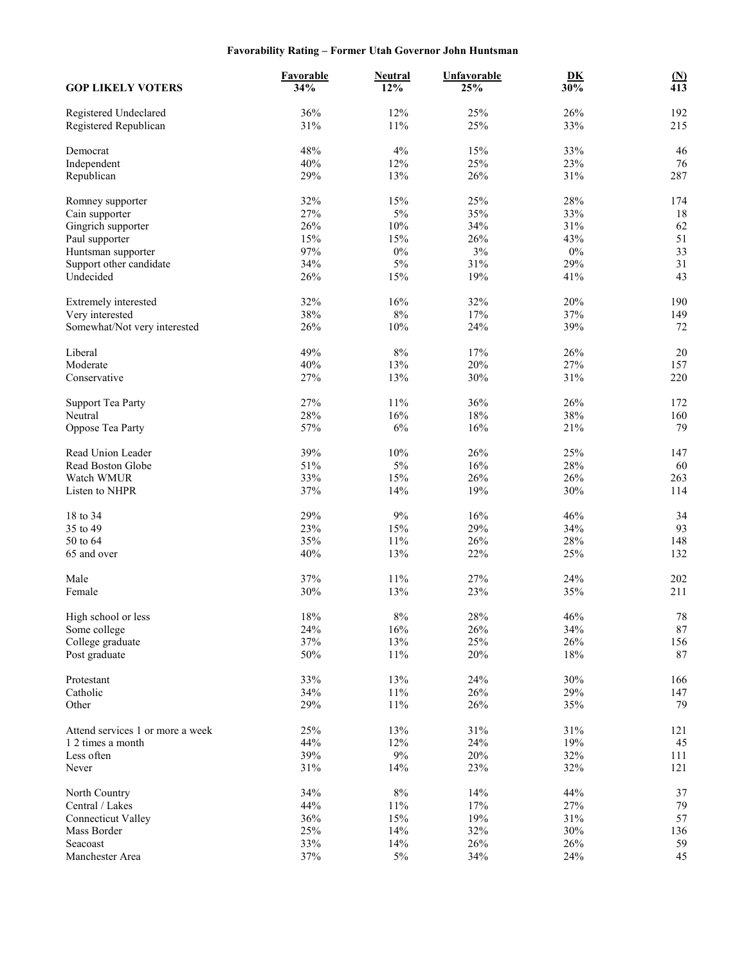# **Favorability Rating – Former Utah Governor John Huntsman**

| <b>GOP LIKELY VOTERS</b>                       | Favorable<br>34% | <b>Neutral</b><br>12% | <b>Unfavorable</b><br>25% | D <sub>K</sub><br>30% | $\frac{\text{(N)}}{413}$ |
|------------------------------------------------|------------------|-----------------------|---------------------------|-----------------------|--------------------------|
| Registered Undeclared<br>Registered Republican | 36%<br>31%       | 12%<br>11%            | 25%<br>25%                | 26%<br>33%            | 192<br>215               |
|                                                |                  |                       |                           |                       |                          |
| Democrat                                       | 48%              | 4%                    | 15%                       | 33%                   | 46                       |
| Independent                                    | 40%              | 12%                   | 25%                       | 23%                   | 76                       |
| Republican                                     | 29%              | 13%                   | 26%                       | 31%                   | 287                      |
| Romney supporter                               | 32%              | 15%                   | 25%                       | 28%                   | 174                      |
| Cain supporter                                 | 27%              | 5%                    | 35%                       | 33%                   | 18                       |
| Gingrich supporter                             | 26%              | $10\%$                | 34%                       | 31%                   | 62                       |
| Paul supporter                                 | 15%              | 15%                   | 26%                       | 43%                   | 51                       |
| Huntsman supporter                             | 97%              | $0\%$                 | $3\%$                     | $0\%$                 | 33                       |
| Support other candidate                        | 34%              | $5\%$                 | 31%                       | 29%                   | 31                       |
| Undecided                                      | 26%              | 15%                   | 19%                       | 41%                   | 43                       |
| Extremely interested                           | 32%              | 16%                   | 32%                       | 20%                   | 190                      |
| Very interested                                | 38%              | $8\%$                 | 17%                       | 37%                   | 149                      |
| Somewhat/Not very interested                   | 26%              | 10%                   | 24%                       | 39%                   | 72                       |
| Liberal                                        | 49%              | $8\%$                 | 17%                       | 26%                   | 20                       |
| Moderate                                       | 40%              | 13%                   | 20%                       | 27%                   | 157                      |
| Conservative                                   | 27%              | 13%                   | 30%                       | 31%                   | 220                      |
| <b>Support Tea Party</b>                       | 27%              | 11%                   | 36%                       | 26%                   | 172                      |
| Neutral                                        | 28%              | 16%                   | $18\%$                    | 38%                   | 160                      |
| Oppose Tea Party                               | 57%              | 6%                    | 16%                       | 21%                   | 79                       |
| Read Union Leader                              | 39%              | $10\%$                | 26%                       | 25%                   | 147                      |
| Read Boston Globe                              | 51%              | 5%                    | 16%                       | 28%                   | 60                       |
| Watch WMUR                                     | 33%              | 15%                   | 26%                       | 26%                   | 263                      |
| Listen to NHPR                                 | 37%              | 14%                   | 19%                       | 30%                   | 114                      |
|                                                |                  |                       |                           |                       |                          |
| 18 to 34                                       | 29%              | $9\%$                 | 16%                       | 46%                   | 34<br>93                 |
| 35 to 49<br>50 to 64                           | 23%              | 15%                   | 29%                       | 34%                   |                          |
| 65 and over                                    | 35%<br>40%       | 11%<br>13%            | 26%<br>22%                | 28%<br>25%            | 148<br>132               |
|                                                |                  |                       |                           |                       |                          |
| Male                                           | 37%              | 11%                   | 27%                       | 24%                   | 202                      |
| Female                                         | 30%              | 13%                   | 23%                       | 35%                   | 211                      |
| High school or less                            | $18\%$           | $8\%$                 | $28\%$                    | 46%                   | $78\,$                   |
| Some college                                   | 24%              | 16%                   | 26%                       | 34%                   | $87\,$                   |
| College graduate                               | 37%              | 13%                   | 25%                       | 26%                   | 156                      |
| Post graduate                                  | 50%              | 11%                   | 20%                       | $18\%$                | 87                       |
| Protestant                                     | 33%              | 13%                   | 24%                       | 30%                   | 166                      |
| Catholic                                       | 34%              | $11\%$                | 26%                       | 29%                   | 147                      |
| Other                                          | 29%              | 11%                   | 26%                       | 35%                   | 79                       |
| Attend services 1 or more a week               | 25%              | 13%                   | 31%                       | 31%                   | 121                      |
| 1 2 times a month                              | 44%              | 12%                   | 24%                       | 19%                   | 45                       |
| Less often                                     | 39%              | $9\%$                 | $20\%$                    | 32%                   | 111                      |
| Never                                          | 31%              | 14%                   | 23%                       | 32%                   | 121                      |
| North Country                                  | 34%              | $8\%$                 | 14%                       | 44%                   | 37                       |
| Central / Lakes                                | 44%              | $11\%$                | 17%                       | 27%                   | 79                       |
| <b>Connecticut Valley</b>                      | 36%              | 15%                   | 19%                       | 31%                   | 57                       |
| Mass Border                                    | 25%              | 14%                   | 32%                       | 30%                   | 136                      |
| Seacoast                                       | 33%              | 14%                   | 26%                       | 26%                   | 59                       |
| Manchester Area                                | 37%              | $5\%$                 | 34%                       | 24%                   | 45                       |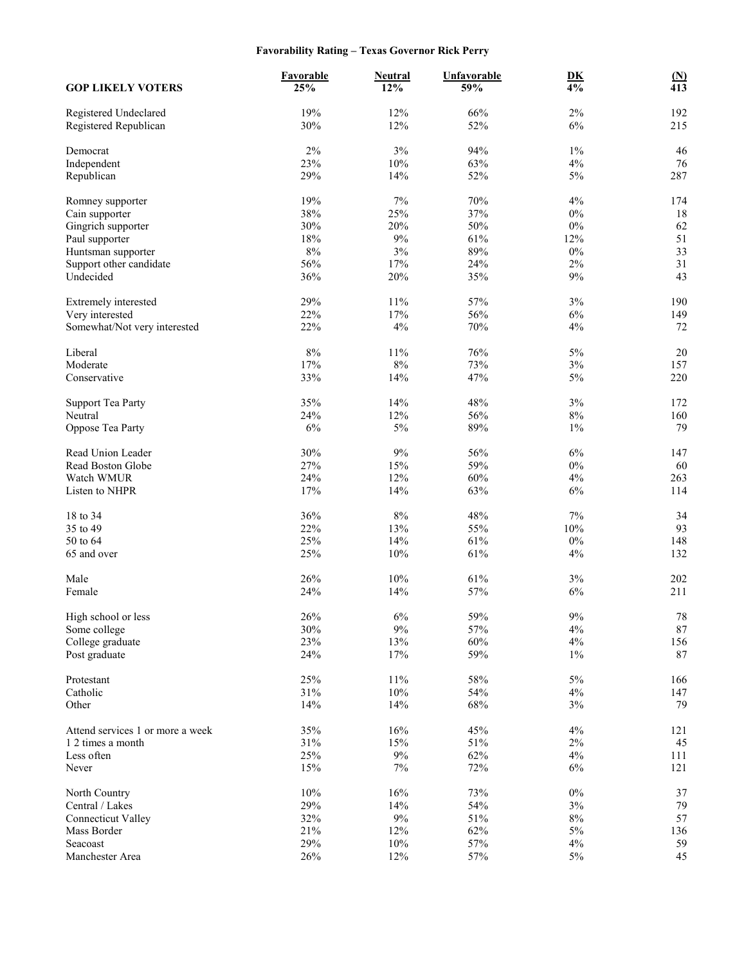# **Favorability Rating – Texas Governor Rick Perry**

| <b>GOP LIKELY VOTERS</b>                       | Favorable<br>25% | <b>Neutral</b><br>12% | <b>Unfavorable</b><br>59% | $\underline{\mathbf{D}}\underline{\mathbf{K}}$<br>$\overline{4\%}$ | $\underline{\mathbf{(N)}}$<br>$\overline{413}$ |
|------------------------------------------------|------------------|-----------------------|---------------------------|--------------------------------------------------------------------|------------------------------------------------|
| Registered Undeclared<br>Registered Republican | 19%<br>30%       | 12%<br>12%            | 66%<br>52%                | $2\%$<br>6%                                                        | 192<br>215                                     |
| Democrat                                       | 2%               | 3%                    | 94%                       | $1\%$                                                              | 46                                             |
| Independent                                    | 23%              | $10\%$                | 63%                       | 4%                                                                 | 76                                             |
| Republican                                     | 29%              | 14%                   | 52%                       | 5%                                                                 | 287                                            |
| Romney supporter                               | 19%              | $7\%$                 | 70%                       | 4%                                                                 | 174                                            |
| Cain supporter                                 | 38%              | 25%                   | 37%                       | $0\%$                                                              | 18                                             |
| Gingrich supporter                             | 30%              | 20%                   | 50%                       | $0\%$                                                              | 62                                             |
| Paul supporter                                 | 18%              | 9%                    | 61%                       | 12%                                                                | 51                                             |
| Huntsman supporter                             | $8\%$            | 3%                    | 89%                       | $0\%$                                                              | 33                                             |
| Support other candidate                        | 56%              | 17%                   | 24%                       | 2%                                                                 | 31                                             |
| Undecided                                      | 36%              | 20%                   | 35%                       | $9\%$                                                              | 43                                             |
| Extremely interested                           | 29%              | 11%                   | 57%                       | 3%                                                                 | 190                                            |
| Very interested                                | 22%              | 17%                   | 56%                       | $6\%$                                                              | 149                                            |
| Somewhat/Not very interested                   | 22%              | 4%                    | 70%                       | 4%                                                                 | 72                                             |
| Liberal                                        | 8%               | 11%                   | 76%                       | 5%                                                                 | 20                                             |
| Moderate                                       | 17%              | $8\%$                 | 73%                       | $3\%$                                                              | 157                                            |
| Conservative                                   | 33%              | 14%                   | 47%                       | 5%                                                                 | 220                                            |
| <b>Support Tea Party</b>                       | 35%              | 14%                   | 48%                       | 3%                                                                 | 172                                            |
| Neutral                                        | 24%              | 12%                   | 56%                       | $8\%$                                                              | 160                                            |
| Oppose Tea Party                               | 6%               | 5%                    | 89%                       | $1\%$                                                              | 79                                             |
| Read Union Leader                              | 30%              | 9%                    | 56%                       | 6%                                                                 | 147                                            |
| Read Boston Globe                              | 27%              | 15%                   | 59%                       | $0\%$                                                              | 60                                             |
| Watch WMUR                                     | 24%              | 12%                   | 60%                       | 4%                                                                 | 263                                            |
| Listen to NHPR                                 | 17%              | 14%                   | 63%                       | 6%                                                                 | 114                                            |
| 18 to 34                                       | 36%              | $8\%$                 | 48%                       | 7%                                                                 | 34                                             |
| 35 to 49                                       | 22%              | 13%                   | 55%                       | 10%                                                                | 93                                             |
| 50 to 64                                       | 25%              | 14%                   | 61%                       | $0\%$                                                              | 148                                            |
| 65 and over                                    | 25%              | $10\%$                | 61%                       | 4%                                                                 | 132                                            |
| Male                                           | 26%              | 10%                   | 61%                       | $3\%$                                                              | 202                                            |
| Female                                         | 24%              | 14%                   | 57%                       | 6%                                                                 | 211                                            |
| High school or less                            | 26%              | 6%                    | 59%                       | 9%                                                                 | 78                                             |
| Some college                                   | 30%              | $9\%$                 | 57%                       | 4%                                                                 | $87\,$                                         |
| College graduate                               | 23%              | 13%                   | 60%                       | 4%                                                                 | 156                                            |
| Post graduate                                  | 24%              | 17%                   | 59%                       | $1\%$                                                              | $87\,$                                         |
| Protestant                                     | 25%              | $11\%$                | 58%                       | $5\%$                                                              | 166                                            |
| Catholic                                       | 31%              | $10\%$                | 54%                       | 4%                                                                 | 147                                            |
| Other                                          | 14%              | 14%                   | 68%                       | 3%                                                                 | 79                                             |
| Attend services 1 or more a week               | 35%              | 16%                   | 45%                       | 4%                                                                 | 121                                            |
| 1 2 times a month                              | 31%              | 15%                   | 51%                       | $2\%$                                                              | 45                                             |
| Less often                                     | 25%              | $9\%$                 | 62%                       | 4%                                                                 | 111                                            |
| Never                                          | 15%              | 7%                    | 72%                       | $6\%$                                                              | 121                                            |
| North Country                                  | 10%              | 16%                   | 73%                       | $0\%$                                                              | 37                                             |
| Central / Lakes                                | 29%              | 14%                   | 54%                       | $3\%$                                                              | 79                                             |
| <b>Connecticut Valley</b>                      | 32%              | $9\%$                 | 51%                       | $8\%$                                                              | 57                                             |
| Mass Border                                    | 21%              | 12%                   | 62%                       | $5\%$                                                              | 136                                            |
| Seacoast                                       | 29%              | $10\%$                | 57%                       | 4%                                                                 | 59                                             |
| Manchester Area                                | 26%              | 12%                   | 57%                       | $5\%$                                                              | 45                                             |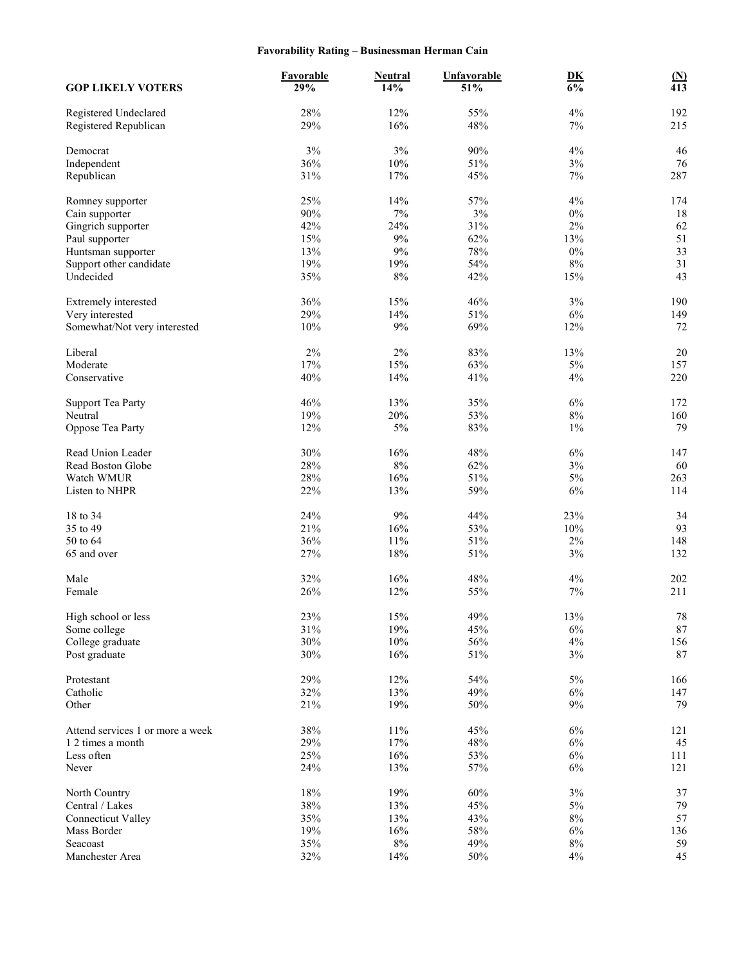# **Favorability Rating – Businessman Herman Cain**

| <b>GOP LIKELY VOTERS</b>                       | Favorable<br>29% | <b>Neutral</b><br>14% | <b>Unfavorable</b><br>51% | $\underline{\mathbf{D}}\underline{\mathbf{K}}$<br>$\frac{1}{6\%}$ | $\underline{\mathbf{(N)}}$<br>$\overline{413}$ |
|------------------------------------------------|------------------|-----------------------|---------------------------|-------------------------------------------------------------------|------------------------------------------------|
| Registered Undeclared<br>Registered Republican | 28%<br>29%       | 12%<br>16%            | 55%<br>48%                | 4%<br>7%                                                          | 192<br>215                                     |
| Democrat                                       | 3%               | 3%                    | 90%                       | 4%                                                                | 46                                             |
| Independent                                    | 36%              | $10\%$                | $51\%$                    | $3\%$                                                             | 76                                             |
| Republican                                     | 31%              | 17%                   | 45%                       | 7%                                                                | 287                                            |
| Romney supporter                               | 25%              | 14%                   | 57%                       | 4%                                                                | 174                                            |
| Cain supporter                                 | 90%              | $7\%$                 | 3%                        | $0\%$                                                             | 18                                             |
| Gingrich supporter                             | 42%              | 24%                   | 31%                       | $2\%$                                                             | 62                                             |
| Paul supporter                                 | 15%              | 9%                    | 62%                       | 13%                                                               | 51                                             |
| Huntsman supporter                             | 13%              | 9%                    | 78%                       | $0\%$                                                             | 33                                             |
| Support other candidate                        | 19%              | 19%                   | 54%                       | 8%                                                                | 31                                             |
| Undecided                                      | 35%              | $8\%$                 | 42%                       | 15%                                                               | 43                                             |
| Extremely interested                           | 36%              | 15%                   | 46%                       | 3%                                                                | 190                                            |
| Very interested                                | 29%              | 14%                   | $51\%$                    | $6\%$                                                             | 149                                            |
| Somewhat/Not very interested                   | 10%              | $9\%$                 | 69%                       | 12%                                                               | 72                                             |
| Liberal                                        | 2%               | 2%                    | 83%                       | 13%                                                               | 20                                             |
| Moderate                                       | 17%              | $15\%$                | 63%                       | $5\%$                                                             | 157                                            |
| Conservative                                   | 40%              | 14%                   | 41%                       | 4%                                                                | 220                                            |
| <b>Support Tea Party</b>                       | 46%              | 13%                   | 35%                       | 6%                                                                | 172                                            |
| Neutral                                        | 19%              | 20%                   | 53%                       | $8\%$                                                             | 160                                            |
| Oppose Tea Party                               | 12%              | $5\%$                 | 83%                       | $1\%$                                                             | 79                                             |
| Read Union Leader                              | 30%              | 16%                   | 48%                       | $6\%$                                                             | 147                                            |
| Read Boston Globe                              | 28%              | $8\%$                 | 62%                       | $3\%$                                                             | 60                                             |
| Watch WMUR                                     | 28%              | 16%                   | 51%                       | $5\%$                                                             | 263                                            |
| Listen to NHPR                                 | 22%              | 13%                   | 59%                       | 6%                                                                | 114                                            |
| 18 to 34                                       | 24%              | 9%                    | 44%                       | 23%                                                               | 34                                             |
| 35 to 49                                       | 21%              | 16%                   | 53%                       | 10%                                                               | 93                                             |
| 50 to 64                                       | 36%              | 11%                   | 51%                       | 2%                                                                | 148                                            |
| 65 and over                                    | 27%              | 18%                   | 51%                       | 3%                                                                | 132                                            |
| Male                                           | 32%              | 16%                   | 48%                       | 4%                                                                | 202                                            |
| Female                                         | 26%              | 12%                   | 55%                       | $7\%$                                                             | 211                                            |
| High school or less                            | 23%              | 15%                   | 49%                       | 13%                                                               | 78                                             |
| Some college                                   | $31\%$           | 19%                   | 45%                       | $6\%$                                                             | $87\,$                                         |
| College graduate                               | 30%              | $10\%$                | 56%                       | $4\%$                                                             | 156                                            |
| Post graduate                                  | 30%              | 16%                   | 51%                       | $3\%$                                                             | $87\,$                                         |
| Protestant                                     | 29%              | 12%                   | 54%                       | $5\%$                                                             | 166                                            |
| Catholic                                       | 32%              | 13%                   | 49%                       | $6\%$                                                             | 147                                            |
| Other                                          | 21%              | 19%                   | $50\%$                    | $9\%$                                                             | 79                                             |
| Attend services 1 or more a week               | 38%              | $11\%$                | 45%                       | $6\%$                                                             | 121                                            |
| 1 2 times a month                              | 29%              | $17\%$                | 48%                       | $6\%$                                                             | 45                                             |
| Less often                                     | 25%              | 16%                   | 53%                       | $6\%$                                                             | 111                                            |
| Never                                          | 24%              | 13%                   | 57%                       | $6\%$                                                             | 121                                            |
| North Country                                  | 18%              | 19%                   | 60%                       | $3\%$                                                             | 37                                             |
| Central / Lakes                                | 38%              | 13%                   | 45%                       | $5\%$                                                             | 79                                             |
| <b>Connecticut Valley</b>                      | 35%              | 13%                   | 43%                       | $8\%$                                                             | 57                                             |
| Mass Border                                    | 19%              | 16%                   | 58%                       | $6\%$                                                             | 136                                            |
| Seacoast                                       | 35%              | $8\%$                 | 49%                       | $8\%$                                                             | 59                                             |
| Manchester Area                                | 32%              | 14%                   | 50%                       | 4%                                                                | 45                                             |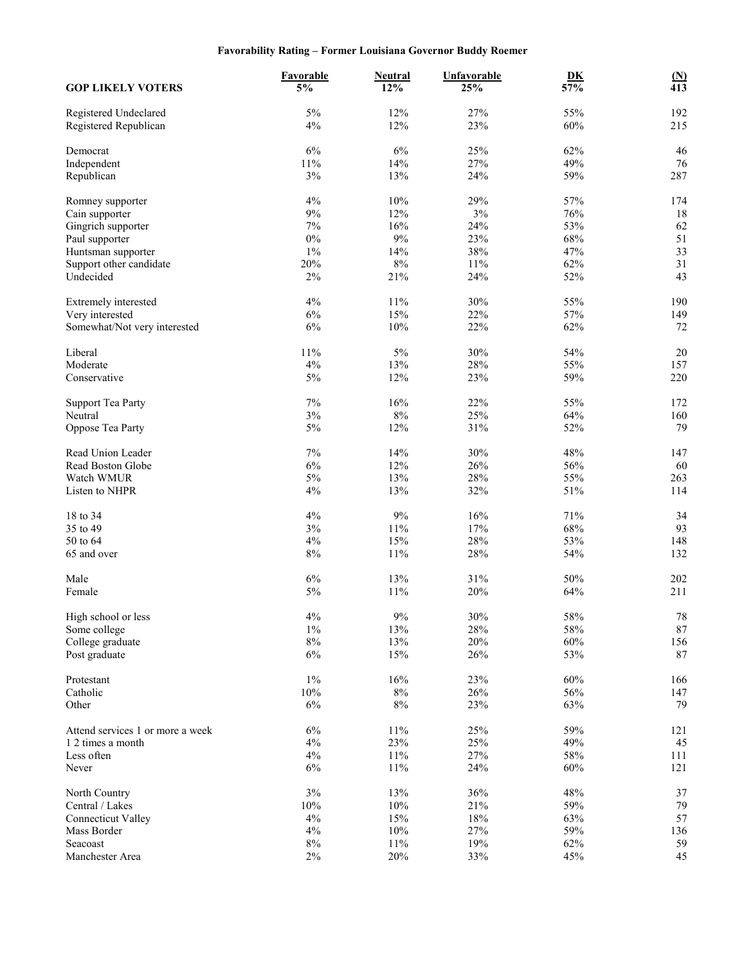# **Favorability Rating – Former Louisiana Governor Buddy Roemer**

| <b>GOP LIKELY VOTERS</b>                       | Favorable<br>5% | <b>Neutral</b><br>12% | <b>Unfavorable</b><br>25% | D <sub>K</sub><br>57% | $\frac{\text{(N)}}{413}$ |
|------------------------------------------------|-----------------|-----------------------|---------------------------|-----------------------|--------------------------|
| Registered Undeclared<br>Registered Republican | 5%<br>4%        | 12%<br>12%            | 27%<br>23%                | 55%<br>60%            | 192<br>215               |
| Democrat                                       | 6%              | 6%                    | 25%                       | 62%                   | 46                       |
| Independent                                    | 11%             | 14%                   | 27%                       | 49%                   | 76                       |
| Republican                                     | 3%              | 13%                   | 24%                       | 59%                   | 287                      |
| Romney supporter                               | 4%              | 10%                   | 29%                       | 57%                   | 174                      |
| Cain supporter                                 | $9\%$           | 12%                   | 3%                        | 76%                   | 18                       |
| Gingrich supporter                             | 7%              | 16%                   | 24%                       | 53%                   | 62                       |
| Paul supporter                                 | $0\%$           | 9%                    | 23%                       | 68%                   | 51                       |
| Huntsman supporter                             | $1\%$           | 14%                   | 38%                       | 47%                   | 33                       |
| Support other candidate                        | 20%             | $8\%$                 | 11%                       | 62%                   | 31                       |
| Undecided                                      | $2\%$           | 21%                   | 24%                       | 52%                   | 43                       |
| Extremely interested                           | 4%              | 11%                   | 30%                       | 55%                   | 190                      |
| Very interested                                | 6%              | 15%                   | 22%                       | 57%                   | 149                      |
| Somewhat/Not very interested                   | 6%              | 10%                   | 22%                       | 62%                   | 72                       |
| Liberal                                        | 11%             | 5%                    | 30%                       | 54%                   | $20\,$                   |
| Moderate                                       | 4%              | 13%                   | 28%                       | 55%                   | 157                      |
| Conservative                                   | 5%              | 12%                   | 23%                       | 59%                   | 220                      |
| <b>Support Tea Party</b>                       | 7%              | 16%                   | 22%                       | 55%                   | 172                      |
| Neutral                                        | 3%              | $8\%$                 | 25%                       | 64%                   | 160                      |
| Oppose Tea Party                               | $5\%$           | 12%                   | 31%                       | 52%                   | 79                       |
| Read Union Leader                              | 7%              | 14%                   | 30%                       | 48%                   | 147                      |
| Read Boston Globe                              | 6%              | 12%                   | 26%                       | 56%                   | 60                       |
| Watch WMUR                                     | 5%              | 13%                   | 28%                       | 55%                   | 263                      |
| Listen to NHPR                                 | 4%              | 13%                   | 32%                       | 51%                   | 114                      |
| 18 to 34                                       | $4\%$           | $9\%$                 | 16%                       | 71%                   | 34                       |
| 35 to 49                                       | 3%              | $11\%$                | 17%                       | 68%                   | 93                       |
| 50 to 64                                       | $4\%$           | 15%                   | 28%                       | 53%                   | 148                      |
| 65 and over                                    | $8\%$           | 11%                   | 28%                       | 54%                   | 132                      |
| Male                                           | $6\%$           | 13%                   | 31%                       | 50%                   | 202                      |
| Female                                         | $5\%$           | 11%                   | 20%                       | 64%                   | 211                      |
| High school or less                            | 4%              | $9\%$                 | 30%                       | 58%                   | $78\,$                   |
| Some college                                   | $1\%$           | 13%                   | 28%                       | 58%                   | $87\,$                   |
| College graduate                               | $8\%$           | 13%                   | 20%                       | 60%                   | 156                      |
| Post graduate                                  | $6\%$           | 15%                   | 26%                       | 53%                   | 87                       |
| Protestant                                     | $1\%$           | 16%                   | 23%                       | 60%                   | 166                      |
| Catholic                                       | 10%             | $8\%$                 | 26%                       | 56%                   | 147                      |
| Other                                          | 6%              | $8\%$                 | 23%                       | 63%                   | 79                       |
| Attend services 1 or more a week               | $6\%$           | $11\%$                | 25%                       | 59%                   | 121                      |
| 1 2 times a month                              | 4%              | 23%                   | 25%                       | 49%                   | 45                       |
| Less often                                     | $4\%$           | $11\%$                | 27%                       | 58%                   | 111                      |
| Never                                          | $6\%$           | $11\%$                | 24%                       | 60%                   | 121                      |
| North Country                                  | $3\%$           | 13%                   | 36%                       | 48%                   | 37                       |
| Central / Lakes                                | 10%             | $10\%$                | 21%                       | 59%                   | 79                       |
| <b>Connecticut Valley</b>                      | 4%              | 15%                   | 18%                       | 63%                   | 57                       |
| Mass Border                                    | $4\%$           | $10\%$                | 27%                       | 59%                   | 136                      |
| Seacoast                                       | $8\%$           | $11\%$                | 19%                       | 62%                   | 59                       |
| Manchester Area                                | $2\%$           | $20\%$                | 33%                       | 45%                   | 45                       |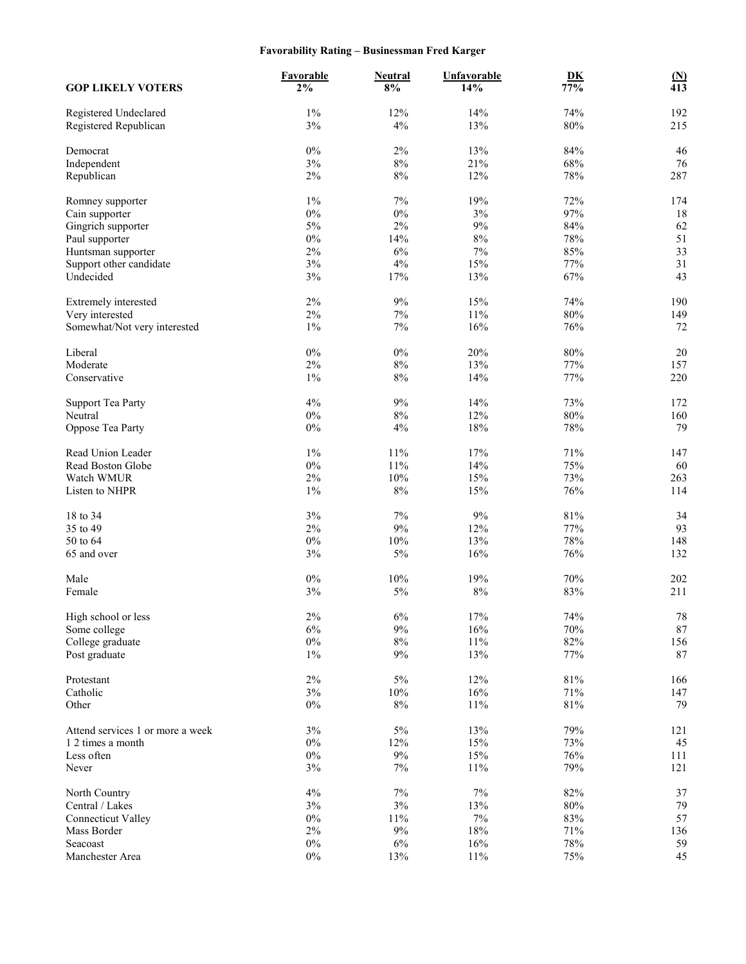# **Favorability Rating – Businessman Fred Karger**

| <b>GOP LIKELY VOTERS</b>                       | <b>Favorable</b><br>2% | <b>Neutral</b><br>$8\%$ | Unfavorable<br>14% | $\underline{\mathbf{D}}\underline{\mathbf{K}}$<br>77% | $\frac{\text{(N)}}{413}$ |
|------------------------------------------------|------------------------|-------------------------|--------------------|-------------------------------------------------------|--------------------------|
| Registered Undeclared<br>Registered Republican | $1\%$<br>3%            | 12%<br>4%               | 14%<br>13%         | 74%<br>80%                                            | 192<br>215               |
| Democrat                                       | $0\%$                  | 2%                      | 13%                | 84%                                                   | 46                       |
| Independent                                    | 3%                     | $8\%$                   | 21%                | 68%                                                   | 76                       |
| Republican                                     | 2%                     | $8\%$                   | 12%                | 78%                                                   | 287                      |
| Romney supporter                               | $1\%$                  | $7\%$                   | 19%                | 72%                                                   | 174                      |
| Cain supporter                                 | $0\%$                  | $0\%$                   | 3%                 | 97%                                                   | 18                       |
| Gingrich supporter                             | 5%                     | $2\%$                   | 9%                 | 84%                                                   | 62                       |
| Paul supporter                                 | $0\%$                  | 14%                     | 8%                 | 78%                                                   | 51                       |
| Huntsman supporter                             | 2%                     | $6\%$                   | 7%                 | 85%                                                   | 33                       |
| Support other candidate                        | 3%                     | 4%                      | 15%                | 77%                                                   | 31                       |
| Undecided                                      | 3%                     | 17%                     | 13%                | 67%                                                   | 43                       |
| Extremely interested                           | $2\%$                  | $9\%$                   | 15%                | 74%                                                   | 190                      |
| Very interested                                | $2\%$                  | $7\%$                   | 11%                | $80\%$                                                | 149                      |
| Somewhat/Not very interested                   | $1\%$                  | $7\%$                   | 16%                | 76%                                                   | 72                       |
| Liberal                                        | $0\%$                  | $0\%$                   | 20%                | $80\%$                                                | $20\,$                   |
| Moderate                                       | 2%                     | $8\%$                   | 13%                | 77%                                                   | 157                      |
| Conservative                                   | $1\%$                  | $8\%$                   | 14%                | 77%                                                   | 220                      |
| <b>Support Tea Party</b>                       | 4%                     | $9\%$                   | 14%                | 73%                                                   | 172                      |
| Neutral                                        | $0\%$                  | $8\%$                   | 12%                | $80\%$                                                | 160                      |
| Oppose Tea Party                               | $0\%$                  | 4%                      | 18%                | 78%                                                   | 79                       |
| Read Union Leader                              | $1\%$                  | $11\%$                  | 17%                | 71%                                                   | 147                      |
| Read Boston Globe                              | $0\%$                  | 11%                     | 14%                | 75%                                                   | 60                       |
| Watch WMUR                                     | $2\%$                  | 10%                     | 15%                | 73%                                                   | 263                      |
| Listen to NHPR                                 | $1\%$                  | $8\%$                   | 15%                | 76%                                                   | 114                      |
| 18 to 34                                       | 3%                     | 7%                      | 9%                 | 81%                                                   | 34                       |
| 35 to 49                                       | 2%                     | $9\%$                   | 12%                | 77%                                                   | 93                       |
| 50 to 64                                       | $0\%$                  | 10%                     | 13%                | 78%                                                   | 148                      |
| 65 and over                                    | 3%                     | $5\%$                   | 16%                | 76%                                                   | 132                      |
| Male                                           | $0\%$                  | 10%                     | 19%                | $70\%$                                                | 202                      |
| Female                                         | 3%                     | $5\%$                   | $8\%$              | 83%                                                   | 211                      |
| High school or less                            | $2\%$                  | $6\%$                   | $17\%$             | 74%                                                   | 78                       |
| Some college                                   | 6%                     | $9\%$                   | 16%                | $70\%$                                                | $87\,$                   |
| College graduate                               | $0\%$                  | $8\%$                   | 11%                | $82\%$                                                | 156                      |
| Post graduate                                  | $1\%$                  | 9%                      | 13%                | 77%                                                   | 87                       |
| Protestant                                     | $2\%$                  | $5\%$                   | 12%                | $81\%$                                                | 166                      |
| Catholic                                       | $3\%$                  | $10\%$                  | 16%                | 71%                                                   | 147                      |
| Other                                          | $0\%$                  | $8\%$                   | 11%                | 81%                                                   | 79                       |
| Attend services 1 or more a week               | $3\%$                  | $5\%$                   | 13%                | 79%                                                   | 121                      |
| 1 2 times a month                              | $0\%$                  | 12%                     | 15%                | 73%                                                   | 45                       |
| Less often                                     | $0\%$                  | $9\%$                   | 15%                | 76%                                                   | 111                      |
| Never                                          | 3%                     | $7\%$                   | 11%                | 79%                                                   | 121                      |
| North Country                                  | $4\%$                  | $7\%$                   | $7\%$              | 82%                                                   | 37                       |
| Central / Lakes                                | $3\%$                  | $3\%$                   | 13%                | $80\%$                                                | 79                       |
| <b>Connecticut Valley</b>                      | $0\%$                  | $11\%$                  | $7\%$              | 83%                                                   | 57                       |
| Mass Border                                    | $2\%$                  | $9\%$                   | 18%                | 71%                                                   | 136                      |
| Seacoast                                       | $0\%$                  | $6\%$                   | 16%                | $78\%$                                                | 59                       |
| Manchester Area                                | $0\%$                  | 13%                     | 11%                | 75%                                                   | 45                       |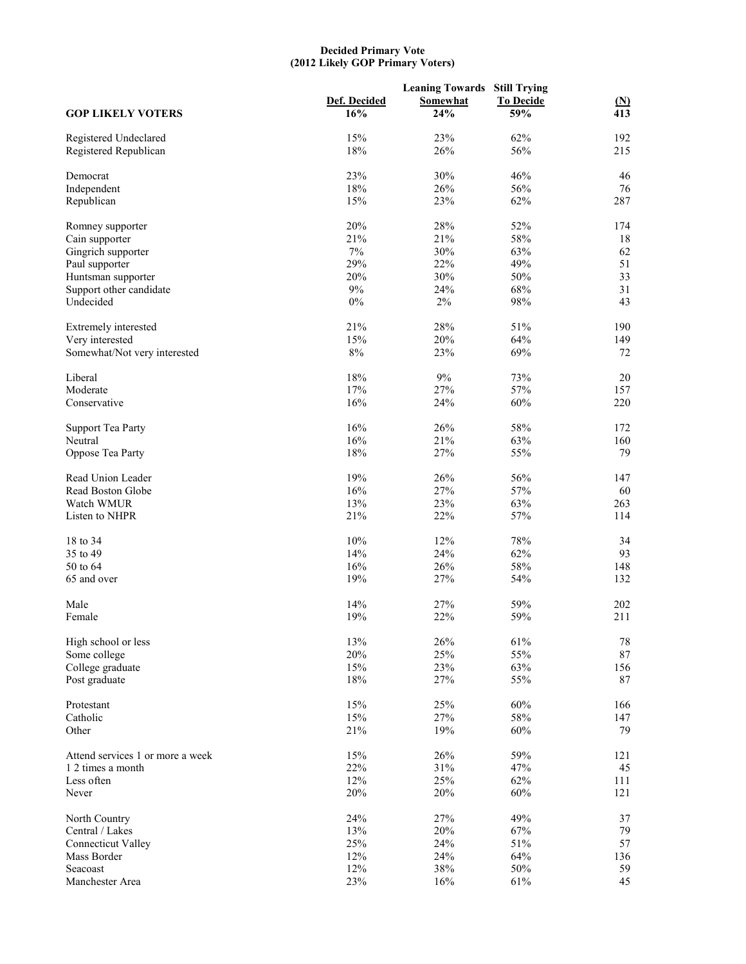#### **Decided Primary Vote (2012 Likely GOP Primary Voters)**

| <b>GOP LIKELY VOTERS</b>         | Def. Decided<br>16% | <b>Leaning Towards Still Trying</b><br><b>Somewhat</b><br>24% | <b>To Decide</b><br>59% | $\mathbf{M}$<br>413 |
|----------------------------------|---------------------|---------------------------------------------------------------|-------------------------|---------------------|
|                                  |                     |                                                               |                         |                     |
| Registered Undeclared            | 15%                 | 23%                                                           | 62%                     | 192                 |
| Registered Republican            | 18%                 | 26%                                                           | 56%                     | 215                 |
| Democrat                         | 23%                 | 30%                                                           | 46%                     | 46                  |
| Independent                      | 18%                 | 26%                                                           | 56%                     | 76                  |
| Republican                       | 15%                 | 23%                                                           | 62%                     | 287                 |
| Romney supporter                 | 20%                 | 28%                                                           | 52%                     | 174                 |
| Cain supporter                   | 21%                 | 21%                                                           | 58%                     | 18                  |
| Gingrich supporter               | $7\%$               | 30%                                                           | 63%                     | 62                  |
| Paul supporter                   | 29%                 | 22%                                                           | 49%                     | 51                  |
| Huntsman supporter               | 20%                 | 30%                                                           | 50%                     | 33                  |
|                                  | 9%                  | 24%                                                           | 68%                     | 31                  |
| Support other candidate          |                     |                                                               |                         |                     |
| Undecided                        | $0\%$               | 2%                                                            | 98%                     | 43                  |
| Extremely interested             | 21%                 | 28%                                                           | 51%                     | 190                 |
| Very interested                  | 15%                 | 20%                                                           | 64%                     | 149                 |
| Somewhat/Not very interested     | $8\%$               | 23%                                                           | 69%                     | 72                  |
| Liberal                          | 18%                 | 9%                                                            | 73%                     | 20                  |
| Moderate                         | 17%                 | 27%                                                           | 57%                     | 157                 |
| Conservative                     | 16%                 | 24%                                                           | 60%                     | 220                 |
|                                  |                     |                                                               |                         |                     |
| <b>Support Tea Party</b>         | 16%                 | 26%                                                           | 58%                     | 172                 |
| Neutral                          | 16%                 | 21%                                                           | 63%                     | 160                 |
| Oppose Tea Party                 | 18%                 | 27%                                                           | 55%                     | 79                  |
| Read Union Leader                | 19%                 | 26%                                                           | 56%                     | 147                 |
| Read Boston Globe                | 16%                 | 27%                                                           | 57%                     | 60                  |
| Watch WMUR                       | 13%                 | 23%                                                           | 63%                     | 263                 |
| Listen to NHPR                   | 21%                 | 22%                                                           | 57%                     | 114                 |
|                                  |                     |                                                               |                         |                     |
| 18 to 34                         | 10%                 | 12%                                                           | 78%                     | 34                  |
| 35 to 49                         | 14%                 | 24%                                                           | 62%                     | 93                  |
| 50 to 64                         | 16%                 | 26%                                                           | 58%                     | 148                 |
| 65 and over                      | 19%                 | 27%                                                           | 54%                     | 132                 |
| Male                             | 14%                 | 27%                                                           | 59%                     | 202                 |
| Female                           | 19%                 | 22%                                                           | 59%                     | 211                 |
|                                  |                     |                                                               |                         |                     |
| High school or less              | 13%                 | 26%                                                           | 61%                     | $78\,$              |
| Some college                     | 20%                 | 25%                                                           | 55%                     | 87                  |
| College graduate                 | 15%                 | 23%                                                           | 63%                     | 156                 |
| Post graduate                    | 18%                 | 27%                                                           | 55%                     | 87                  |
| Protestant                       | 15%                 | 25%                                                           | 60%                     | 166                 |
| Catholic                         | 15%                 | 27%                                                           | 58%                     | 147                 |
| Other                            | 21%                 | 19%                                                           | 60%                     | 79                  |
|                                  |                     |                                                               |                         |                     |
| Attend services 1 or more a week | 15%                 | 26%                                                           | 59%                     | 121                 |
| 1 2 times a month                | 22%                 | 31%                                                           | 47%                     | 45                  |
| Less often                       | 12%                 | 25%                                                           | 62%                     | 111                 |
| Never                            | 20%                 | 20%                                                           | 60%                     | 121                 |
| North Country                    | 24%                 | 27%                                                           | 49%                     | 37                  |
| Central / Lakes                  | 13%                 | 20%                                                           | 67%                     | 79                  |
| <b>Connecticut Valley</b>        | 25%                 | 24%                                                           | 51%                     | 57                  |
| Mass Border                      | 12%                 | 24%                                                           | 64%                     | 136                 |
| Seacoast                         | 12%                 | 38%                                                           | $50\%$                  | 59                  |
| Manchester Area                  | 23%                 | 16%                                                           | 61%                     | 45                  |
|                                  |                     |                                                               |                         |                     |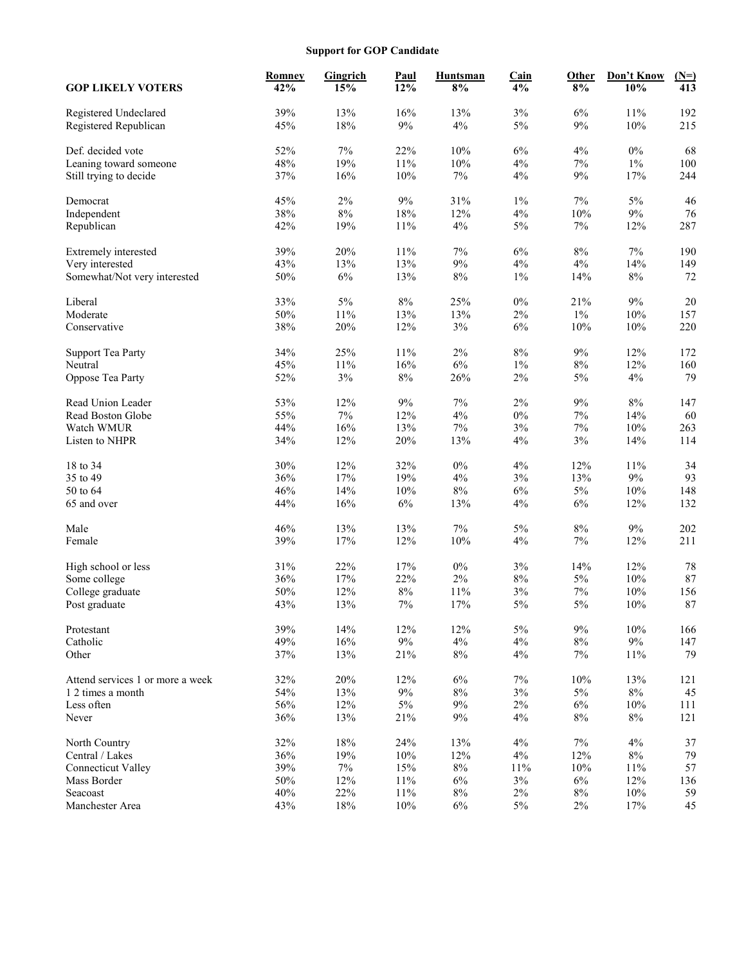# **Support for GOP Candidate**

| 39%<br>13%<br>16%<br>13%<br>$3\%$<br>$6\%$<br>11%<br>192<br>Registered Undeclared<br>45%<br>18%<br>$9\%$<br>$4\%$<br>5%<br>$9\%$<br>$10\%$<br>215<br>Registered Republican<br>52%<br>$7\%$<br>22%<br>10%<br>6%<br>4%<br>$0\%$<br>68<br>Def. decided vote<br>48%<br>10%<br>$1\%$<br>19%<br>11%<br>4%<br>7%<br>100<br>Leaning toward someone<br>37%<br>16%<br>10%<br>$7\%$<br>$4\%$<br>$9\%$<br>17%<br>244<br>Still trying to decide<br>45%<br>$2\%$<br>9%<br>31%<br>$1\%$<br>7%<br>5%<br>46<br>Democrat<br>38%<br>$8\%$<br>18%<br>12%<br>$4\%$<br>$10\%$<br>$9\%$<br>76<br>Independent<br>42%<br>19%<br>11%<br>$4\%$<br>$5\%$<br>$7\%$<br>12%<br>287<br>Republican<br>20%<br>$7\%$<br>6%<br>$8\%$<br>$7\%$<br>Extremely interested<br>39%<br>11%<br>190<br>$9\%$<br>43%<br>13%<br>13%<br>$4\%$<br>$4\%$<br>14%<br>149<br>Very interested<br>50%<br>6%<br>13%<br>$8\%$<br>$1\%$<br>14%<br>$8\%$<br>72<br>Somewhat/Not very interested<br>20<br>33%<br>$5\%$<br>$8\%$<br>25%<br>$0\%$<br>21%<br>9%<br>Liberal<br>50%<br>$11\%$<br>13%<br>13%<br>2%<br>$1\%$<br>10%<br>Moderate<br>157<br>38%<br>20%<br>12%<br>$3\%$<br>6%<br>10%<br>$10\%$<br>220<br>Conservative<br>34%<br>25%<br>11%<br>$2\%$<br>$8\%$<br>9%<br>12%<br>172<br><b>Support Tea Party</b><br>16%<br>$6\%$<br>$8\%$<br>45%<br>$11\%$<br>$1\%$<br>12%<br>160<br>Neutral<br>$3\%$<br>$8\%$<br>$2\%$<br>$5\%$<br>$4\%$<br>79<br>Oppose Tea Party<br>52%<br>26%<br>53%<br>12%<br>9%<br>7%<br>$2\%$<br>9%<br>$8\%$<br>147<br>Read Union Leader<br>7%<br>4%<br>$0\%$<br>55%<br>12%<br>7%<br>14%<br>60<br>Read Boston Globe<br>44%<br>16%<br>13%<br>$7\%$<br>3%<br>$7\%$<br>$10\%$<br>Watch WMUR<br>263<br>34%<br>12%<br>20%<br>13%<br>$4\%$<br>3%<br>14%<br>114<br>Listen to NHPR<br>18 to 34<br>30%<br>12%<br>32%<br>$0\%$<br>$4\%$<br>12%<br>11%<br>34<br>$17\%$<br>19%<br>$4\%$<br>3%<br>13%<br>$9\%$<br>93<br>35 to 49<br>36%<br>46%<br>14%<br>10%<br>$8\%$<br>6%<br>5%<br>$10\%$<br>148<br>50 to 64<br>44%<br>16%<br>$6\%$<br>13%<br>$4\%$<br>$6\%$<br>12%<br>132<br>65 and over<br>8%<br>46%<br>13%<br>13%<br>7%<br>5%<br>9%<br>202<br>Male<br>39%<br>17%<br>12%<br>$10\%$<br>$4\%$<br>$7\%$<br>12%<br>211<br>Female<br>$0\%$<br>31%<br>22%<br>17%<br>3%<br>14%<br>12%<br>78<br>High school or less<br>$2\%$<br>87<br>36%<br>17%<br>22%<br>8%<br>5%<br>$10\%$<br>Some college<br>50%<br>12%<br>$8\%$<br>11%<br>$3\%$<br>$7\%$<br>10%<br>156<br>College graduate<br>87<br>43%<br>13%<br>$7\%$<br>17%<br>$5\%$<br>5%<br>$10\%$<br>Post graduate<br>39%<br>14%<br>12%<br>$5\%$<br>$9\%$<br>$10\%$<br>12%<br>166<br>Protestant<br>49%<br>$16\%$<br>$9\%$<br>$4\%$<br>$4\%$<br>$9\%$<br>Catholic<br>$8\%$<br>147<br>$8\%$<br>Other<br>37%<br>13%<br>21%<br>4%<br>7%<br>11%<br>79<br>32%<br>20%<br>12%<br>$6\%$<br>$7\%$<br>$10\%$<br>13%<br>Attend services 1 or more a week<br>121<br>54%<br>13%<br>$9\%$<br>$8\%$<br>$3\%$<br>$5\%$<br>$8\%$<br>45<br>1 2 times a month<br>56%<br>12%<br>$5\%$<br>$9\%$<br>$2\%$<br>$6\%$<br>$10\%$<br>Less often<br>111<br>36%<br>13%<br>$8\%$<br>21%<br>9%<br>4%<br>$8\%$<br>121<br>Never<br>32%<br>$18\%$<br>24%<br>13%<br>$4\%$<br>$4\%$<br>North Country<br>7%<br>37<br>79<br>36%<br>19%<br>10%<br>12%<br>$4\%$<br>12%<br>$8\%$<br>Central / Lakes<br>$7\%$<br>39%<br>15%<br>$8\%$<br>$10\%$<br>$11\%$<br>57<br><b>Connecticut Valley</b><br>11%<br>50%<br>12%<br>11%<br>$3\%$<br>12%<br>136<br>Mass Border<br>6%<br>6%<br>22%<br>Seacoast<br>40%<br>11%<br>$8\%$<br>$2\%$<br>$8\%$<br>10%<br>59<br>43%<br>Manchester Area<br>$18\%$<br>10%<br>$6\%$<br>$5\%$<br>$2\%$<br>17%<br>45 | <b>GOP LIKELY VOTERS</b> | <b>Romney</b><br>42% | Gingrich<br>15% | <b>Paul</b><br>12% | <b>Huntsman</b><br>8% | <b>Cain</b><br>4% | Other<br>8% | Don't Know<br>10% | $(N=)$<br>413 |
|----------------------------------------------------------------------------------------------------------------------------------------------------------------------------------------------------------------------------------------------------------------------------------------------------------------------------------------------------------------------------------------------------------------------------------------------------------------------------------------------------------------------------------------------------------------------------------------------------------------------------------------------------------------------------------------------------------------------------------------------------------------------------------------------------------------------------------------------------------------------------------------------------------------------------------------------------------------------------------------------------------------------------------------------------------------------------------------------------------------------------------------------------------------------------------------------------------------------------------------------------------------------------------------------------------------------------------------------------------------------------------------------------------------------------------------------------------------------------------------------------------------------------------------------------------------------------------------------------------------------------------------------------------------------------------------------------------------------------------------------------------------------------------------------------------------------------------------------------------------------------------------------------------------------------------------------------------------------------------------------------------------------------------------------------------------------------------------------------------------------------------------------------------------------------------------------------------------------------------------------------------------------------------------------------------------------------------------------------------------------------------------------------------------------------------------------------------------------------------------------------------------------------------------------------------------------------------------------------------------------------------------------------------------------------------------------------------------------------------------------------------------------------------------------------------------------------------------------------------------------------------------------------------------------------------------------------------------------------------------------------------------------------------------------------------------------------------------------------------------------------------------------------------------------------------------------------------------------------------------------------------------------------------------------------------------------------------------------------------------------------------------------------------------------------------------------------------------------------------------------------------------------------------------------------------------------------------|--------------------------|----------------------|-----------------|--------------------|-----------------------|-------------------|-------------|-------------------|---------------|
|                                                                                                                                                                                                                                                                                                                                                                                                                                                                                                                                                                                                                                                                                                                                                                                                                                                                                                                                                                                                                                                                                                                                                                                                                                                                                                                                                                                                                                                                                                                                                                                                                                                                                                                                                                                                                                                                                                                                                                                                                                                                                                                                                                                                                                                                                                                                                                                                                                                                                                                                                                                                                                                                                                                                                                                                                                                                                                                                                                                                                                                                                                                                                                                                                                                                                                                                                                                                                                                                                                                                                                                  |                          |                      |                 |                    |                       |                   |             |                   |               |
|                                                                                                                                                                                                                                                                                                                                                                                                                                                                                                                                                                                                                                                                                                                                                                                                                                                                                                                                                                                                                                                                                                                                                                                                                                                                                                                                                                                                                                                                                                                                                                                                                                                                                                                                                                                                                                                                                                                                                                                                                                                                                                                                                                                                                                                                                                                                                                                                                                                                                                                                                                                                                                                                                                                                                                                                                                                                                                                                                                                                                                                                                                                                                                                                                                                                                                                                                                                                                                                                                                                                                                                  |                          |                      |                 |                    |                       |                   |             |                   |               |
|                                                                                                                                                                                                                                                                                                                                                                                                                                                                                                                                                                                                                                                                                                                                                                                                                                                                                                                                                                                                                                                                                                                                                                                                                                                                                                                                                                                                                                                                                                                                                                                                                                                                                                                                                                                                                                                                                                                                                                                                                                                                                                                                                                                                                                                                                                                                                                                                                                                                                                                                                                                                                                                                                                                                                                                                                                                                                                                                                                                                                                                                                                                                                                                                                                                                                                                                                                                                                                                                                                                                                                                  |                          |                      |                 |                    |                       |                   |             |                   |               |
|                                                                                                                                                                                                                                                                                                                                                                                                                                                                                                                                                                                                                                                                                                                                                                                                                                                                                                                                                                                                                                                                                                                                                                                                                                                                                                                                                                                                                                                                                                                                                                                                                                                                                                                                                                                                                                                                                                                                                                                                                                                                                                                                                                                                                                                                                                                                                                                                                                                                                                                                                                                                                                                                                                                                                                                                                                                                                                                                                                                                                                                                                                                                                                                                                                                                                                                                                                                                                                                                                                                                                                                  |                          |                      |                 |                    |                       |                   |             |                   |               |
|                                                                                                                                                                                                                                                                                                                                                                                                                                                                                                                                                                                                                                                                                                                                                                                                                                                                                                                                                                                                                                                                                                                                                                                                                                                                                                                                                                                                                                                                                                                                                                                                                                                                                                                                                                                                                                                                                                                                                                                                                                                                                                                                                                                                                                                                                                                                                                                                                                                                                                                                                                                                                                                                                                                                                                                                                                                                                                                                                                                                                                                                                                                                                                                                                                                                                                                                                                                                                                                                                                                                                                                  |                          |                      |                 |                    |                       |                   |             |                   |               |
|                                                                                                                                                                                                                                                                                                                                                                                                                                                                                                                                                                                                                                                                                                                                                                                                                                                                                                                                                                                                                                                                                                                                                                                                                                                                                                                                                                                                                                                                                                                                                                                                                                                                                                                                                                                                                                                                                                                                                                                                                                                                                                                                                                                                                                                                                                                                                                                                                                                                                                                                                                                                                                                                                                                                                                                                                                                                                                                                                                                                                                                                                                                                                                                                                                                                                                                                                                                                                                                                                                                                                                                  |                          |                      |                 |                    |                       |                   |             |                   |               |
|                                                                                                                                                                                                                                                                                                                                                                                                                                                                                                                                                                                                                                                                                                                                                                                                                                                                                                                                                                                                                                                                                                                                                                                                                                                                                                                                                                                                                                                                                                                                                                                                                                                                                                                                                                                                                                                                                                                                                                                                                                                                                                                                                                                                                                                                                                                                                                                                                                                                                                                                                                                                                                                                                                                                                                                                                                                                                                                                                                                                                                                                                                                                                                                                                                                                                                                                                                                                                                                                                                                                                                                  |                          |                      |                 |                    |                       |                   |             |                   |               |
|                                                                                                                                                                                                                                                                                                                                                                                                                                                                                                                                                                                                                                                                                                                                                                                                                                                                                                                                                                                                                                                                                                                                                                                                                                                                                                                                                                                                                                                                                                                                                                                                                                                                                                                                                                                                                                                                                                                                                                                                                                                                                                                                                                                                                                                                                                                                                                                                                                                                                                                                                                                                                                                                                                                                                                                                                                                                                                                                                                                                                                                                                                                                                                                                                                                                                                                                                                                                                                                                                                                                                                                  |                          |                      |                 |                    |                       |                   |             |                   |               |
|                                                                                                                                                                                                                                                                                                                                                                                                                                                                                                                                                                                                                                                                                                                                                                                                                                                                                                                                                                                                                                                                                                                                                                                                                                                                                                                                                                                                                                                                                                                                                                                                                                                                                                                                                                                                                                                                                                                                                                                                                                                                                                                                                                                                                                                                                                                                                                                                                                                                                                                                                                                                                                                                                                                                                                                                                                                                                                                                                                                                                                                                                                                                                                                                                                                                                                                                                                                                                                                                                                                                                                                  |                          |                      |                 |                    |                       |                   |             |                   |               |
|                                                                                                                                                                                                                                                                                                                                                                                                                                                                                                                                                                                                                                                                                                                                                                                                                                                                                                                                                                                                                                                                                                                                                                                                                                                                                                                                                                                                                                                                                                                                                                                                                                                                                                                                                                                                                                                                                                                                                                                                                                                                                                                                                                                                                                                                                                                                                                                                                                                                                                                                                                                                                                                                                                                                                                                                                                                                                                                                                                                                                                                                                                                                                                                                                                                                                                                                                                                                                                                                                                                                                                                  |                          |                      |                 |                    |                       |                   |             |                   |               |
|                                                                                                                                                                                                                                                                                                                                                                                                                                                                                                                                                                                                                                                                                                                                                                                                                                                                                                                                                                                                                                                                                                                                                                                                                                                                                                                                                                                                                                                                                                                                                                                                                                                                                                                                                                                                                                                                                                                                                                                                                                                                                                                                                                                                                                                                                                                                                                                                                                                                                                                                                                                                                                                                                                                                                                                                                                                                                                                                                                                                                                                                                                                                                                                                                                                                                                                                                                                                                                                                                                                                                                                  |                          |                      |                 |                    |                       |                   |             |                   |               |
|                                                                                                                                                                                                                                                                                                                                                                                                                                                                                                                                                                                                                                                                                                                                                                                                                                                                                                                                                                                                                                                                                                                                                                                                                                                                                                                                                                                                                                                                                                                                                                                                                                                                                                                                                                                                                                                                                                                                                                                                                                                                                                                                                                                                                                                                                                                                                                                                                                                                                                                                                                                                                                                                                                                                                                                                                                                                                                                                                                                                                                                                                                                                                                                                                                                                                                                                                                                                                                                                                                                                                                                  |                          |                      |                 |                    |                       |                   |             |                   |               |
|                                                                                                                                                                                                                                                                                                                                                                                                                                                                                                                                                                                                                                                                                                                                                                                                                                                                                                                                                                                                                                                                                                                                                                                                                                                                                                                                                                                                                                                                                                                                                                                                                                                                                                                                                                                                                                                                                                                                                                                                                                                                                                                                                                                                                                                                                                                                                                                                                                                                                                                                                                                                                                                                                                                                                                                                                                                                                                                                                                                                                                                                                                                                                                                                                                                                                                                                                                                                                                                                                                                                                                                  |                          |                      |                 |                    |                       |                   |             |                   |               |
|                                                                                                                                                                                                                                                                                                                                                                                                                                                                                                                                                                                                                                                                                                                                                                                                                                                                                                                                                                                                                                                                                                                                                                                                                                                                                                                                                                                                                                                                                                                                                                                                                                                                                                                                                                                                                                                                                                                                                                                                                                                                                                                                                                                                                                                                                                                                                                                                                                                                                                                                                                                                                                                                                                                                                                                                                                                                                                                                                                                                                                                                                                                                                                                                                                                                                                                                                                                                                                                                                                                                                                                  |                          |                      |                 |                    |                       |                   |             |                   |               |
|                                                                                                                                                                                                                                                                                                                                                                                                                                                                                                                                                                                                                                                                                                                                                                                                                                                                                                                                                                                                                                                                                                                                                                                                                                                                                                                                                                                                                                                                                                                                                                                                                                                                                                                                                                                                                                                                                                                                                                                                                                                                                                                                                                                                                                                                                                                                                                                                                                                                                                                                                                                                                                                                                                                                                                                                                                                                                                                                                                                                                                                                                                                                                                                                                                                                                                                                                                                                                                                                                                                                                                                  |                          |                      |                 |                    |                       |                   |             |                   |               |
|                                                                                                                                                                                                                                                                                                                                                                                                                                                                                                                                                                                                                                                                                                                                                                                                                                                                                                                                                                                                                                                                                                                                                                                                                                                                                                                                                                                                                                                                                                                                                                                                                                                                                                                                                                                                                                                                                                                                                                                                                                                                                                                                                                                                                                                                                                                                                                                                                                                                                                                                                                                                                                                                                                                                                                                                                                                                                                                                                                                                                                                                                                                                                                                                                                                                                                                                                                                                                                                                                                                                                                                  |                          |                      |                 |                    |                       |                   |             |                   |               |
|                                                                                                                                                                                                                                                                                                                                                                                                                                                                                                                                                                                                                                                                                                                                                                                                                                                                                                                                                                                                                                                                                                                                                                                                                                                                                                                                                                                                                                                                                                                                                                                                                                                                                                                                                                                                                                                                                                                                                                                                                                                                                                                                                                                                                                                                                                                                                                                                                                                                                                                                                                                                                                                                                                                                                                                                                                                                                                                                                                                                                                                                                                                                                                                                                                                                                                                                                                                                                                                                                                                                                                                  |                          |                      |                 |                    |                       |                   |             |                   |               |
|                                                                                                                                                                                                                                                                                                                                                                                                                                                                                                                                                                                                                                                                                                                                                                                                                                                                                                                                                                                                                                                                                                                                                                                                                                                                                                                                                                                                                                                                                                                                                                                                                                                                                                                                                                                                                                                                                                                                                                                                                                                                                                                                                                                                                                                                                                                                                                                                                                                                                                                                                                                                                                                                                                                                                                                                                                                                                                                                                                                                                                                                                                                                                                                                                                                                                                                                                                                                                                                                                                                                                                                  |                          |                      |                 |                    |                       |                   |             |                   |               |
|                                                                                                                                                                                                                                                                                                                                                                                                                                                                                                                                                                                                                                                                                                                                                                                                                                                                                                                                                                                                                                                                                                                                                                                                                                                                                                                                                                                                                                                                                                                                                                                                                                                                                                                                                                                                                                                                                                                                                                                                                                                                                                                                                                                                                                                                                                                                                                                                                                                                                                                                                                                                                                                                                                                                                                                                                                                                                                                                                                                                                                                                                                                                                                                                                                                                                                                                                                                                                                                                                                                                                                                  |                          |                      |                 |                    |                       |                   |             |                   |               |
|                                                                                                                                                                                                                                                                                                                                                                                                                                                                                                                                                                                                                                                                                                                                                                                                                                                                                                                                                                                                                                                                                                                                                                                                                                                                                                                                                                                                                                                                                                                                                                                                                                                                                                                                                                                                                                                                                                                                                                                                                                                                                                                                                                                                                                                                                                                                                                                                                                                                                                                                                                                                                                                                                                                                                                                                                                                                                                                                                                                                                                                                                                                                                                                                                                                                                                                                                                                                                                                                                                                                                                                  |                          |                      |                 |                    |                       |                   |             |                   |               |
|                                                                                                                                                                                                                                                                                                                                                                                                                                                                                                                                                                                                                                                                                                                                                                                                                                                                                                                                                                                                                                                                                                                                                                                                                                                                                                                                                                                                                                                                                                                                                                                                                                                                                                                                                                                                                                                                                                                                                                                                                                                                                                                                                                                                                                                                                                                                                                                                                                                                                                                                                                                                                                                                                                                                                                                                                                                                                                                                                                                                                                                                                                                                                                                                                                                                                                                                                                                                                                                                                                                                                                                  |                          |                      |                 |                    |                       |                   |             |                   |               |
|                                                                                                                                                                                                                                                                                                                                                                                                                                                                                                                                                                                                                                                                                                                                                                                                                                                                                                                                                                                                                                                                                                                                                                                                                                                                                                                                                                                                                                                                                                                                                                                                                                                                                                                                                                                                                                                                                                                                                                                                                                                                                                                                                                                                                                                                                                                                                                                                                                                                                                                                                                                                                                                                                                                                                                                                                                                                                                                                                                                                                                                                                                                                                                                                                                                                                                                                                                                                                                                                                                                                                                                  |                          |                      |                 |                    |                       |                   |             |                   |               |
|                                                                                                                                                                                                                                                                                                                                                                                                                                                                                                                                                                                                                                                                                                                                                                                                                                                                                                                                                                                                                                                                                                                                                                                                                                                                                                                                                                                                                                                                                                                                                                                                                                                                                                                                                                                                                                                                                                                                                                                                                                                                                                                                                                                                                                                                                                                                                                                                                                                                                                                                                                                                                                                                                                                                                                                                                                                                                                                                                                                                                                                                                                                                                                                                                                                                                                                                                                                                                                                                                                                                                                                  |                          |                      |                 |                    |                       |                   |             |                   |               |
|                                                                                                                                                                                                                                                                                                                                                                                                                                                                                                                                                                                                                                                                                                                                                                                                                                                                                                                                                                                                                                                                                                                                                                                                                                                                                                                                                                                                                                                                                                                                                                                                                                                                                                                                                                                                                                                                                                                                                                                                                                                                                                                                                                                                                                                                                                                                                                                                                                                                                                                                                                                                                                                                                                                                                                                                                                                                                                                                                                                                                                                                                                                                                                                                                                                                                                                                                                                                                                                                                                                                                                                  |                          |                      |                 |                    |                       |                   |             |                   |               |
|                                                                                                                                                                                                                                                                                                                                                                                                                                                                                                                                                                                                                                                                                                                                                                                                                                                                                                                                                                                                                                                                                                                                                                                                                                                                                                                                                                                                                                                                                                                                                                                                                                                                                                                                                                                                                                                                                                                                                                                                                                                                                                                                                                                                                                                                                                                                                                                                                                                                                                                                                                                                                                                                                                                                                                                                                                                                                                                                                                                                                                                                                                                                                                                                                                                                                                                                                                                                                                                                                                                                                                                  |                          |                      |                 |                    |                       |                   |             |                   |               |
|                                                                                                                                                                                                                                                                                                                                                                                                                                                                                                                                                                                                                                                                                                                                                                                                                                                                                                                                                                                                                                                                                                                                                                                                                                                                                                                                                                                                                                                                                                                                                                                                                                                                                                                                                                                                                                                                                                                                                                                                                                                                                                                                                                                                                                                                                                                                                                                                                                                                                                                                                                                                                                                                                                                                                                                                                                                                                                                                                                                                                                                                                                                                                                                                                                                                                                                                                                                                                                                                                                                                                                                  |                          |                      |                 |                    |                       |                   |             |                   |               |
|                                                                                                                                                                                                                                                                                                                                                                                                                                                                                                                                                                                                                                                                                                                                                                                                                                                                                                                                                                                                                                                                                                                                                                                                                                                                                                                                                                                                                                                                                                                                                                                                                                                                                                                                                                                                                                                                                                                                                                                                                                                                                                                                                                                                                                                                                                                                                                                                                                                                                                                                                                                                                                                                                                                                                                                                                                                                                                                                                                                                                                                                                                                                                                                                                                                                                                                                                                                                                                                                                                                                                                                  |                          |                      |                 |                    |                       |                   |             |                   |               |
|                                                                                                                                                                                                                                                                                                                                                                                                                                                                                                                                                                                                                                                                                                                                                                                                                                                                                                                                                                                                                                                                                                                                                                                                                                                                                                                                                                                                                                                                                                                                                                                                                                                                                                                                                                                                                                                                                                                                                                                                                                                                                                                                                                                                                                                                                                                                                                                                                                                                                                                                                                                                                                                                                                                                                                                                                                                                                                                                                                                                                                                                                                                                                                                                                                                                                                                                                                                                                                                                                                                                                                                  |                          |                      |                 |                    |                       |                   |             |                   |               |
|                                                                                                                                                                                                                                                                                                                                                                                                                                                                                                                                                                                                                                                                                                                                                                                                                                                                                                                                                                                                                                                                                                                                                                                                                                                                                                                                                                                                                                                                                                                                                                                                                                                                                                                                                                                                                                                                                                                                                                                                                                                                                                                                                                                                                                                                                                                                                                                                                                                                                                                                                                                                                                                                                                                                                                                                                                                                                                                                                                                                                                                                                                                                                                                                                                                                                                                                                                                                                                                                                                                                                                                  |                          |                      |                 |                    |                       |                   |             |                   |               |
|                                                                                                                                                                                                                                                                                                                                                                                                                                                                                                                                                                                                                                                                                                                                                                                                                                                                                                                                                                                                                                                                                                                                                                                                                                                                                                                                                                                                                                                                                                                                                                                                                                                                                                                                                                                                                                                                                                                                                                                                                                                                                                                                                                                                                                                                                                                                                                                                                                                                                                                                                                                                                                                                                                                                                                                                                                                                                                                                                                                                                                                                                                                                                                                                                                                                                                                                                                                                                                                                                                                                                                                  |                          |                      |                 |                    |                       |                   |             |                   |               |
|                                                                                                                                                                                                                                                                                                                                                                                                                                                                                                                                                                                                                                                                                                                                                                                                                                                                                                                                                                                                                                                                                                                                                                                                                                                                                                                                                                                                                                                                                                                                                                                                                                                                                                                                                                                                                                                                                                                                                                                                                                                                                                                                                                                                                                                                                                                                                                                                                                                                                                                                                                                                                                                                                                                                                                                                                                                                                                                                                                                                                                                                                                                                                                                                                                                                                                                                                                                                                                                                                                                                                                                  |                          |                      |                 |                    |                       |                   |             |                   |               |
|                                                                                                                                                                                                                                                                                                                                                                                                                                                                                                                                                                                                                                                                                                                                                                                                                                                                                                                                                                                                                                                                                                                                                                                                                                                                                                                                                                                                                                                                                                                                                                                                                                                                                                                                                                                                                                                                                                                                                                                                                                                                                                                                                                                                                                                                                                                                                                                                                                                                                                                                                                                                                                                                                                                                                                                                                                                                                                                                                                                                                                                                                                                                                                                                                                                                                                                                                                                                                                                                                                                                                                                  |                          |                      |                 |                    |                       |                   |             |                   |               |
|                                                                                                                                                                                                                                                                                                                                                                                                                                                                                                                                                                                                                                                                                                                                                                                                                                                                                                                                                                                                                                                                                                                                                                                                                                                                                                                                                                                                                                                                                                                                                                                                                                                                                                                                                                                                                                                                                                                                                                                                                                                                                                                                                                                                                                                                                                                                                                                                                                                                                                                                                                                                                                                                                                                                                                                                                                                                                                                                                                                                                                                                                                                                                                                                                                                                                                                                                                                                                                                                                                                                                                                  |                          |                      |                 |                    |                       |                   |             |                   |               |
|                                                                                                                                                                                                                                                                                                                                                                                                                                                                                                                                                                                                                                                                                                                                                                                                                                                                                                                                                                                                                                                                                                                                                                                                                                                                                                                                                                                                                                                                                                                                                                                                                                                                                                                                                                                                                                                                                                                                                                                                                                                                                                                                                                                                                                                                                                                                                                                                                                                                                                                                                                                                                                                                                                                                                                                                                                                                                                                                                                                                                                                                                                                                                                                                                                                                                                                                                                                                                                                                                                                                                                                  |                          |                      |                 |                    |                       |                   |             |                   |               |
|                                                                                                                                                                                                                                                                                                                                                                                                                                                                                                                                                                                                                                                                                                                                                                                                                                                                                                                                                                                                                                                                                                                                                                                                                                                                                                                                                                                                                                                                                                                                                                                                                                                                                                                                                                                                                                                                                                                                                                                                                                                                                                                                                                                                                                                                                                                                                                                                                                                                                                                                                                                                                                                                                                                                                                                                                                                                                                                                                                                                                                                                                                                                                                                                                                                                                                                                                                                                                                                                                                                                                                                  |                          |                      |                 |                    |                       |                   |             |                   |               |
|                                                                                                                                                                                                                                                                                                                                                                                                                                                                                                                                                                                                                                                                                                                                                                                                                                                                                                                                                                                                                                                                                                                                                                                                                                                                                                                                                                                                                                                                                                                                                                                                                                                                                                                                                                                                                                                                                                                                                                                                                                                                                                                                                                                                                                                                                                                                                                                                                                                                                                                                                                                                                                                                                                                                                                                                                                                                                                                                                                                                                                                                                                                                                                                                                                                                                                                                                                                                                                                                                                                                                                                  |                          |                      |                 |                    |                       |                   |             |                   |               |
|                                                                                                                                                                                                                                                                                                                                                                                                                                                                                                                                                                                                                                                                                                                                                                                                                                                                                                                                                                                                                                                                                                                                                                                                                                                                                                                                                                                                                                                                                                                                                                                                                                                                                                                                                                                                                                                                                                                                                                                                                                                                                                                                                                                                                                                                                                                                                                                                                                                                                                                                                                                                                                                                                                                                                                                                                                                                                                                                                                                                                                                                                                                                                                                                                                                                                                                                                                                                                                                                                                                                                                                  |                          |                      |                 |                    |                       |                   |             |                   |               |
|                                                                                                                                                                                                                                                                                                                                                                                                                                                                                                                                                                                                                                                                                                                                                                                                                                                                                                                                                                                                                                                                                                                                                                                                                                                                                                                                                                                                                                                                                                                                                                                                                                                                                                                                                                                                                                                                                                                                                                                                                                                                                                                                                                                                                                                                                                                                                                                                                                                                                                                                                                                                                                                                                                                                                                                                                                                                                                                                                                                                                                                                                                                                                                                                                                                                                                                                                                                                                                                                                                                                                                                  |                          |                      |                 |                    |                       |                   |             |                   |               |
|                                                                                                                                                                                                                                                                                                                                                                                                                                                                                                                                                                                                                                                                                                                                                                                                                                                                                                                                                                                                                                                                                                                                                                                                                                                                                                                                                                                                                                                                                                                                                                                                                                                                                                                                                                                                                                                                                                                                                                                                                                                                                                                                                                                                                                                                                                                                                                                                                                                                                                                                                                                                                                                                                                                                                                                                                                                                                                                                                                                                                                                                                                                                                                                                                                                                                                                                                                                                                                                                                                                                                                                  |                          |                      |                 |                    |                       |                   |             |                   |               |
|                                                                                                                                                                                                                                                                                                                                                                                                                                                                                                                                                                                                                                                                                                                                                                                                                                                                                                                                                                                                                                                                                                                                                                                                                                                                                                                                                                                                                                                                                                                                                                                                                                                                                                                                                                                                                                                                                                                                                                                                                                                                                                                                                                                                                                                                                                                                                                                                                                                                                                                                                                                                                                                                                                                                                                                                                                                                                                                                                                                                                                                                                                                                                                                                                                                                                                                                                                                                                                                                                                                                                                                  |                          |                      |                 |                    |                       |                   |             |                   |               |
|                                                                                                                                                                                                                                                                                                                                                                                                                                                                                                                                                                                                                                                                                                                                                                                                                                                                                                                                                                                                                                                                                                                                                                                                                                                                                                                                                                                                                                                                                                                                                                                                                                                                                                                                                                                                                                                                                                                                                                                                                                                                                                                                                                                                                                                                                                                                                                                                                                                                                                                                                                                                                                                                                                                                                                                                                                                                                                                                                                                                                                                                                                                                                                                                                                                                                                                                                                                                                                                                                                                                                                                  |                          |                      |                 |                    |                       |                   |             |                   |               |
|                                                                                                                                                                                                                                                                                                                                                                                                                                                                                                                                                                                                                                                                                                                                                                                                                                                                                                                                                                                                                                                                                                                                                                                                                                                                                                                                                                                                                                                                                                                                                                                                                                                                                                                                                                                                                                                                                                                                                                                                                                                                                                                                                                                                                                                                                                                                                                                                                                                                                                                                                                                                                                                                                                                                                                                                                                                                                                                                                                                                                                                                                                                                                                                                                                                                                                                                                                                                                                                                                                                                                                                  |                          |                      |                 |                    |                       |                   |             |                   |               |
|                                                                                                                                                                                                                                                                                                                                                                                                                                                                                                                                                                                                                                                                                                                                                                                                                                                                                                                                                                                                                                                                                                                                                                                                                                                                                                                                                                                                                                                                                                                                                                                                                                                                                                                                                                                                                                                                                                                                                                                                                                                                                                                                                                                                                                                                                                                                                                                                                                                                                                                                                                                                                                                                                                                                                                                                                                                                                                                                                                                                                                                                                                                                                                                                                                                                                                                                                                                                                                                                                                                                                                                  |                          |                      |                 |                    |                       |                   |             |                   |               |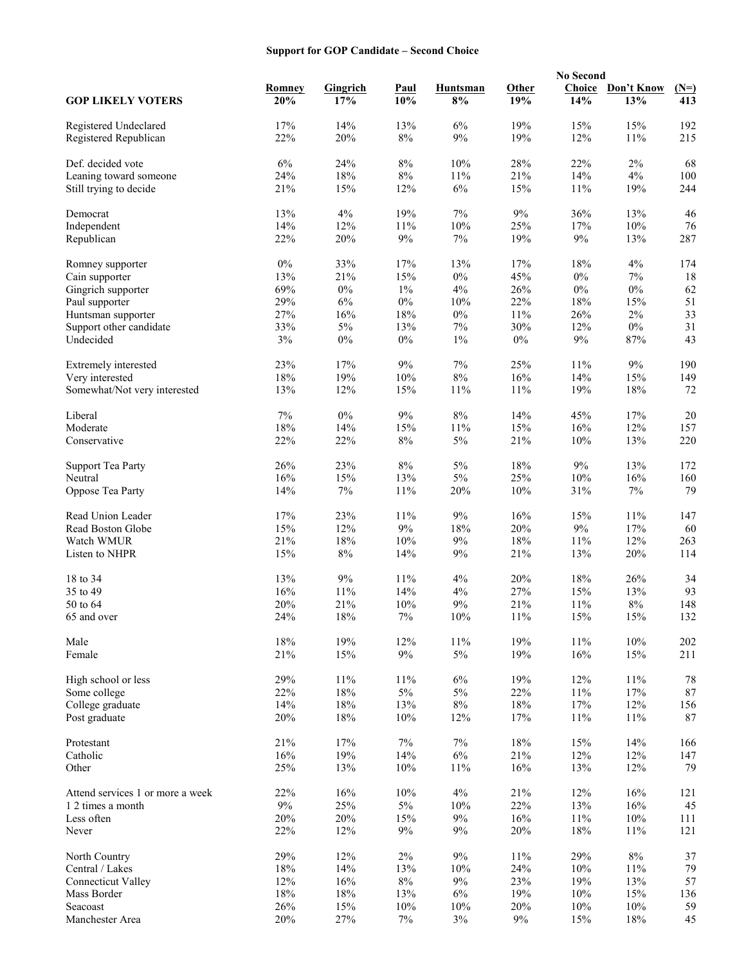# **Support for GOP Candidate – Second Choice**

|                                  |               |                        |                    | <b>No Second</b> |              |               |                   |               |
|----------------------------------|---------------|------------------------|--------------------|------------------|--------------|---------------|-------------------|---------------|
| <b>GOP LIKELY VOTERS</b>         | Romney<br>20% | <b>Gingrich</b><br>17% | <b>Paul</b><br>10% | Huntsman<br>8%   | Other<br>19% | Choice<br>14% | Don't Know<br>13% | $(N=)$<br>413 |
| Registered Undeclared            | 17%           | 14%                    | 13%                | 6%               | 19%          | 15%           | 15%               | 192           |
| Registered Republican            | 22%           | 20%                    | $8\%$              | 9%               | 19%          | 12%           | 11%               | 215           |
| Def. decided vote                | 6%            | 24%                    | $8\%$              | 10%              | 28%          | 22%           | 2%                | 68            |
| Leaning toward someone           | 24%           | 18%                    | $8\%$              | 11%              | 21%          | 14%           | $4\%$             | 100           |
| Still trying to decide           | 21%           | 15%                    | 12%                | 6%               | 15%          | $11\%$        | 19%               | 244           |
|                                  |               |                        |                    |                  |              |               |                   |               |
| Democrat                         | 13%           | 4%                     | 19%                | $7\%$            | 9%           | 36%           | 13%               | 46            |
| Independent                      | 14%           | 12%                    | 11%                | $10\%$           | 25%          | 17%           | $10\%$            | 76            |
| Republican                       | 22%           | 20%                    | $9\%$              | $7\%$            | 19%          | 9%            | 13%               | 287           |
| Romney supporter                 | $0\%$         | 33%                    | 17%                | 13%              | 17%          | 18%           | 4%                | 174           |
| Cain supporter                   | 13%           | 21%                    | 15%                | $0\%$            | 45%          | $0\%$         | $7\%$             | 18            |
| Gingrich supporter               | 69%           | $0\%$                  | $1\%$              | 4%               | 26%          | $0\%$         | $0\%$             | 62            |
| Paul supporter                   | 29%           | $6\%$                  | $0\%$              | 10%              | 22%          | $18\%$        | 15%               | 51            |
| Huntsman supporter               | 27%           | 16%                    | 18%                | $0\%$            | 11%          | 26%           | $2\%$             | 33            |
| Support other candidate          | 33%           | 5%                     | 13%                | 7%               | 30%          | 12%           | $0\%$             | 31            |
| Undecided                        | 3%            | $0\%$                  | $0\%$              | $1\%$            | $0\%$        | $9\%$         | 87%               | 43            |
| Extremely interested             | 23%           | 17%                    | $9\%$              | $7\%$            | 25%          | $11\%$        | $9\%$             | 190           |
| Very interested                  | 18%           | 19%                    | 10%                | $8\%$            | 16%          | 14%           | 15%               | 149           |
| Somewhat/Not very interested     | 13%           | 12%                    | 15%                | 11%              | 11%          | 19%           | $18\%$            | 72            |
|                                  |               |                        |                    |                  |              |               |                   |               |
| Liberal                          | 7%            | $0\%$                  | 9%                 | $8\%$            | 14%          | 45%           | 17%               | $20\,$        |
| Moderate                         | $18\%$        | 14%                    | 15%                | 11%              | 15%          | 16%           | 12%               | 157           |
| Conservative                     | 22%           | 22%                    | $8\%$              | $5\%$            | 21%          | $10\%$        | 13%               | 220           |
| <b>Support Tea Party</b>         | 26%           | 23%                    | $8\%$              | 5%               | 18%          | 9%            | 13%               | 172           |
| Neutral                          | 16%           | 15%                    | 13%                | $5\%$            | 25%          | $10\%$        | 16%               | 160           |
| Oppose Tea Party                 | 14%           | 7%                     | 11%                | 20%              | 10%          | 31%           | $7\%$             | 79            |
| Read Union Leader                | 17%           | 23%                    | 11%                | 9%               | 16%          | 15%           | $11\%$            | 147           |
| Read Boston Globe                | 15%           | 12%                    | $9\%$              | 18%              | 20%          | 9%            | 17%               | 60            |
| Watch WMUR                       | 21%           | 18%                    | 10%                | 9%               | 18%          | 11%           | 12%               | 263           |
| Listen to NHPR                   | 15%           | $8\%$                  | 14%                | $9\%$            | 21%          | 13%           | 20%               | 114           |
|                                  |               |                        |                    |                  |              |               |                   |               |
| 18 to 34                         | 13%           | 9%                     | 11%                | 4%               | 20%          | 18%           | 26%               | 34            |
| 35 to 49                         | 16%           | 11%                    | 14%                | 4%               | 27%          | 15%           | 13%               | 93            |
| 50 to 64                         | 20%           | 21%                    | 10%                | 9%               | 21%          | $11\%$        | $8\%$             | 148           |
| 65 and over                      | 24%           | $18\%$                 | $7\%$              | $10\%$           | 11%          | 15%           | 15%               | 132           |
| Male                             | 18%           | 19%                    | 12%                | $11\%$           | 19%          | $11\%$        | $10\%$            | 202           |
| Female                           | 21%           | 15%                    | $9\%$              | $5\%$            | 19%          | 16%           | 15%               | 211           |
| High school or less              | 29%           | 11%                    | 11%                | $6\%$            | 19%          | 12%           | 11%               | 78            |
| Some college                     | 22%           | 18%                    | $5\%$              | $5\%$            | 22%          | $11\%$        | $17\%$            | $87\,$        |
| College graduate                 | 14%           | $18\%$                 | 13%                | $8\%$            | $18\%$       | $17\%$        | 12%               | 156           |
| Post graduate                    | 20%           | 18%                    | 10%                | 12%              | 17%          | 11%           | 11%               | 87            |
|                                  |               |                        |                    |                  |              |               |                   |               |
| Protestant                       | 21%           | 17%                    | $7\%$              | $7\%$            | $18\%$       | 15%           | 14%               | 166           |
| Catholic                         | $16\%$        | 19%                    | 14%                | $6\%$            | $21\%$       | 12%           | 12%               | 147           |
| Other                            | 25%           | 13%                    | 10%                | 11%              | 16%          | 13%           | 12%               | 79            |
| Attend services 1 or more a week | 22%           | 16%                    | 10%                | $4\%$            | 21%          | 12%           | 16%               | 121           |
| 1 2 times a month                | $9\%$         | 25%                    | $5\%$              | $10\%$           | 22%          | 13%           | 16%               | 45            |
| Less often                       | 20%           | $20\%$                 | 15%                | $9\%$            | 16%          | $11\%$        | $10\%$            | 111           |
| Never                            | 22%           | 12%                    | $9\%$              | 9%               | 20%          | $18\%$        | $11\%$            | 121           |
| North Country                    | 29%           | 12%                    | $2\%$              | $9\%$            | 11%          | 29%           | $8\%$             | 37            |
| Central / Lakes                  | $18\%$        | $14\%$                 | 13%                | $10\%$           | 24%          | $10\%$        | $11\%$            | 79            |
| <b>Connecticut Valley</b>        | 12%           | 16%                    | $8\%$              | $9\%$            | 23%          | 19%           | 13%               | 57            |
| Mass Border                      | 18%           | $18\%$                 | 13%                | $6\%$            | 19%          | $10\%$        | 15%               | 136           |
| Seacoast                         | 26%           | 15%                    | 10%                | 10%              | 20%          | 10%           | 10%               | 59            |
| Manchester Area                  | $20\%$        | 27%                    | $7\%$              | $3\%$            | $9\%$        | 15%           | $18\%$            | 45            |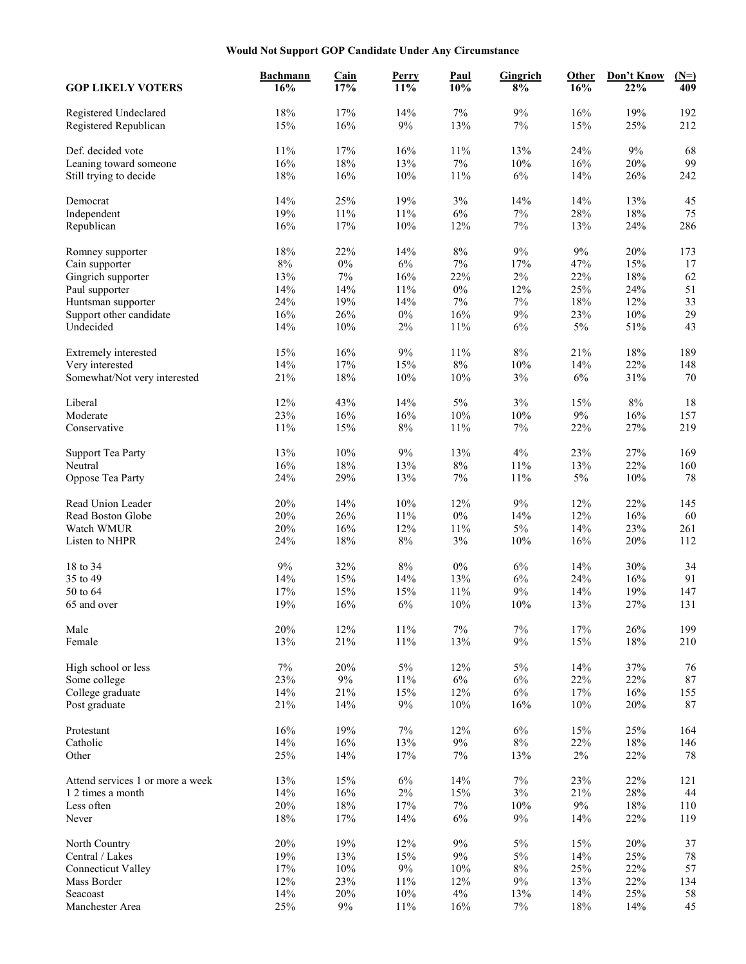# **Would Not Support GOP Candidate Under Any Circumstance**

|                                          | <b>Bachmann</b> | Cain   | Perry  | <b>Paul</b> | Gingrich | Other  | Don't Know | $(N=)$ |
|------------------------------------------|-----------------|--------|--------|-------------|----------|--------|------------|--------|
| <b>GOP LIKELY VOTERS</b>                 | 16%             | 17%    | 11%    | 10%         | 8%       | 16%    | 22%        | 409    |
| Registered Undeclared                    | 18%             | 17%    | 14%    | 7%          | 9%       | 16%    | 19%        | 192    |
| Registered Republican                    | 15%             | 16%    | $9\%$  | 13%         | 7%       | 15%    | 25%        | 212    |
| Def. decided vote                        | 11%             | 17%    | 16%    | 11%         | 13%      | 24%    | 9%         | 68     |
|                                          |                 | 18%    |        |             |          |        | 20%        | 99     |
| Leaning toward someone                   | 16%             |        | 13%    | $7\%$       | 10%      | 16%    |            |        |
| Still trying to decide                   | 18%             | 16%    | 10%    | $11\%$      | $6\%$    | 14%    | 26%        | 242    |
| Democrat                                 | 14%             | 25%    | 19%    | 3%          | 14%      | 14%    | 13%        | 45     |
| Independent                              | 19%             | $11\%$ | 11%    | 6%          | $7\%$    | 28%    | $18\%$     | 75     |
| Republican                               | 16%             | 17%    | 10%    | 12%         | 7%       | 13%    | 24%        | 286    |
| Romney supporter                         | 18%             | 22%    | 14%    | 8%          | $9\%$    | 9%     | 20%        | 173    |
| Cain supporter                           | $8\%$           | $0\%$  | $6\%$  | $7\%$       | 17%      | 47%    | 15%        | 17     |
| Gingrich supporter                       | 13%             | $7\%$  | 16%    | 22%         | $2\%$    | 22%    | 18%        | 62     |
| Paul supporter                           | 14%             | 14%    | 11%    | $0\%$       | 12%      | 25%    | 24%        | 51     |
|                                          |                 |        |        |             |          |        |            |        |
| Huntsman supporter                       | 24%             | 19%    | 14%    | 7%          | $7\%$    | 18%    | 12%        | 33     |
| Support other candidate                  | 16%             | 26%    | $0\%$  | 16%         | 9%       | 23%    | 10%        | 29     |
| Undecided                                | 14%             | $10\%$ | 2%     | 11%         | 6%       | $5\%$  | 51%        | 43     |
| Extremely interested                     | 15%             | 16%    | $9\%$  | 11%         | 8%       | 21%    | $18\%$     | 189    |
| Very interested                          | 14%             | 17%    | 15%    | 8%          | 10%      | 14%    | 22%        | 148    |
| Somewhat/Not very interested             | 21%             | 18%    | 10%    | $10\%$      | 3%       | 6%     | 31%        | 70     |
| Liberal                                  | 12%             | 43%    | 14%    | $5\%$       | 3%       | 15%    | $8\%$      | 18     |
| Moderate                                 | 23%             | 16%    | 16%    | 10%         | $10\%$   | $9\%$  | 16%        | 157    |
| Conservative                             | 11%             | 15%    | $8\%$  | $11\%$      | $7\%$    | 22%    | 27%        | 219    |
|                                          |                 |        |        |             |          |        |            |        |
| <b>Support Tea Party</b>                 | 13%             | 10%    | $9\%$  | 13%         | $4\%$    | 23%    | 27%        | 169    |
| Neutral                                  | 16%             | 18%    | 13%    | $8\%$       | 11%      | 13%    | 22%        | 160    |
| Oppose Tea Party                         | 24%             | 29%    | 13%    | 7%          | 11%      | $5\%$  | 10%        | 78     |
| Read Union Leader                        | 20%             | 14%    | 10%    | 12%         | 9%       | 12%    | 22%        | 145    |
| Read Boston Globe                        | 20%             | 26%    | 11%    | $0\%$       | 14%      | 12%    | 16%        | 60     |
| Watch WMUR                               | 20%             | 16%    | 12%    | $11\%$      | $5\%$    | 14%    | 23%        | 261    |
| Listen to NHPR                           | 24%             | 18%    | $8\%$  | $3\%$       | 10%      | 16%    | 20%        | 112    |
|                                          |                 |        |        |             |          |        |            |        |
| 18 to 34                                 | 9%              | 32%    | $8\%$  | $0\%$       | $6\%$    | 14%    | 30%        | 34     |
| 35 to 49                                 | 14%             | 15%    | 14%    | 13%         | 6%       | 24%    | 16%        | 91     |
| 50 to 64                                 | 17%             | 15%    | 15%    | 11%         | $9\%$    | 14%    | 19%        | 147    |
| 65 and over                              | 19%             | 16%    | $6\%$  | 10%         | 10%      | 13%    | 27%        | 131    |
| Male                                     | 20%             | 12%    | $11\%$ | $7\%$       | $7\%$    | $17\%$ | 26%        | 199    |
| Female                                   | 13%             | 21%    | 11%    | 13%         | 9%       | 15%    | $18\%$     | 210    |
| High school or less                      | $7\%$           | 20%    | $5\%$  | 12%         | $5\%$    | 14%    | 37%        | 76     |
| Some college                             | 23%             | $9\%$  | 11%    | $6\%$       | $6\%$    | 22%    | 22%        | $87\,$ |
| College graduate                         | 14%             | 21%    | 15%    | 12%         | $6\%$    | 17%    | 16%        | 155    |
| Post graduate                            | 21%             | 14%    | 9%     | $10\%$      | 16%      | 10%    | 20%        | $87\,$ |
|                                          |                 |        |        |             |          |        |            |        |
| Protestant                               | 16%             | 19%    | $7\%$  | 12%         | $6\%$    | 15%    | 25%        | 164    |
| Catholic                                 | 14%             | $16\%$ | 13%    | $9\%$       | $8\%$    | 22%    | $18\%$     | 146    |
| Other                                    | 25%             | 14%    | $17\%$ | $7\%$       | 13%      | $2\%$  | 22%        | 78     |
| Attend services 1 or more a week         | 13%             | 15%    | $6\%$  | 14%         | $7\%$    | 23%    | 22%        | 121    |
| 1 2 times a month                        | 14%             | $16\%$ | $2\%$  | 15%         | $3\%$    | 21%    | $28\%$     | 44     |
| Less often                               | 20%             | $18\%$ | 17%    | $7\%$       | $10\%$   | $9\%$  | 18%        | 110    |
| Never                                    | 18%             | 17%    | 14%    | $6\%$       | $9\%$    | 14%    | 22%        | 119    |
| North Country                            | 20%             | 19%    | 12%    | $9\%$       | $5\%$    | 15%    | 20%        | 37     |
| Central / Lakes                          | 19%             | 13%    | 15%    | $9\%$       | $5\%$    | 14%    | 25%        | 78     |
|                                          | 17%             | $10\%$ | $9\%$  |             | $8\%$    | 25%    | 22%        |        |
| <b>Connecticut Valley</b><br>Mass Border |                 |        |        | 10%<br>12%  | $9\%$    |        |            | 57     |
|                                          | 12%             | 23%    | 11%    |             |          | 13%    | 22%        | 134    |
| Seacoast                                 | 14%             | 20%    | $10\%$ | 4%          | 13%      | 14%    | 25%        | 58     |
| Manchester Area                          | 25%             | $9\%$  | $11\%$ | 16%         | $7\%$    | $18\%$ | 14%        | 45     |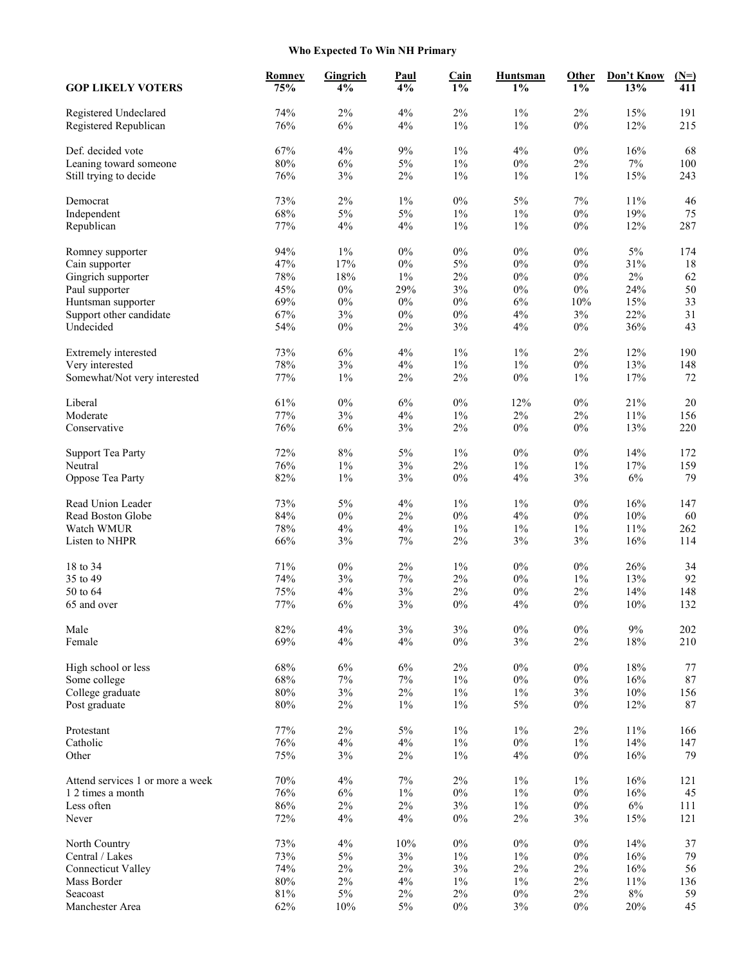# **Who Expected To Win NH Primary**

| <b>GOP LIKELY VOTERS</b>                       | <b>Romney</b><br>75% | Gingrich<br>4% | <u>Paul</u><br>4% | Cain<br>$1\%$ | <b>Huntsman</b><br>$1\%$ | Other<br>$1\%$ | Don't Know<br>13% | $(N=)$<br>411 |
|------------------------------------------------|----------------------|----------------|-------------------|---------------|--------------------------|----------------|-------------------|---------------|
| Registered Undeclared<br>Registered Republican | 74%<br>76%           | $2\%$<br>6%    | 4%<br>4%          | 2%<br>$1\%$   | $1\%$<br>$1\%$           | $2\%$<br>$0\%$ | 15%<br>12%        | 191<br>215    |
| Def. decided vote                              | 67%                  | 4%             | $9\%$             | $1\%$         | 4%                       | $0\%$          | 16%               | 68            |
| Leaning toward someone                         | $80\%$               | $6\%$          | $5\%$             | $1\%$         | $0\%$                    | $2\%$          | $7\%$             | 100           |
| Still trying to decide                         | 76%                  | 3%             | $2\%$             | $1\%$         | $1\%$                    | $1\%$          | 15%               | 243           |
| Democrat                                       | 73%                  | 2%             | $1\%$             | $0\%$         | $5\%$                    | 7%             | 11%               | 46            |
| Independent                                    | 68%                  | $5\%$          | 5%                | 1%            | $1\%$                    | $0\%$          | 19%               | 75            |
| Republican                                     | 77%                  | 4%             | 4%                | $1\%$         | $1\%$                    | $0\%$          | 12%               | 287           |
| Romney supporter                               | 94%                  | $1\%$          | $0\%$             | $0\%$         | $0\%$                    | $0\%$          | 5%                | 174           |
| Cain supporter                                 | 47%                  | 17%            | $0\%$             | 5%            | $0\%$                    | $0\%$          | 31%               | 18            |
| Gingrich supporter                             | 78%                  | 18%            | $1\%$             | $2\%$         | $0\%$                    | $0\%$          | $2\%$             | 62            |
| Paul supporter                                 | 45%                  | $0\%$          | 29%               | 3%            | $0\%$                    | $0\%$          | 24%               | 50            |
| Huntsman supporter                             | 69%                  | $0\%$          | $0\%$             | $0\%$         | 6%                       | 10%            | 15%               | 33            |
| Support other candidate                        | 67%                  | 3%             | $0\%$             | $0\%$         | $4\%$                    | 3%             | 22%               | 31            |
| Undecided                                      | 54%                  | $0\%$          | $2\%$             | 3%            | $4\%$                    | $0\%$          | 36%               | 43            |
|                                                | 73%                  | 6%             | 4%                | 1%            | $1\%$                    | 2%             | 12%               | 190           |
| Extremely interested                           |                      |                |                   |               |                          |                |                   |               |
| Very interested                                | 78%                  | $3\%$          | 4%                | $1\%$         | $1\%$                    | $0\%$          | 13%               | 148           |
| Somewhat/Not very interested                   | 77%                  | $1\%$          | $2\%$             | $2\%$         | $0\%$                    | 1%             | 17%               | 72            |
| Liberal                                        | 61%                  | $0\%$          | 6%                | $0\%$         | 12%                      | $0\%$          | 21%               | $20\,$        |
| Moderate                                       | 77%                  | 3%             | 4%                | $1\%$         | $2\%$                    | $2\%$          | 11%               | 156           |
| Conservative                                   | 76%                  | $6\%$          | $3\%$             | $2\%$         | $0\%$                    | $0\%$          | 13%               | 220           |
| <b>Support Tea Party</b>                       | 72%                  | $8\%$          | $5\%$             | $1\%$         | $0\%$                    | $0\%$          | 14%               | 172           |
| Neutral                                        | 76%                  | $1\%$          | 3%                | 2%            | $1\%$                    | $1\%$          | 17%               | 159           |
| Oppose Tea Party                               | 82%                  | $1\%$          | $3\%$             | $0\%$         | 4%                       | 3%             | $6\%$             | 79            |
| Read Union Leader                              | 73%                  | 5%             | 4%                | $1\%$         | $1\%$                    | $0\%$          | 16%               | 147           |
| Read Boston Globe                              | 84%                  | $0\%$          | 2%                | $0\%$         | 4%                       | $0\%$          | $10\%$            | 60            |
| Watch WMUR                                     | 78%                  | 4%             | 4%                | $1\%$         | $1\%$                    | $1\%$          | 11%               | 262           |
| Listen to NHPR                                 | 66%                  | 3%             | $7\%$             | $2\%$         | $3\%$                    | 3%             | 16%               | 114           |
| 18 to 34                                       | 71%                  | $0\%$          | $2\%$             | 1%            | $0\%$                    | $0\%$          | 26%               | 34            |
| 35 to 49                                       | 74%                  | 3%             | $7\%$             | $2\%$         | $0\%$                    | $1\%$          | 13%               | 92            |
| 50 to 64                                       | 75%                  | 4%             | $3\%$             | 2%            | $0\%$                    | $2\%$          | 14%               | 148           |
| 65 and over                                    | 77%                  | 6%             | 3%                | $0\%$         | 4%                       | $0\%$          | 10%               | 132           |
| Male                                           | 82%                  | 4%             | 3%                | 3%            | $0\%$                    | $0\%$          | $9\%$             | 202           |
| Female                                         | 69%                  | 4%             | $4\%$             | $0\%$         | 3%                       | $2\%$          | $18\%$            | 210           |
| High school or less                            | 68%                  | $6\%$          | $6\%$             | $2\%$         | $0\%$                    | $0\%$          | 18%               | 77            |
| Some college                                   | 68%                  | $7\%$          | $7\%$             | 1%            | $0\%$                    | $0\%$          | 16%               | 87            |
| College graduate                               | $80\%$               | $3\%$          | $2\%$             | $1\%$         | $1\%$                    | $3\%$          | $10\%$            | 156           |
| Post graduate                                  | $80\%$               | 2%             | $1\%$             | $1\%$         | $5\%$                    | $0\%$          | 12%               | 87            |
| Protestant                                     | 77%                  | $2\%$          | $5\%$             | $1\%$         | $1\%$                    | $2\%$          | 11%               | 166           |
| Catholic                                       | 76%                  | 4%             | $4\%$             | $1\%$         | $0\%$                    | $1\%$          | 14%               | 147           |
| Other                                          | 75%                  | 3%             | $2\%$             | $1\%$         | $4\%$                    | $0\%$          | 16%               | 79            |
|                                                |                      |                |                   |               |                          |                |                   |               |
| Attend services 1 or more a week               | 70%                  | 4%             | $7\%$             | $2\%$         | $1\%$                    | $1\%$          | 16%               | 121           |
| 1 2 times a month                              | 76%                  | 6%             | $1\%$             | $0\%$         | $1\%$                    | $0\%$          | 16%               | 45            |
| Less often                                     | 86%                  | $2\%$          | $2\%$             | $3\%$         | $1\%$                    | $0\%$          | $6\%$             | 111           |
| Never                                          | 72%                  | 4%             | 4%                | $0\%$         | $2\%$                    | 3%             | 15%               | 121           |
| North Country                                  | 73%                  | 4%             | $10\%$            | $0\%$         | $0\%$                    | $0\%$          | 14%               | 37            |
| Central / Lakes                                | 73%                  | $5\%$          | $3\%$             | $1\%$         | $1\%$                    | $0\%$          | 16%               | 79            |
| <b>Connecticut Valley</b>                      | 74%                  | $2\%$          | $2\%$             | 3%            | $2\%$                    | $2\%$          | 16%               | 56            |
| Mass Border                                    | $80\%$               | $2\%$          | 4%                | $1\%$         | $1\%$                    | $2\%$          | 11%               | 136           |
| Seacoast                                       | $81\%$               | $5\%$          | $2\%$             | $2\%$         | $0\%$                    | $2\%$          | $8\%$             | 59            |
| Manchester Area                                | 62%                  | $10\%$         | $5\%$             | $0\%$         | $3\%$                    | $0\%$          | 20%               | 45            |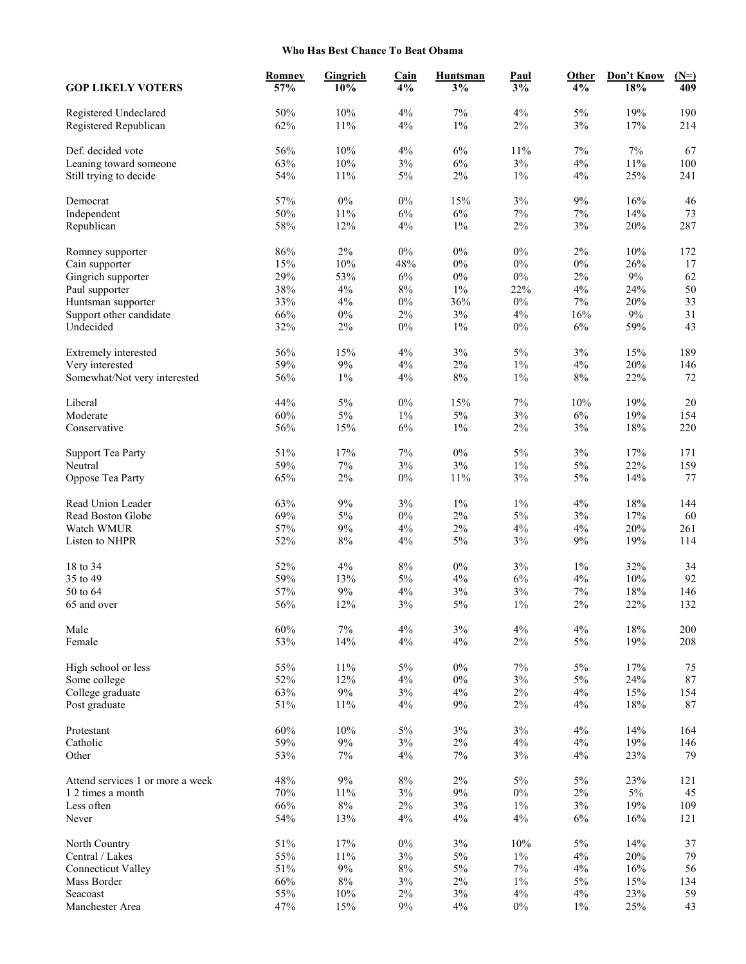#### **Who Has Best Chance To Beat Obama**

|                                          | Romney     | Gingrich       | <b>Cain</b>    | <b>Huntsman</b> | Paul           | Other       | Don't Know | $(N=)$    |
|------------------------------------------|------------|----------------|----------------|-----------------|----------------|-------------|------------|-----------|
| <b>GOP LIKELY VOTERS</b>                 | 57%        | 10%            | 4%             | 3%              | 3%             | 4%          | 18%        | 409       |
| Registered Undeclared                    | 50%        | 10%            | 4%             | 7%              | 4%             | 5%          | 19%        | 190       |
| Registered Republican                    | 62%        | $11\%$         | 4%             | $1\%$           | $2\%$          | 3%          | 17%        | 214       |
| Def. decided vote                        | 56%        | $10\%$         | 4%             | 6%              | 11%            | 7%          | 7%         | 67        |
| Leaning toward someone                   | 63%        | $10\%$         | $3\%$          | $6\%$           | 3%             | $4\%$       | $11\%$     | 100       |
| Still trying to decide                   | 54%        | 11%            | $5\%$          | $2\%$           | $1\%$          | 4%          | 25%        | 241       |
| Democrat                                 | 57%        | $0\%$          | $0\%$          | 15%             | 3%             | 9%          | 16%        | 46        |
| Independent                              | 50%        | $11\%$         | 6%             | 6%              | $7\%$          | 7%          | 14%        | 73        |
| Republican                               | 58%        | 12%            | 4%             | $1\%$           | $2\%$          | 3%          | 20%        | 287       |
| Romney supporter                         | 86%        | 2%             | $0\%$          | $0\%$           | $0\%$          | 2%          | $10\%$     | 172       |
| Cain supporter                           | 15%        | $10\%$         | 48%            | $0\%$           | $0\%$          | $0\%$       | 26%        | 17        |
| Gingrich supporter                       | 29%        | 53%            | $6\%$          | $0\%$           | $0\%$          | $2\%$       | $9\%$      | 62        |
| Paul supporter                           | 38%        | $4\%$          | $8\%$          | $1\%$           | 22%            | 4%          | 24%        | 50        |
| Huntsman supporter                       | 33%        | 4%             | $0\%$          | 36%             | $0\%$          | 7%          | 20%        | 33        |
| Support other candidate                  | 66%        | $0\%$          | $2\%$          | $3\%$           | 4%             | 16%         | $9\%$      | 31        |
| Undecided                                | 32%        | 2%             | $0\%$          | $1\%$           | $0\%$          | 6%          | 59%        | 43        |
| Extremely interested                     | 56%        | 15%            | 4%             | $3\%$           | 5%             | 3%          | 15%        | 189       |
| Very interested                          | 59%        | $9\%$          | 4%             | 2%              | $1\%$          | 4%          | 20%        | 146       |
| Somewhat/Not very interested             | 56%        | $1\%$          | 4%             | $8\%$           | $1\%$          | $8\%$       | 22%        | 72        |
| Liberal                                  | 44%        | $5\%$          | $0\%$          | 15%             | 7%             | 10%         | 19%        | $20\,$    |
| Moderate                                 | 60%        | $5\%$          | $1\%$          | $5\%$           | $3\%$          | $6\%$       | 19%        | 154       |
| Conservative                             | 56%        | 15%            | $6\%$          | $1\%$           | $2\%$          | 3%          | $18\%$     | 220       |
| <b>Support Tea Party</b>                 | 51%        | 17%            | $7\%$          | $0\%$           | 5%             | 3%          | 17%        | 171       |
| Neutral                                  | 59%        | $7\%$          | $3\%$          | 3%              | $1\%$          | $5\%$       | 22%        | 159       |
| Oppose Tea Party                         | 65%        | $2\%$          | $0\%$          | 11%             | 3%             | 5%          | 14%        | 77        |
| Read Union Leader                        | 63%        | 9%             | 3%             | $1\%$           | $1\%$          | 4%          | 18%        | 144       |
| Read Boston Globe                        | 69%        | $5\%$          | $0\%$          | $2\%$           | 5%             | 3%          | 17%        | 60        |
| Watch WMUR                               | 57%        | $9\%$          | $4\%$          | $2\%$           | $4\%$          | 4%          | 20%        | 261       |
| Listen to NHPR                           | 52%        | $8\%$          | 4%             | $5\%$           | $3\%$          | $9\%$       | 19%        | 114       |
| 18 to 34                                 | 52%        | 4%             | $8\%$          | $0\%$           | 3%             | $1\%$       | 32%        | 34        |
| 35 to 49                                 | 59%        | 13%            | $5\%$          | 4%              | 6%             | 4%          | $10\%$     | 92        |
| 50 to 64                                 | 57%        | $9\%$          | 4%             | 3%              | $3\%$          | $7\%$       | 18%        | 146       |
| 65 and over                              | 56%        | 12%            | 3%             | $5\%$           | $1\%$          | $2\%$       | 22%        | 132       |
| Male                                     | 60%        | $7\%$          | $4\%$          | $3\%$           | $4\%$          | $4\%$       | $18\%$     | 200       |
| Female                                   | 53%        | 14%            | 4%             | $4\%$           | $2\%$          | $5\%$       | 19%        | 208       |
| High school or less                      | 55%        | 11%            | $5\%$          | $0\%$           | $7\%$          | $5\%$       | 17%        | 75        |
| Some college                             | 52%        | 12%            | $4\%$          | $0\%$           | $3\%$          | $5\%$       | 24%        | 87        |
| College graduate                         | 63%        | $9\%$          | $3\%$          | 4%              | $2\%$          | 4%          | 15%        | 154       |
| Post graduate                            | 51%        | 11%            | 4%             | $9\%$           | $2\%$          | 4%          | $18\%$     | 87        |
| Protestant                               | 60%        | 10%            | $5\%$          | 3%              | $3\%$          | 4%          | 14%        | 164       |
| Catholic                                 | 59%        | $9\%$          | $3\%$          | $2\%$           | $4\%$          | $4\%$       | 19%        | 146       |
| Other                                    | 53%        | $7\%$          | 4%             | 7%              | $3\%$          | 4%          | 23%        | 79        |
| Attend services 1 or more a week         | 48%        | $9\%$          | $8\%$          | $2\%$           | $5\%$          | $5\%$       | 23%        | 121       |
| 1 2 times a month                        | 70%        | $11\%$         | $3\%$          | $9\%$           | $0\%$          | $2\%$       | $5\%$      | 45        |
| Less often                               | 66%        | $8\%$          | $2\%$          | $3\%$           | $1\%$          | $3\%$       | 19%        | 109       |
| Never                                    | 54%        | 13%            | 4%             | 4%              | $4\%$          | $6\%$       | 16%        | 121       |
| North Country                            | 51%        | 17%            | $0\%$          | 3%              | 10%            | $5\%$       | 14%        | 37        |
| Central / Lakes                          | 55%        | $11\%$         | $3\%$          | $5\%$           | $1\%$          | 4%          | 20%        | 79        |
| <b>Connecticut Valley</b><br>Mass Border | 51%<br>66% | $9\%$<br>$8\%$ | $8\%$<br>$3\%$ | $5\%$<br>$2\%$  | $7\%$<br>$1\%$ | 4%<br>$5\%$ | 16%<br>15% | 56<br>134 |
| Seacoast                                 | 55%        | $10\%$         | $2\%$          | $3\%$           | $4\%$          | $4\%$       | 23%        | 59        |
| Manchester Area                          | 47%        | 15%            | $9\%$          | $4\%$           | $0\%$          | $1\%$       | $25\%$     | 43        |
|                                          |            |                |                |                 |                |             |            |           |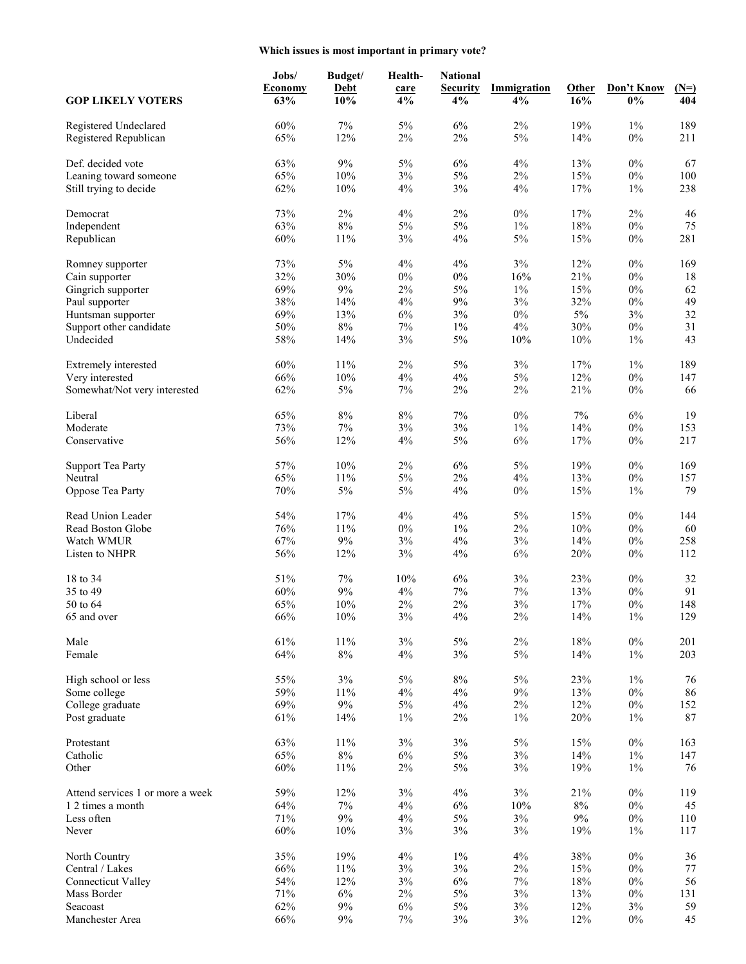# **Which issues is most important in primary vote?**

| <b>GOP LIKELY VOTERS</b>                              | Jobs/<br><b>Economy</b><br>63% | Budget/<br><b>Debt</b><br>10% | Health-<br>care<br>4% | <b>National</b><br><b>Security</b><br>4% | <b>Immigration</b><br>4% | Other<br>16% | Don't Know<br>$0\%$ | $(N=)$<br>404 |
|-------------------------------------------------------|--------------------------------|-------------------------------|-----------------------|------------------------------------------|--------------------------|--------------|---------------------|---------------|
|                                                       |                                |                               |                       |                                          |                          |              |                     |               |
| Registered Undeclared<br>Registered Republican        | 60%<br>65%                     | $7\%$<br>12%                  | 5%<br>2%              | 6%<br>2%                                 | $2\%$<br>5%              | 19%<br>14%   | $1\%$<br>$0\%$      | 189<br>211    |
| Def. decided vote                                     | 63%                            | $9\%$                         | 5%                    | $6\%$                                    | $4\%$                    | 13%          | $0\%$               | 67            |
| Leaning toward someone                                | 65%                            | 10%                           | $3\%$                 | $5\%$                                    | $2\%$                    | 15%          | $0\%$               | 100           |
| Still trying to decide                                | 62%                            | 10%                           | $4\%$                 | 3%                                       | 4%                       | 17%          | $1\%$               | 238           |
|                                                       |                                |                               |                       |                                          |                          |              |                     |               |
| Democrat                                              | 73%                            | 2%                            | $4\%$                 | $2\%$                                    | $0\%$                    | 17%          | $2\%$               | 46            |
| Independent                                           | 63%                            | $8\%$                         | 5%                    | $5\%$                                    | $1\%$                    | 18%          | $0\%$               | 75            |
| Republican                                            | 60%                            | 11%                           | $3\%$                 | 4%                                       | $5\%$                    | 15%          | $0\%$               | 281           |
| Romney supporter                                      | 73%                            | 5%                            | 4%                    | 4%                                       | $3\%$                    | 12%          | $0\%$               | 169           |
| Cain supporter                                        | 32%                            | 30%                           | $0\%$                 | $0\%$                                    | 16%                      | 21%          | $0\%$               | 18            |
| Gingrich supporter                                    | 69%                            | $9\%$                         | $2\%$                 | $5\%$                                    | $1\%$                    | 15%          | $0\%$               | 62            |
| Paul supporter                                        | 38%                            | 14%                           | $4\%$                 | $9\%$                                    | $3\%$                    | 32%          | $0\%$               | 49            |
| Huntsman supporter                                    | 69%                            | 13%                           | $6\%$                 | 3%                                       | $0\%$                    | $5\%$        | $3\%$               | 32            |
| Support other candidate                               | 50%                            | $8\%$                         | $7\%$                 | $1\%$                                    | $4\%$                    | 30%          | $0\%$               | 31            |
| Undecided                                             | 58%                            | 14%                           | $3\%$                 | $5\%$                                    | 10%                      | 10%          | $1\%$               | 43            |
|                                                       |                                |                               |                       |                                          |                          |              |                     |               |
| Extremely interested                                  | 60%                            | 11%                           | 2%                    | 5%                                       | 3%                       | 17%          | $1\%$               | 189           |
| Very interested                                       | 66%                            | 10%                           | $4\%$                 | 4%                                       | $5\%$                    | 12%          | $0\%$               | 147           |
| Somewhat/Not very interested                          | 62%                            | $5\%$                         | $7\%$                 | $2\%$                                    | $2\%$                    | 21%          | $0\%$               | 66            |
| Liberal                                               | 65%                            | $8\%$                         | $8\%$                 | $7\%$                                    | $0\%$                    | 7%           | $6\%$               | 19            |
| Moderate                                              | 73%                            | $7\%$                         | $3\%$                 | 3%                                       | $1\%$                    | 14%          | $0\%$               | 153           |
| Conservative                                          | 56%                            | 12%                           | 4%                    | $5\%$                                    | $6\%$                    | 17%          | $0\%$               | 217           |
| <b>Support Tea Party</b>                              | 57%                            | 10%                           | $2\%$                 | $6\%$                                    | 5%                       | 19%          | $0\%$               | 169           |
| Neutral                                               | 65%                            | 11%                           | $5\%$                 | $2\%$                                    | 4%                       | 13%          | $0\%$               | 157           |
| Oppose Tea Party                                      | $70\%$                         | $5\%$                         | $5\%$                 | $4\%$                                    | $0\%$                    | 15%          | $1\%$               | 79            |
|                                                       |                                |                               |                       |                                          |                          |              |                     |               |
| Read Union Leader                                     | 54%                            | 17%                           | 4%                    | 4%                                       | 5%                       | 15%          | $0\%$               | 144           |
| Read Boston Globe                                     | 76%                            | 11%                           | $0\%$                 | $1\%$                                    | $2\%$                    | 10%          | $0\%$               | 60            |
| Watch WMUR                                            | 67%                            | $9\%$                         | $3\%$                 | 4%                                       | $3\%$                    | 14%          | $0\%$               | 258           |
| Listen to NHPR                                        | 56%                            | 12%                           | $3\%$                 | 4%                                       | 6%                       | 20%          | $0\%$               | 112           |
| 18 to 34                                              | 51%                            | $7\%$                         | 10%                   | $6\%$                                    | 3%                       | 23%          | $0\%$               | 32            |
| 35 to 49                                              | 60%                            | 9%                            | 4%                    | 7%                                       | $7\%$                    | 13%          | $0\%$               | 91            |
| 50 to 64                                              | 65%                            | 10%                           | $2\%$                 | $2\%$                                    | 3%                       | 17%          | $0\%$               | 148           |
| 65 and over                                           | 66%                            | 10%                           | 3%                    | 4%                                       | $2\%$                    | 14%          | $1\%$               | 129           |
| Male                                                  | 61%                            | 11%                           | 3%                    | 5%                                       | 2%                       | 18%          | $0\%$               | 201           |
| Female                                                | 64%                            | $8\%$                         | 4%                    | 3%                                       | $5\%$                    | 14%          | $1\%$               | 203           |
|                                                       |                                |                               |                       |                                          |                          |              |                     |               |
| High school or less                                   | 55%                            | 3%                            | $5\%$                 | $8\%$                                    | $5\%$                    | 23%          | $1\%$               | 76            |
| Some college                                          | 59%                            | 11%                           | $4\%$                 | 4%                                       | $9\%$                    | 13%          | $0\%$               | 86            |
| College graduate                                      | 69%                            | $9\%$                         | $5\%$                 | $4\%$                                    | $2\%$                    | 12%          | $0\%$               | 152           |
| Post graduate                                         | 61%                            | 14%                           | $1\%$                 | $2\%$                                    | $1\%$                    | $20\%$       | $1\%$               | 87            |
| Protestant                                            | 63%                            | 11%                           | $3\%$                 | 3%                                       | $5\%$                    | 15%          | $0\%$               | 163           |
| Catholic                                              | 65%                            | $8\%$                         | $6\%$                 | 5%                                       | $3\%$                    | 14%          | $1\%$               | 147           |
| Other                                                 | 60%                            | 11%                           | $2\%$                 | $5\%$                                    | $3\%$                    | 19%          | $1\%$               | 76            |
|                                                       |                                |                               |                       |                                          |                          |              |                     |               |
| Attend services 1 or more a week<br>1 2 times a month | 59%<br>64%                     | 12%<br>$7\%$                  | $3\%$<br>$4\%$        | $4\%$<br>$6\%$                           | 3%<br>10%                | 21%<br>$8\%$ | $0\%$<br>$0\%$      | 119<br>45     |
| Less often                                            | 71%                            | $9\%$                         | $4\%$                 | $5\%$                                    | $3\%$                    | $9\%$        | $0\%$               | 110           |
| Never                                                 | 60%                            | 10%                           | $3\%$                 | 3%                                       | $3\%$                    | 19%          | $1\%$               | 117           |
|                                                       |                                |                               |                       |                                          |                          |              |                     |               |
| North Country                                         | 35%                            | 19%                           | $4\%$                 | $1\%$                                    | $4\%$                    | 38%          | $0\%$               | 36            |
| Central / Lakes                                       | 66%                            | 11%                           | $3\%$                 | 3%                                       | $2\%$                    | 15%          | $0\%$               | $77\,$        |
| <b>Connecticut Valley</b>                             | 54%                            | 12%                           | $3\%$                 | $6\%$                                    | $7\%$                    | 18%          | $0\%$               | 56            |
| Mass Border                                           | 71%                            | 6%                            | $2\%$                 | $5\%$                                    | $3\%$                    | 13%          | $0\%$               | 131           |
| Seacoast                                              | 62%                            | $9\%$                         | $6\%$                 | $5\%$                                    | $3\%$                    | 12%          | $3\%$               | 59            |
| Manchester Area                                       | 66%                            | $9\%$                         | $7\%$                 | $3\%$                                    | $3\%$                    | 12%          | $0\%$               | 45            |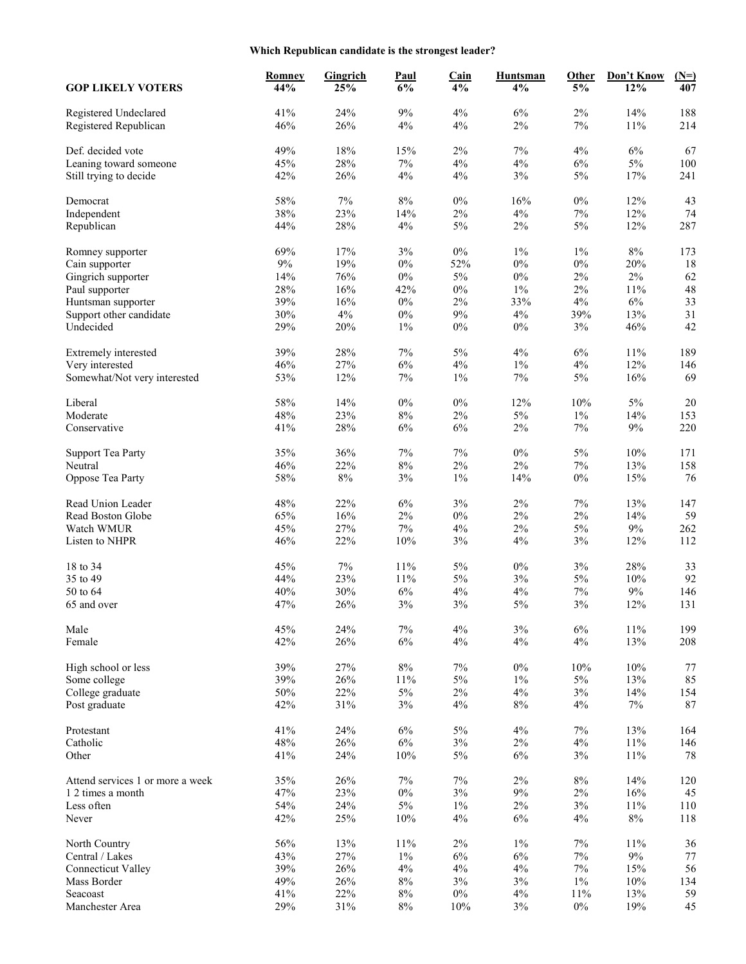# **Which Republican candidate is the strongest leader?**

| <b>GOP LIKELY VOTERS</b>                              | Romney<br>44% | Gingrich<br>25% | Paul<br>6%   | Cain<br>4%     | <b>Huntsman</b><br>4% | Other<br>5%    | Don't Know<br>12% | $(N=)$<br>407 |
|-------------------------------------------------------|---------------|-----------------|--------------|----------------|-----------------------|----------------|-------------------|---------------|
| Registered Undeclared<br>Registered Republican        | 41%<br>46%    | 24%<br>26%      | $9\%$<br>4%  | 4%<br>4%       | 6%<br>2%              | $2\%$<br>7%    | 14%<br>$11\%$     | 188<br>214    |
| Def. decided vote                                     | 49%           | 18%             | 15%          | 2%             | 7%                    | 4%             | $6\%$             | 67            |
| Leaning toward someone                                | 45%           | 28%             | $7\%$        | 4%             | 4%                    | 6%             | $5\%$             | 100           |
| Still trying to decide                                | 42%           | 26%             | $4\%$        | 4%             | 3%                    | $5\%$          | 17%               | 241           |
| Democrat                                              | 58%           | 7%              | $8\%$        | $0\%$          | 16%                   | $0\%$          | 12%               | 43            |
| Independent                                           | 38%           | 23%             | 14%          | $2\%$          | 4%                    | $7\%$          | 12%               | 74            |
| Republican                                            | 44%           | 28%             | $4\%$        | $5\%$          | $2\%$                 | $5\%$          | 12%               | 287           |
| Romney supporter                                      | 69%           | 17%             | $3\%$        | $0\%$          | $1\%$                 | $1\%$          | $8\%$             | 173           |
| Cain supporter                                        | $9\%$         | 19%             | $0\%$        | 52%            | $0\%$                 | $0\%$          | 20%               | 18            |
| Gingrich supporter                                    | 14%           | 76%             | $0\%$        | $5\%$          | $0\%$                 | 2%             | $2\%$             | 62            |
| Paul supporter                                        | 28%           | 16%             | 42%          | $0\%$          | $1\%$                 | $2\%$          | 11%               | 48            |
| Huntsman supporter                                    | 39%           | 16%             | $0\%$        | 2%             | 33%                   | 4%             | $6\%$             | 33            |
| Support other candidate                               | 30%           | $4\%$           | $0\%$        | $9\%$          | 4%                    | 39%            | 13%               | 31            |
| Undecided                                             | 29%           | 20%             | $1\%$        | $0\%$          | $0\%$                 | 3%             | 46%               | 42            |
| Extremely interested                                  | 39%           | 28%             | $7\%$        | 5%             | 4%                    | 6%             | $11\%$            | 189           |
| Very interested                                       | 46%           | 27%             | 6%           | $4\%$          | $1\%$                 | 4%             | 12%               | 146           |
| Somewhat/Not very interested                          | 53%           | 12%             | $7\%$        | $1\%$          | $7\%$                 | $5\%$          | 16%               | 69            |
| Liberal                                               | 58%           | 14%             | $0\%$        | $0\%$          | 12%                   | 10%            | $5\%$             | $20\,$        |
| Moderate                                              | 48%           | 23%             | $8\%$        | 2%             | 5%                    | 1%             | 14%               | 153           |
| Conservative                                          | 41%           | 28%             | $6\%$        | 6%             | $2\%$                 | $7\%$          | $9\%$             | 220           |
| <b>Support Tea Party</b>                              | 35%           | 36%             | 7%           | $7\%$          | $0\%$                 | 5%             | 10%               | 171           |
| Neutral                                               | 46%           | 22%             | $8\%$        | $2\%$          | 2%                    | $7\%$          | 13%               | 158           |
| Oppose Tea Party                                      | 58%           | $8\%$           | $3\%$        | $1\%$          | 14%                   | $0\%$          | 15%               | 76            |
| Read Union Leader                                     | 48%           | 22%             | 6%           | 3%             | 2%                    | $7\%$          | 13%               | 147           |
| Read Boston Globe                                     | 65%           | 16%             | $2\%$        | $0\%$          | 2%                    | $2\%$          | 14%               | 59            |
| Watch WMUR                                            | 45%           | 27%             | $7\%$        | 4%             | 2%                    | 5%             | $9\%$             | 262           |
| Listen to NHPR                                        | 46%           | 22%             | 10%          | $3\%$          | 4%                    | 3%             | 12%               | 112           |
| 18 to 34                                              | 45%           | 7%              | 11%          | 5%             | $0\%$                 | 3%             | 28%               | 33            |
| 35 to 49                                              | 44%           | 23%             | 11%          | 5%             | 3%                    | 5%             | 10%               | 92            |
| 50 to 64                                              | 40%           | 30%             | $6\%$        | $4\%$          | 4%                    | $7\%$          | $9\%$             | 146           |
| 65 and over                                           | 47%           | 26%             | $3\%$        | $3\%$          | $5\%$                 | 3%             | 12%               | 131           |
| Male                                                  | 45%           | 24%             | $7\%$        | 4%             | 3%                    | $6\%$          | $11\%$            | 199           |
| Female                                                | 42%           | 26%             | $6\%$        | 4%             | 4%                    | $4\%$          | 13%               | 208           |
| High school or less                                   | 39%           | 27%             | $8\%$        | $7\%$          | $0\%$                 | 10%            | $10\%$            | 77            |
| Some college                                          | 39%           | 26%             | 11%          | 5%             | $1\%$                 | $5\%$          | 13%               | 85            |
| College graduate                                      | 50%           | 22%             | $5\%$        | $2\%$          | 4%                    | $3\%$          | 14%               | 154           |
| Post graduate                                         | 42%           | 31%             | $3\%$        | $4\%$          | $8\%$                 | $4\%$          | $7\%$             | 87            |
| Protestant                                            | 41%           | 24%             | $6\%$        | $5\%$          | $4\%$                 | $7\%$          | 13%               | 164           |
| Catholic<br>Other                                     | 48%<br>41%    | 26%<br>24%      | $6\%$<br>10% | $3\%$<br>$5\%$ | $2\%$<br>$6\%$        | $4\%$<br>$3\%$ | $11\%$<br>$11\%$  | 146<br>78     |
|                                                       |               |                 |              |                |                       |                |                   |               |
| Attend services 1 or more a week<br>1 2 times a month | 35%<br>47%    | 26%<br>23%      | 7%<br>$0\%$  | $7\%$<br>$3\%$ | $2\%$<br>9%           | $8\%$<br>$2\%$ | 14%<br>16%        | 120<br>45     |
| Less often                                            | 54%           |                 |              | $1\%$          |                       |                |                   |               |
| Never                                                 | 42%           | 24%<br>25%      | $5\%$<br>10% | 4%             | $2\%$<br>$6\%$        | 3%<br>$4\%$    | $11\%$<br>$8\%$   | 110<br>118    |
| North Country                                         | 56%           | 13%             | 11%          | $2\%$          | $1\%$                 | $7\%$          | 11%               | 36            |
| Central / Lakes                                       | 43%           | 27%             | $1\%$        | $6\%$          | $6\%$                 | $7\%$          | $9\%$             | 77            |
| <b>Connecticut Valley</b>                             | 39%           | 26%             | $4\%$        | $4\%$          | $4\%$                 | $7\%$          | 15%               | 56            |
| Mass Border                                           | 49%           | $26\%$          | $8\%$        | 3%             | $3\%$                 | $1\%$          | 10%               | 134           |
| Seacoast                                              | 41%           | 22%             | $8\%$        | $0\%$          | $4\%$                 | $11\%$         | 13%               | 59            |
| Manchester Area                                       | 29%           | $31\%$          | $8\%$        | $10\%$         | $3\%$                 | $0\%$          | 19%               | 45            |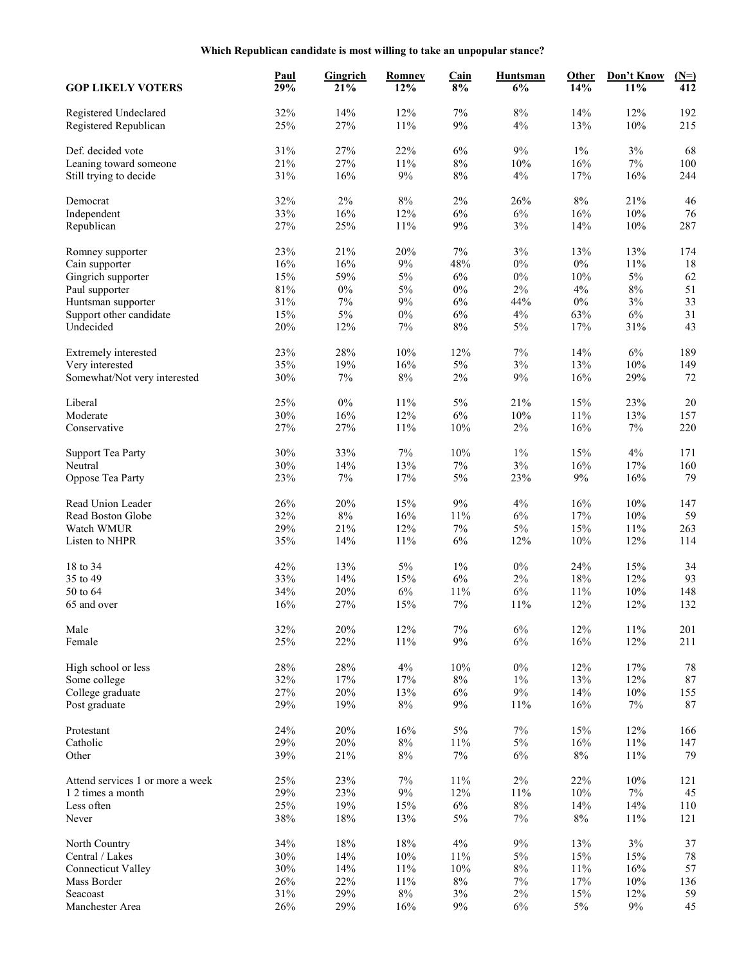| <b>GOP LIKELY VOTERS</b>                       | <b>Paul</b><br>29% | Gingrich<br>21% | <b>Romney</b><br>12% | Cain<br>8% | <b>Huntsman</b><br>6% | Other<br>14% | Don't Know<br>11% | $(N=)$<br>412 |
|------------------------------------------------|--------------------|-----------------|----------------------|------------|-----------------------|--------------|-------------------|---------------|
| Registered Undeclared<br>Registered Republican | 32%<br>25%         | 14%<br>27%      | 12%<br>11%           | 7%<br>9%   | $8\%$<br>4%           | 14%<br>13%   | 12%<br>10%        | 192<br>215    |
| Def. decided vote                              | 31%                | 27%             | 22%                  | 6%         | 9%                    | $1\%$        | $3\%$             | 68            |
| Leaning toward someone                         | 21%                | 27%             | 11%                  | $8\%$      | 10%                   | 16%          | $7\%$             | 100           |
| Still trying to decide                         | 31%                | 16%             | $9\%$                | $8\%$      | $4\%$                 | 17%          | 16%               | 244           |
| Democrat                                       | 32%                | $2\%$           | $8\%$                | $2\%$      | 26%                   | $8\%$        | 21%               | 46            |
| Independent                                    | 33%                | 16%             | 12%                  | 6%         | 6%                    | 16%          | 10%               | 76            |
| Republican                                     | 27%                | 25%             | 11%                  | $9\%$      | 3%                    | 14%          | $10\%$            | 287           |
| Romney supporter                               | 23%                | 21%             | 20%                  | $7\%$      | 3%                    | 13%          | 13%               | 174           |
| Cain supporter                                 | 16%                | 16%             | $9\%$                | 48%        | $0\%$                 | $0\%$        | 11%               | 18            |
| Gingrich supporter                             | 15%                | 59%             | $5\%$                | 6%         | $0\%$                 | 10%          | $5\%$             | 62            |
| Paul supporter                                 | $81\%$             | $0\%$           | $5\%$                | $0\%$      | $2\%$                 | $4\%$        | $8\%$             | 51            |
| Huntsman supporter                             | 31%                | 7%              | $9\%$                | 6%         | 44%                   | $0\%$        | 3%                | 33            |
| Support other candidate                        | 15%                | $5\%$           | $0\%$                | 6%         | $4\%$                 | 63%          | $6\%$             | 31            |
| Undecided                                      | 20%                | 12%             | 7%                   | $8\%$      | $5\%$                 | 17%          | 31%               | 43            |
| Extremely interested                           | 23%                | 28%             | 10%                  | 12%        | 7%                    | 14%          | 6%                | 189           |
| Very interested                                | 35%                | 19%             | 16%                  | 5%         | 3%                    | 13%          | $10\%$            | 149           |
| Somewhat/Not very interested                   | 30%                | $7\%$           | $8\%$                | $2\%$      | 9%                    | 16%          | 29%               | 72            |
| Liberal                                        | 25%                | $0\%$           | 11%                  | 5%         | 21%                   | 15%          | 23%               | $20\,$        |
| Moderate                                       | 30%                | 16%             | 12%                  | 6%         | 10%                   | 11%          | 13%               | 157           |
| Conservative                                   | 27%                | 27%             | 11%                  | 10%        | $2\%$                 | 16%          | 7%                | 220           |
| <b>Support Tea Party</b>                       | 30%                | 33%             | $7\%$                | 10%        | 1%                    | 15%          | 4%                | 171           |
| Neutral                                        | 30%                | 14%             | 13%                  | 7%         | 3%                    | 16%          | 17%               | 160           |
| Oppose Tea Party                               | 23%                | $7\%$           | 17%                  | 5%         | 23%                   | 9%           | 16%               | 79            |
| Read Union Leader                              | 26%                | 20%             | 15%                  | $9\%$      | $4\%$                 | 16%          | 10%               | 147           |
| Read Boston Globe                              | 32%                | $8\%$           | 16%                  | 11%        | 6%                    | 17%          | 10%               | 59            |
| Watch WMUR                                     | 29%                | 21%             | 12%                  | $7\%$      | $5\%$                 | 15%          | 11%               | 263           |
| Listen to NHPR                                 | 35%                | 14%             | 11%                  | 6%         | 12%                   | 10%          | 12%               | 114           |
| 18 to 34                                       | 42%                | 13%             | $5\%$                | $1\%$      | $0\%$                 | 24%          | 15%               | 34            |
| 35 to 49                                       | 33%                | 14%             | 15%                  | 6%         | 2%                    | 18%          | 12%               | 93            |
| 50 to 64                                       | 34%                | 20%             | $6\%$                | 11%        | $6\%$                 | 11%          | 10%               | 148           |
| 65 and over                                    | 16%                | 27%             | 15%                  | 7%         | 11%                   | 12%          | 12%               | 132           |
| Male                                           | 32%                | 20%             | 12%                  | $7\%$      | $6\%$                 | 12%          | 11%               | 201           |
| Female                                         | 25%                | 22%             | 11%                  | $9\%$      | $6\%$                 | 16%          | 12%               | 211           |
| High school or less                            | 28%                | 28%             | 4%                   | 10%        | $0\%$                 | 12%          | 17%               | 78            |
| Some college                                   | 32%                | 17%             | 17%                  | $8\%$      | $1\%$                 | 13%          | 12%               | 87            |
| College graduate                               | 27%                | 20%             | 13%                  | 6%         | $9\%$                 | 14%          | $10\%$            | 155           |
| Post graduate                                  | 29%                | 19%             | $8\%$                | $9\%$      | 11%                   | 16%          | 7%                | 87            |
| Protestant                                     | 24%                | 20%             | 16%                  | $5\%$      | $7\%$                 | 15%          | 12%               | 166           |
| Catholic                                       | 29%                | 20%             | $8\%$                | 11%        | $5\%$                 | 16%          | 11%               | 147           |
| Other                                          | 39%                | 21%             | $8\%$                | $7\%$      | $6\%$                 | $8\%$        | 11%               | 79            |
| Attend services 1 or more a week               | 25%                | 23%             | 7%                   | 11%        | $2\%$                 | 22%          | $10\%$            | 121           |
| 1 2 times a month                              | 29%                | 23%             | $9\%$                | 12%        | 11%                   | 10%          | $7\%$             | 45            |
| Less often                                     | 25%                | 19%             | 15%                  | $6\%$      | $8\%$                 | 14%          | 14%               | 110           |
| Never                                          | $38\%$             | $18\%$          | 13%                  | $5\%$      | 7%                    | $8\%$        | 11%               | 121           |
| North Country                                  | 34%                | $18\%$          | 18%                  | $4\%$      | $9\%$                 | 13%          | $3\%$             | 37            |
| Central / Lakes                                | 30%                | 14%             | 10%                  | 11%        | $5\%$                 | 15%          | 15%               | $78\,$        |
| <b>Connecticut Valley</b>                      | 30%                | $14\%$          | $11\%$               | $10\%$     | $8\%$                 | 11%          | 16%               | 57            |
| Mass Border                                    | 26%                | 22%             | 11%                  | $8\%$      | 7%                    | 17%          | 10%               | 136           |
| Seacoast                                       | $31\%$             | 29%             | $8\%$                | $3\%$      | $2\%$                 | 15%          | 12%               | 59            |
| Manchester Area                                | 26%                | 29%             | 16%                  | $9\%$      | $6\%$                 | $5\%$        | $9\%$             | 45            |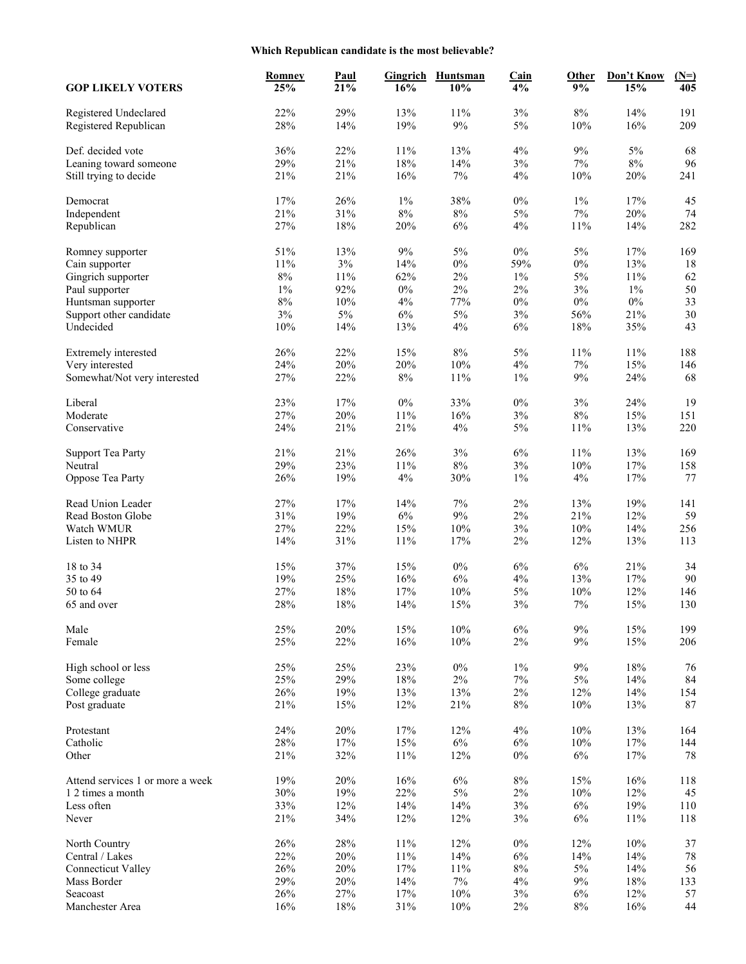# **Which Republican candidate is the most believable?**

| <b>GOP LIKELY VOTERS</b>                       | <b>Romney</b><br>25% | <b>Paul</b><br>21% | Gingrich<br>16% | <b>Huntsman</b><br>10% | <b>Cain</b><br>4% | Other<br>9%  | Don't Know<br>15% | $(N=)$<br>405 |
|------------------------------------------------|----------------------|--------------------|-----------------|------------------------|-------------------|--------------|-------------------|---------------|
| Registered Undeclared<br>Registered Republican | 22%<br>28%           | 29%<br>14%         | 13%<br>19%      | 11%<br>9%              | 3%<br>5%          | $8\%$<br>10% | 14%<br>16%        | 191<br>209    |
| Def. decided vote                              | 36%                  | 22%                | 11%             | 13%                    | $4\%$             | 9%           | $5\%$             | 68            |
| Leaning toward someone                         | 29%                  | 21%                | 18%             | 14%                    | 3%                | $7\%$        | $8\%$             | 96            |
|                                                | 21%                  | 21%                | 16%             | $7\%$                  | $4\%$             | 10%          | 20%               | 241           |
| Still trying to decide                         |                      |                    |                 |                        |                   |              |                   |               |
| Democrat                                       | 17%                  | 26%                | $1\%$           | 38%                    | $0\%$             | $1\%$        | 17%               | 45            |
| Independent                                    | 21%                  | 31%                | $8\%$           | $8\%$                  | 5%                | 7%           | 20%               | 74            |
| Republican                                     | 27%                  | $18\%$             | 20%             | 6%                     | 4%                | 11%          | 14%               | 282           |
| Romney supporter                               | 51%                  | 13%                | $9\%$           | 5%                     | $0\%$             | $5\%$        | 17%               | 169           |
| Cain supporter                                 | 11%                  | $3\%$              | 14%             | $0\%$                  | 59%               | $0\%$        | 13%               | 18            |
| Gingrich supporter                             | $8\%$                | 11%                | 62%             | $2\%$                  | $1\%$             | $5\%$        | 11%               | 62            |
| Paul supporter                                 | $1\%$                | 92%                | $0\%$           | $2\%$                  | $2\%$             | 3%           | $1\%$             | 50            |
| Huntsman supporter                             | $8\%$                | $10\%$             | 4%              | 77%                    | $0\%$             | $0\%$        | $0\%$             | 33            |
| Support other candidate                        | 3%                   | $5\%$              | $6\%$           | 5%                     | 3%                | 56%          | 21%               | 30            |
| Undecided                                      | 10%                  | 14%                | 13%             | 4%                     | $6\%$             | 18%          | 35%               | 43            |
|                                                |                      |                    |                 |                        |                   |              |                   |               |
| Extremely interested                           | 26%                  | 22%                | 15%             | $8\%$                  | 5%                | $11\%$       | 11%               | 188           |
| Very interested                                | 24%                  | 20%                | 20%             | 10%                    | 4%                | $7\%$        | 15%               | 146           |
| Somewhat/Not very interested                   | 27%                  | 22%                | $8\%$           | 11%                    | $1\%$             | $9\%$        | 24%               | 68            |
| Liberal                                        | 23%                  | 17%                | $0\%$           | 33%                    | $0\%$             | 3%           | 24%               | 19            |
| Moderate                                       | 27%                  | 20%                | 11%             | 16%                    | 3%                | $8\%$        | 15%               | 151           |
| Conservative                                   | 24%                  | 21%                | 21%             | $4\%$                  | $5\%$             | 11%          | 13%               | 220           |
|                                                |                      |                    |                 |                        |                   |              |                   |               |
| <b>Support Tea Party</b>                       | 21%                  | 21%                | 26%             | $3\%$                  | 6%                | 11%          | 13%               | 169           |
| Neutral                                        | 29%                  | 23%                | 11%             | 8%                     | 3%                | $10\%$       | 17%               | 158           |
| Oppose Tea Party                               | 26%                  | 19%                | $4\%$           | 30%                    | $1\%$             | 4%           | 17%               | 77            |
| Read Union Leader                              | 27%                  | 17%                | 14%             | $7\%$                  | $2\%$             | 13%          | 19%               | 141           |
| Read Boston Globe                              | 31%                  | 19%                | $6\%$           | $9\%$                  | $2\%$             | 21%          | 12%               | 59            |
| Watch WMUR                                     | 27%                  | 22%                | 15%             | 10%                    | 3%                | 10%          | 14%               | 256           |
| Listen to NHPR                                 | 14%                  | 31%                | 11%             | 17%                    | $2\%$             | 12%          | 13%               | 113           |
| 18 to 34                                       | 15%                  | 37%                | 15%             | $0\%$                  | $6\%$             | 6%           | 21%               | 34            |
| 35 to 49                                       | 19%                  | 25%                | 16%             | 6%                     | $4\%$             | 13%          | 17%               | 90            |
| 50 to 64                                       | 27%                  | 18%                | 17%             | 10%                    | 5%                | 10%          | 12%               | 146           |
| 65 and over                                    | 28%                  | 18%                | 14%             | 15%                    | $3\%$             | 7%           | 15%               | 130           |
|                                                |                      |                    |                 |                        |                   |              |                   |               |
| Male                                           | 25%                  | 20%                | 15%             | 10%                    | $6\%$             | $9\%$        | 15%               | 199           |
| Female                                         | 25%                  | 22%                | 16%             | 10%                    | $2\%$             | $9\%$        | 15%               | 206           |
| High school or less                            | 25%                  | 25%                | 23%             | $0\%$                  | $1\%$             | $9\%$        | $18\%$            | 76            |
| Some college                                   | 25%                  | 29%                | 18%             | $2\%$                  | $7\%$             | $5\%$        | 14%               | 84            |
| College graduate                               | 26%                  | 19%                | 13%             | 13%                    | $2\%$             | 12%          | 14%               | 154           |
| Post graduate                                  | 21%                  | 15%                | 12%             | 21%                    | $8\%$             | 10%          | 13%               | 87            |
| Protestant                                     | 24%                  | $20\%$             | 17%             | 12%                    | $4\%$             | $10\%$       | 13%               | 164           |
| Catholic                                       | 28%                  | 17%                | 15%             | $6\%$                  | $6\%$             | $10\%$       | $17\%$            | 144           |
| Other                                          | 21%                  | 32%                | 11%             | 12%                    | $0\%$             | 6%           | 17%               | 78            |
|                                                |                      |                    |                 |                        |                   |              |                   |               |
| Attend services 1 or more a week               | 19%                  | 20%                | 16%             | $6\%$                  | $8\%$             | 15%          | 16%               | 118           |
| 1 2 times a month                              | 30%                  | 19%                | 22%             | $5\%$                  | $2\%$             | $10\%$       | 12%               | 45            |
| Less often                                     | 33%                  | 12%                | 14%             | 14%                    | $3\%$             | $6\%$        | 19%               | 110           |
| Never                                          | 21%                  | 34%                | 12%             | 12%                    | $3\%$             | $6\%$        | $11\%$            | 118           |
| North Country                                  | 26%                  | 28%                | 11%             | 12%                    | $0\%$             | 12%          | $10\%$            | 37            |
| Central / Lakes                                | 22%                  | 20%                | 11%             | 14%                    | $6\%$             | 14%          | 14%               | 78            |
| <b>Connecticut Valley</b>                      | 26%                  | 20%                | 17%             | 11%                    | $8\%$             | $5\%$        | 14%               | 56            |
| Mass Border                                    | 29%                  | 20%                | 14%             | $7\%$                  | $4\%$             | $9\%$        | $18\%$            | 133           |
| Seacoast                                       | 26%                  | 27%                | 17%             | $10\%$                 | $3\%$             | $6\%$        | 12%               | 57            |
| Manchester Area                                | 16%                  | $18\%$             | $31\%$          | $10\%$                 | $2\%$             | $8\%$        | $16\%$            | $44\,$        |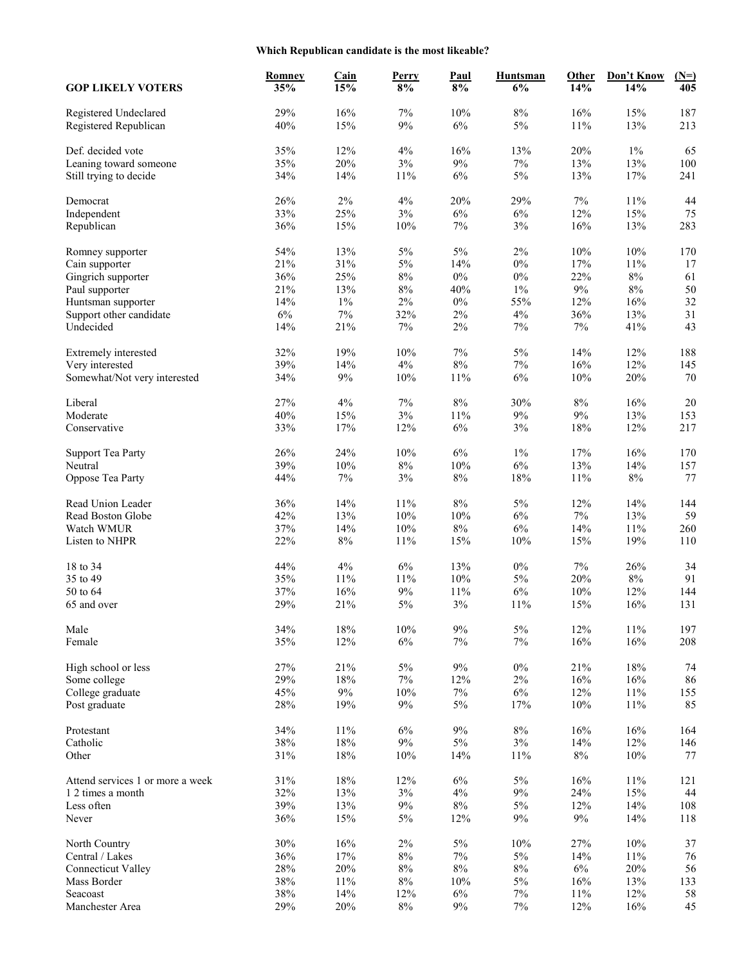# **Which Republican candidate is the most likeable?**

| <b>GOP LIKELY VOTERS</b>                       | <b>Romney</b><br>35% | <b>Cain</b><br>15% | Perry<br>8% | Paul<br>8% | <b>Huntsman</b><br>6% | Other<br>14%  | Don't Know<br>14% | $(N=)$<br>405 |
|------------------------------------------------|----------------------|--------------------|-------------|------------|-----------------------|---------------|-------------------|---------------|
| Registered Undeclared<br>Registered Republican | 29%<br>40%           | 16%<br>15%         | $7\%$<br>9% | 10%<br>6%  | $8\%$<br>5%           | 16%<br>$11\%$ | 15%<br>13%        | 187<br>213    |
| Def. decided vote                              | 35%                  | 12%                | 4%          | 16%        | 13%                   | 20%           | $1\%$             | 65            |
| Leaning toward someone                         | 35%                  | 20%                | $3\%$       | $9\%$      | 7%                    | 13%           | 13%               | 100           |
| Still trying to decide                         | 34%                  | 14%                | 11%         | $6\%$      | $5\%$                 | 13%           | 17%               | 241           |
| Democrat                                       | 26%                  | $2\%$              | 4%          | 20%        | 29%                   | 7%            | 11%               | 44            |
| Independent                                    | 33%                  | 25%                | $3\%$       | 6%         | 6%                    | 12%           | 15%               | 75            |
| Republican                                     | 36%                  | 15%                | 10%         | 7%         | $3\%$                 | 16%           | 13%               | 283           |
| Romney supporter                               | 54%                  | 13%                | $5\%$       | $5\%$      | 2%                    | 10%           | 10%               | 170           |
| Cain supporter                                 | 21%                  | 31%                | $5\%$       | 14%        | $0\%$                 | 17%           | $11\%$            | 17            |
| Gingrich supporter                             | 36%                  | 25%                | $8\%$       | $0\%$      | $0\%$                 | 22%           | $8\%$             | 61            |
| Paul supporter                                 | 21%                  | 13%                | $8\%$       | 40%        | $1\%$                 | 9%            | $8\%$             | 50            |
| Huntsman supporter                             | 14%                  | $1\%$              | 2%          | $0\%$      | 55%                   | 12%           | 16%               | 32            |
| Support other candidate                        | 6%                   | $7\%$              | 32%         | 2%         | 4%                    | 36%           | 13%               | 31            |
| Undecided                                      | 14%                  | 21%                | $7\%$       | $2\%$      | 7%                    | 7%            | 41%               | 43            |
| Extremely interested                           | 32%                  | 19%                | 10%         | $7\%$      | 5%                    | 14%           | 12%               | 188           |
| Very interested                                | 39%                  | 14%                | $4\%$       | $8\%$      | $7\%$                 | 16%           | 12%               | 145           |
| Somewhat/Not very interested                   | 34%                  | $9\%$              | 10%         | 11%        | 6%                    | 10%           | 20%               | 70            |
| Liberal                                        | 27%                  | $4\%$              | $7\%$       | $8\%$      | 30%                   | $8\%$         | 16%               | $20\,$        |
| Moderate                                       | 40%                  | 15%                | 3%          | 11%        | $9\%$                 | 9%            | 13%               | 153           |
| Conservative                                   | 33%                  | 17%                | 12%         | $6\%$      | 3%                    | 18%           | 12%               | 217           |
| <b>Support Tea Party</b>                       | 26%                  | 24%                | 10%         | 6%         | $1\%$                 | 17%           | 16%               | 170           |
| Neutral                                        | 39%                  | $10\%$             | $8\%$       | 10%        | 6%                    | 13%           | 14%               | 157           |
| Oppose Tea Party                               | 44%                  | $7\%$              | $3\%$       | $8\%$      | 18%                   | 11%           | $8\%$             | 77            |
| Read Union Leader                              | 36%                  | 14%                | 11%         | 8%         | 5%                    | 12%           | 14%               | 144           |
| Read Boston Globe                              | 42%                  | 13%                | 10%         | 10%        | 6%                    | $7\%$         | 13%               | 59            |
| Watch WMUR                                     | 37%                  | 14%                | 10%         | $8\%$      | 6%                    | 14%           | 11%               | 260           |
| Listen to NHPR                                 | 22%                  | $8\%$              | 11%         | 15%        | 10%                   | 15%           | 19%               | 110           |
| 18 to 34                                       | 44%                  | $4\%$              | $6\%$       | 13%        | $0\%$                 | 7%            | 26%               | 34            |
| 35 to 49                                       | 35%                  | 11%                | 11%         | 10%        | 5%                    | 20%           | $8\%$             | 91            |
| 50 to 64                                       | 37%                  | 16%                | $9\%$       | 11%        | $6\%$                 | $10\%$        | 12%               | 144           |
| 65 and over                                    | 29%                  | 21%                | $5\%$       | 3%         | 11%                   | 15%           | 16%               | 131           |
| Male                                           | 34%                  | $18\%$             | 10%         | $9\%$      | $5\%$                 | 12%           | $11\%$            | 197           |
| Female                                         | 35%                  | 12%                | $6\%$       | $7\%$      | $7\%$                 | 16%           | 16%               | 208           |
| High school or less                            | 27%                  | 21%                | $5\%$       | $9\%$      | $0\%$                 | 21%           | 18%               | 74            |
| Some college                                   | 29%                  | $18\%$             | $7\%$       | 12%        | $2\%$                 | 16%           | 16%               | 86            |
| College graduate                               | 45%                  | $9\%$              | $10\%$      | $7\%$      | $6\%$                 | 12%           | $11\%$            | 155           |
| Post graduate                                  | 28%                  | 19%                | 9%          | $5\%$      | 17%                   | $10\%$        | $11\%$            | 85            |
| Protestant                                     | 34%                  | $11\%$             | $6\%$       | $9\%$      | $8\%$                 | 16%           | 16%               | 164           |
| Catholic                                       | 38%                  | $18\%$             | $9\%$       | $5\%$      | $3\%$                 | 14%           | 12%               | 146           |
| Other                                          | $31\%$               | $18\%$             | 10%         | 14%        | 11%                   | $8\%$         | $10\%$            | 77            |
| Attend services 1 or more a week               | 31%                  | 18%                | 12%         | $6\%$      | $5\%$                 | 16%           | 11%               | 121           |
| 1 2 times a month                              | 32%                  | 13%                | $3\%$       | $4\%$      | 9%                    | 24%           | 15%               | 44            |
| Less often                                     | 39%                  | 13%                | $9\%$       | $8\%$      | $5\%$                 | 12%           | 14%               | 108           |
| Never                                          | 36%                  | 15%                | $5\%$       | 12%        | $9\%$                 | $9\%$         | 14%               | 118           |
| North Country                                  | 30%                  | 16%                | $2\%$       | $5\%$      | 10%                   | 27%           | 10%               | 37            |
| Central / Lakes                                | 36%                  | 17%                | $8\%$       | $7\%$      | $5\%$                 | 14%           | 11%               | 76            |
| <b>Connecticut Valley</b>                      | 28%                  | 20%                | $8\%$       | $8\%$      | $8\%$                 | $6\%$         | 20%               | 56            |
| Mass Border                                    | 38%                  | $11\%$             | $8\%$       | 10%        | $5\%$                 | 16%           | 13%               | 133           |
| Seacoast                                       | 38%                  | 14%                | 12%         | $6\%$      | $7\%$                 | 11%           | 12%               | 58            |
| Manchester Area                                | 29%                  | $20\%$             | $8\%$       | $9\%$      | $7\%$                 | 12%           | $16\%$            | 45            |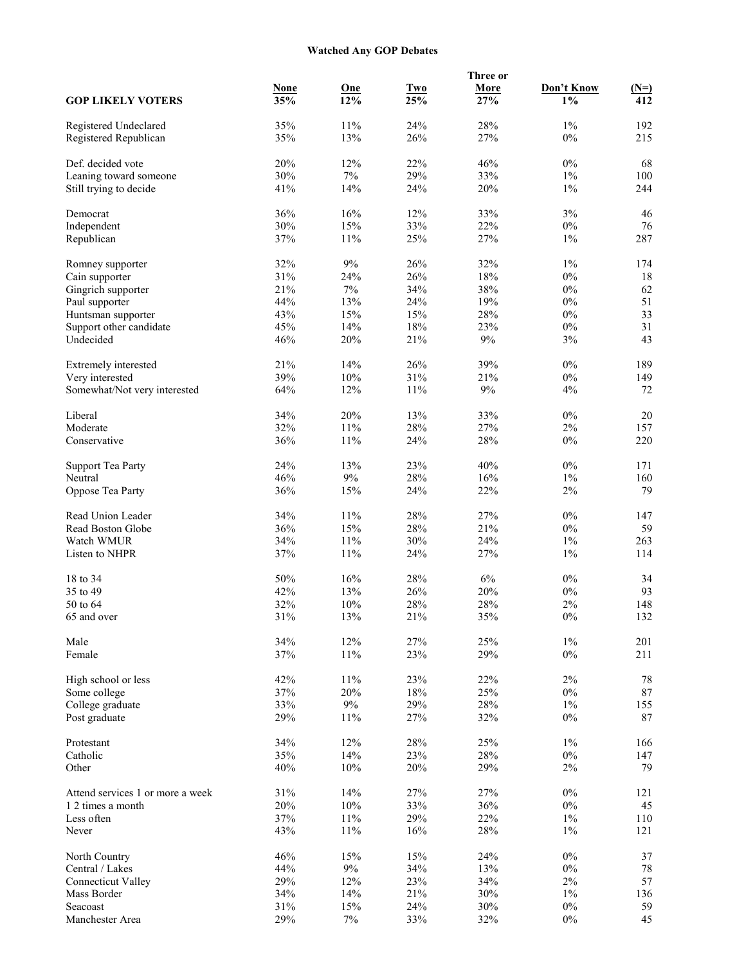# **Watched Any GOP Debates**

|                                                |                    |            |                   | Three or    |                     |               |
|------------------------------------------------|--------------------|------------|-------------------|-------------|---------------------|---------------|
| <b>GOP LIKELY VOTERS</b>                       | <b>None</b><br>35% | One<br>12% | <b>Two</b><br>25% | More<br>27% | Don't Know<br>$1\%$ | $(N=)$<br>412 |
|                                                | 35%                | 11%        | 24%               | 28%         | $1\%$               | 192           |
| Registered Undeclared<br>Registered Republican | 35%                | 13%        | 26%               | 27%         | $0\%$               | 215           |
| Def. decided vote                              | 20%                | 12%        | 22%               | 46%         | $0\%$               | 68            |
| Leaning toward someone                         | 30%                | $7\%$      | 29%               | 33%         | $1\%$               | 100           |
| Still trying to decide                         | 41%                | 14%        | 24%               | 20%         | $1\%$               | 244           |
| Democrat                                       | 36%                | 16%        | 12%               | 33%         | 3%                  | 46            |
| Independent                                    | 30%                | $15\%$     | 33%               | 22%         | $0\%$               | 76            |
| Republican                                     | 37%                | $11\%$     | 25%               | 27%         | $1\%$               | 287           |
| Romney supporter                               | 32%                | 9%         | 26%               | 32%         | $1\%$               | 174           |
| Cain supporter                                 | 31%                | 24%        | 26%               | $18\%$      | $0\%$               | 18            |
| Gingrich supporter                             | 21%                | $7\%$      | 34%               | 38%         | $0\%$               | 62            |
| Paul supporter                                 | 44%                | 13%        | 24%               | 19%         | $0\%$               | 51            |
| Huntsman supporter                             | 43%                | 15%        | 15%               | 28%         | $0\%$               | 33            |
| Support other candidate                        | 45%                | 14%        | 18%               | 23%         | $0\%$               | 31            |
| Undecided                                      | 46%                | 20%        | 21%               | $9\%$       | 3%                  | 43            |
| Extremely interested                           | 21%                | 14%        | 26%               | 39%         | $0\%$               | 189           |
| Very interested                                | 39%                | $10\%$     | 31%               | 21%         | $0\%$               | 149           |
| Somewhat/Not very interested                   | 64%                | 12%        | 11%               | $9\%$       | $4\%$               | 72            |
| Liberal                                        | 34%                | 20%        | 13%               | 33%         | $0\%$               | 20            |
| Moderate                                       | 32%                | $11\%$     | 28%               | 27%         | 2%                  | 157           |
| Conservative                                   | 36%                | 11%        | 24%               | 28%         | $0\%$               | 220           |
| <b>Support Tea Party</b>                       | 24%                | 13%        | 23%               | 40%         | $0\%$               | 171           |
| Neutral                                        | 46%                | $9\%$      | 28%               | 16%         | $1\%$               | 160           |
| Oppose Tea Party                               | 36%                | 15%        | 24%               | 22%         | $2\%$               | 79            |
| Read Union Leader                              | 34%                | $11\%$     | 28%               | 27%         | $0\%$               | 147           |
| Read Boston Globe                              | 36%                | $15\%$     | 28%               | 21%         | $0\%$               | 59            |
| Watch WMUR                                     | 34%                | $11\%$     | 30%               | 24%         | $1\%$               | 263           |
| Listen to NHPR                                 | 37%                | $11\%$     | 24%               | 27%         | $1\%$               | 114           |
| 18 to 34                                       | 50%                | 16%        | 28%               | 6%          | $0\%$               | 34            |
| 35 to 49                                       | 42%                | 13%        | 26%               | 20%         | $0\%$               | 93            |
| 50 to 64                                       | 32%                | $10\%$     | 28%               | 28%         | 2%                  | 148           |
| 65 and over                                    | $31\%$             | 13%        | 21%               | 35%         | $0\%$               | 132           |
| Male                                           | 34%                | 12%        | 27%               | 25%         | $1\%$               | 201           |
| Female                                         | 37%                | $11\%$     | 23%               | 29%         | $0\%$               | 211           |
| High school or less                            | 42%                | $11\%$     | 23%               | 22%         | $2\%$               | 78            |
| Some college                                   | 37%                | 20%        | $18\%$            | 25%         | $0\%$               | $87\,$        |
| College graduate                               | 33%                | $9\%$      | 29%               | 28%         | $1\%$               | 155           |
| Post graduate                                  | 29%                | $11\%$     | 27%               | 32%         | $0\%$               | 87            |
| Protestant                                     | 34%                | 12%        | 28%               | 25%         | $1\%$               | 166           |
| Catholic                                       | 35%                | 14%        | 23%               | 28%         | $0\%$               | 147           |
| Other                                          | 40%                | $10\%$     | 20%               | 29%         | $2\%$               | 79            |
| Attend services 1 or more a week               | 31%                | 14%        | 27%               | 27%         | $0\%$               | 121           |
| 1 2 times a month                              | 20%                | $10\%$     | 33%               | 36%         | $0\%$               | 45            |
| Less often                                     | 37%                | $11\%$     | 29%               | 22%         | $1\%$               | 110           |
| Never                                          | 43%                | $11\%$     | 16%               | 28%         | $1\%$               | 121           |
| North Country                                  | 46%                | 15%        | 15%               | 24%         | $0\%$               | 37            |
| Central / Lakes                                | 44%                | $9\%$      | 34%               | 13%         | $0\%$               | $78\,$        |
| <b>Connecticut Valley</b>                      | 29%                | 12%        | 23%               | 34%         | $2\%$               | 57            |
| Mass Border                                    | 34%                | 14%        | $21\%$            | 30%         | $1\%$               | 136           |
| Seacoast                                       | 31%                | 15%        | 24%               | 30%         | $0\%$               | 59            |
| Manchester Area                                | 29%                | $7\%$      | 33%               | 32%         | $0\%$               | 45            |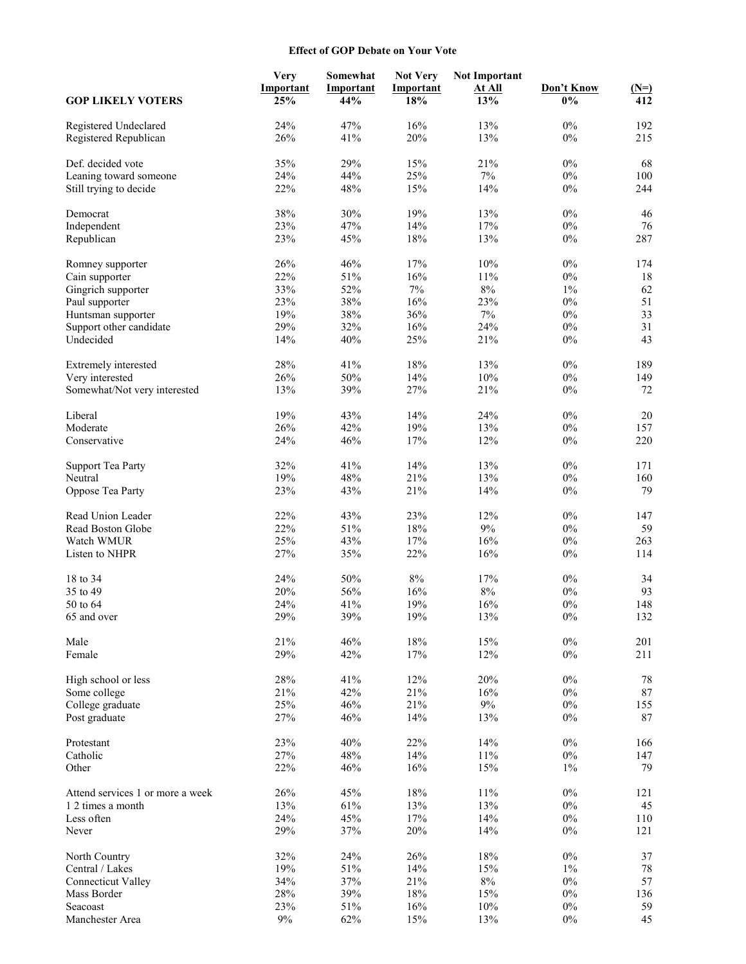#### **Effect of GOP Debate on Your Vote**

|                                  | <b>Very</b> | Somewhat   | <b>Not Very</b> | <b>Not Important</b> |                |            |
|----------------------------------|-------------|------------|-----------------|----------------------|----------------|------------|
|                                  | Important   | Important  | Important       | <b>At All</b>        | Don't Know     | $(N=)$     |
| <b>GOP LIKELY VOTERS</b>         | 25%         | 44%        | 18%             | 13%                  | $0\%$          | 412        |
| Registered Undeclared            | 24%         | 47%        | 16%             | 13%                  | $0\%$          | 192        |
| Registered Republican            | 26%         | 41%        | 20%             | 13%                  | $0\%$          | 215        |
|                                  |             |            |                 |                      |                |            |
| Def. decided vote                | 35%         | 29%        | 15%             | 21%                  | $0\%$          | 68         |
| Leaning toward someone           | 24%         | 44%        | 25%             | 7%                   | $0\%$          | 100        |
| Still trying to decide           | 22%         | 48%        | 15%             | 14%                  | $0\%$          | 244        |
|                                  |             |            |                 |                      |                |            |
| Democrat                         | 38%         | 30%        | 19%             | 13%                  | $0\%$          | 46         |
| Independent                      | 23%         | 47%        | 14%             | 17%                  | $0\%$          | 76         |
| Republican                       | 23%         | 45%        | 18%             | 13%                  | $0\%$          | 287        |
| Romney supporter                 | 26%         | 46%        | 17%             | 10%                  | $0\%$          | 174        |
| Cain supporter                   | 22%         | 51%        | 16%             | 11%                  | $0\%$          | 18         |
| Gingrich supporter               | 33%         | 52%        | $7\%$           | $8\%$                | $1\%$          | 62         |
| Paul supporter                   | 23%         | 38%        | 16%             | 23%                  | $0\%$          | 51         |
| Huntsman supporter               | 19%         | 38%        | 36%             | $7\%$                | $0\%$          | 33         |
| Support other candidate          | 29%         | 32%        | 16%             | 24%                  | $0\%$          | 31         |
| Undecided                        | 14%         | 40%        | 25%             | 21%                  | $0\%$          | 43         |
|                                  |             |            |                 |                      |                |            |
| Extremely interested             | 28%         | 41%        | 18%             | 13%                  | $0\%$          | 189        |
| Very interested                  | 26%         | $50\%$     | 14%             | 10%                  | $0\%$          | 149        |
| Somewhat/Not very interested     | 13%         | 39%        | 27%             | 21%                  | $0\%$          | $72\,$     |
|                                  |             |            |                 |                      |                |            |
| Liberal                          | 19%         | 43%        | 14%             | 24%                  | $0\%$          | 20         |
| Moderate<br>Conservative         | 26%<br>24%  | 42%<br>46% | 19%<br>17%      | 13%<br>12%           | $0\%$<br>$0\%$ | 157<br>220 |
|                                  |             |            |                 |                      |                |            |
| <b>Support Tea Party</b>         | 32%         | 41%        | 14%             | 13%                  | $0\%$          | 171        |
| Neutral                          | 19%         | 48%        | 21%             | 13%                  | $0\%$          | 160        |
| Oppose Tea Party                 | 23%         | 43%        | 21%             | 14%                  | $0\%$          | 79         |
|                                  |             |            |                 |                      |                |            |
| Read Union Leader                | 22%         | 43%        | 23%             | 12%                  | $0\%$          | 147        |
| Read Boston Globe                | 22%         | 51%        | 18%             | $9\%$                | $0\%$          | 59         |
| Watch WMUR                       | 25%         | 43%        | 17%             | 16%                  | $0\%$          | 263        |
| Listen to NHPR                   | 27%         | 35%        | 22%             | 16%                  | $0\%$          | 114        |
| 18 to 34                         | 24%         | 50%        | $8\%$           | 17%                  | $0\%$          | 34         |
| 35 to 49                         | 20%         | 56%        | 16%             | $8\%$                | $0\%$          | 93         |
| 50 to 64                         | 24%         | 41%        | 19%             | 16%                  | $0\%$          | 148        |
| 65 and over                      | 29%         | 39%        | 19%             | 13%                  | $0\%$          | 132        |
|                                  |             |            |                 |                      |                |            |
| Male                             | 21%         | 46%        | 18%             | 15%                  | $0\%$          | 201        |
| Female                           | 29%         | 42%        | 17%             | 12%                  | $0\%$          | 211        |
| High school or less              | 28%         | 41%        | 12%             | 20%                  | $0\%$          | 78         |
| Some college                     | 21%         | 42%        | 21%             | 16%                  | $0\%$          | $87\,$     |
| College graduate                 | 25%         | 46%        | 21%             | $9\%$                | $0\%$          | 155        |
| Post graduate                    | 27%         | 46%        | 14%             | 13%                  | $0\%$          | 87         |
|                                  |             |            |                 |                      |                |            |
| Protestant                       | 23%         | 40%        | 22%             | 14%                  | $0\%$          | 166        |
| Catholic                         | 27%         | 48%        | 14%             | 11%                  | $0\%$          | 147        |
| Other                            | 22%         | 46%        | 16%             | 15%                  | $1\%$          | 79         |
| Attend services 1 or more a week | 26%         | 45%        | 18%             | 11%                  | $0\%$          | 121        |
| 1 2 times a month                | 13%         | 61%        | 13%             | 13%                  | $0\%$          | 45         |
| Less often                       | 24%         | 45%        | 17%             | 14%                  | $0\%$          | 110        |
| Never                            | 29%         | 37%        | 20%             | 14%                  | $0\%$          | 121        |
|                                  |             |            |                 |                      |                |            |
| North Country                    | 32%         | 24%        | 26%             | 18%                  | $0\%$          | 37         |
| Central / Lakes                  | 19%         | 51%        | 14%             | 15%                  | $1\%$          | $78\,$     |
| <b>Connecticut Valley</b>        | 34%         | 37%        | 21%             | $8\%$                | $0\%$          | 57         |
| Mass Border                      | $28\%$      | 39%        | $18\%$          | 15%                  | $0\%$          | 136        |
| Seacoast                         | 23%         | $51\%$     | 16%             | 10%                  | $0\%$          | 59         |
| Manchester Area                  | $9\%$       | 62%        | 15%             | 13%                  | $0\%$          | 45         |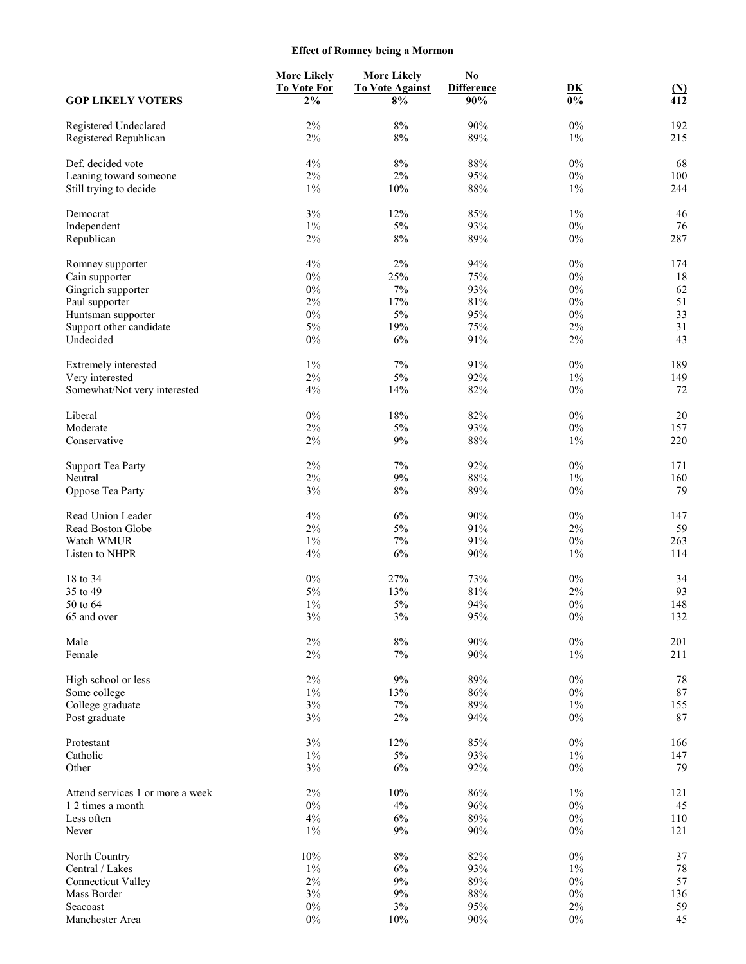# **Effect of Romney being a Mormon**

|                                  | <b>More Likely</b> | <b>More Likely</b>     | No                |                |                          |
|----------------------------------|--------------------|------------------------|-------------------|----------------|--------------------------|
|                                  | <b>To Vote For</b> | <b>To Vote Against</b> | <b>Difference</b> | D <sub>K</sub> |                          |
| <b>GOP LIKELY VOTERS</b>         | $2\%$              | 8%                     | 90%               | $0\%$          | $\frac{\text{(N)}}{412}$ |
| Registered Undeclared            | 2%                 | $8\%$                  | 90%               | $0\%$          | 192                      |
| Registered Republican            | 2%                 | $8\%$                  | 89%               | $1\%$          | 215                      |
| Def. decided vote                | 4%                 | $8\%$                  | $88\%$            | $0\%$          | 68                       |
| Leaning toward someone           | $2\%$              | $2\%$                  | 95%               | $0\%$          | 100                      |
| Still trying to decide           | $1\%$              | 10%                    | $88\%$            | $1\%$          | 244                      |
| Democrat                         | 3%                 | 12%                    | 85%               | $1\%$          | 46                       |
| Independent                      | $1\%$              | 5%                     | 93%               | $0\%$          | 76                       |
| Republican                       | 2%                 | 8%                     | 89%               | $0\%$          | 287                      |
| Romney supporter                 | 4%                 | $2\%$                  | 94%               | $0\%$          | 174                      |
| Cain supporter                   | $0\%$              | 25%                    | 75%               | $0\%$          | 18                       |
| Gingrich supporter               | $0\%$              | $7\%$                  | 93%               | $0\%$          | 62                       |
| Paul supporter                   | 2%                 | 17%                    | 81%               | $0\%$          | 51                       |
| Huntsman supporter               | $0\%$              | $5\%$                  | 95%               | $0\%$          | 33                       |
| Support other candidate          | 5%                 | 19%                    | 75%               | $2\%$          | 31                       |
| Undecided                        | $0\%$              | $6\%$                  | 91%               | $2\%$          | 43                       |
| Extremely interested             | $1\%$              | 7%                     | 91%               | $0\%$          | 189                      |
| Very interested                  | 2%                 | $5\%$                  | 92%               | $1\%$          | 149                      |
|                                  |                    |                        |                   |                |                          |
| Somewhat/Not very interested     | $4\%$              | 14%                    | 82%               | $0\%$          | 72                       |
| Liberal                          | $0\%$              | 18%                    | 82%               | $0\%$          | 20                       |
| Moderate                         | 2%                 | $5\%$                  | 93%               | $0\%$          | 157                      |
| Conservative                     | $2\%$              | 9%                     | $88\%$            | $1\%$          | 220                      |
| <b>Support Tea Party</b>         | 2%                 | 7%                     | 92%               | $0\%$          | 171                      |
| Neutral                          | 2%                 | 9%                     | 88%               | $1\%$          | 160                      |
| Oppose Tea Party                 | 3%                 | $8\%$                  | 89%               | $0\%$          | 79                       |
| Read Union Leader                | 4%                 | $6\%$                  | 90%               | $0\%$          | 147                      |
| Read Boston Globe                | 2%                 | $5\%$                  | 91%               | $2\%$          | 59                       |
| Watch WMUR                       | $1\%$              | $7\%$                  | 91%               | $0\%$          | 263                      |
| Listen to NHPR                   | 4%                 | $6\%$                  | 90%               | $1\%$          | 114                      |
| 18 to 34                         | $0\%$              | 27%                    | 73%               | $0\%$          | 34                       |
| 35 to 49                         | 5%                 | 13%                    | $81\%$            | $2\%$          | 93                       |
| 50 to 64                         | $1\%$              | 5%                     | 94%               | $0\%$          | 148                      |
| 65 and over                      | $3\%$              | 3%                     | $95\%$            | $0\%$          | 132                      |
| Male                             | $2\%$              | $8\%$                  | $90\%$            | $0\%$          | 201                      |
| Female                           | $2\%$              | $7\%$                  | 90%               | $1\%$          | 211                      |
| High school or less              | $2\%$              | $9\%$                  | 89%               | $0\%$          | 78                       |
| Some college                     | $1\%$              | 13%                    | $86\%$            | $0\%$          | $87\,$                   |
| College graduate                 | 3%                 | $7\%$                  | 89%               | $1\%$          | 155                      |
| Post graduate                    | $3\%$              | $2\%$                  | 94%               | $0\%$          | 87                       |
| Protestant                       | 3%                 | 12%                    | 85%               | $0\%$          | 166                      |
| Catholic                         | $1\%$              | $5\%$                  | 93%               | $1\%$          | 147                      |
| Other                            | $3\%$              | $6\%$                  | 92%               | $0\%$          | 79                       |
|                                  |                    |                        |                   |                |                          |
| Attend services 1 or more a week | $2\%$              | 10%                    | $86\%$            | $1\%$          | 121                      |
| 1 2 times a month                | $0\%$              | 4%                     | 96%               | $0\%$          | 45                       |
| Less often                       | $4\%$              | $6\%$                  | 89%               | $0\%$          | 110                      |
| Never                            | $1\%$              | 9%                     | 90%               | $0\%$          | 121                      |
| North Country                    | $10\%$             | $8\%$                  | 82%               | $0\%$          | 37                       |
| Central / Lakes                  | $1\%$              | $6\%$                  | 93%               | $1\%$          | 78                       |
| <b>Connecticut Valley</b>        | $2\%$              | $9\%$                  | 89%               | $0\%$          | 57                       |
| Mass Border                      | $3\%$              | $9\%$                  | $88\%$            | $0\%$          | 136                      |
| Seacoast                         | $0\%$              | $3\%$                  | 95%               | $2\%$          | 59                       |
| Manchester Area                  | $0\%$              | 10%                    | 90%               | $0\%$          | 45                       |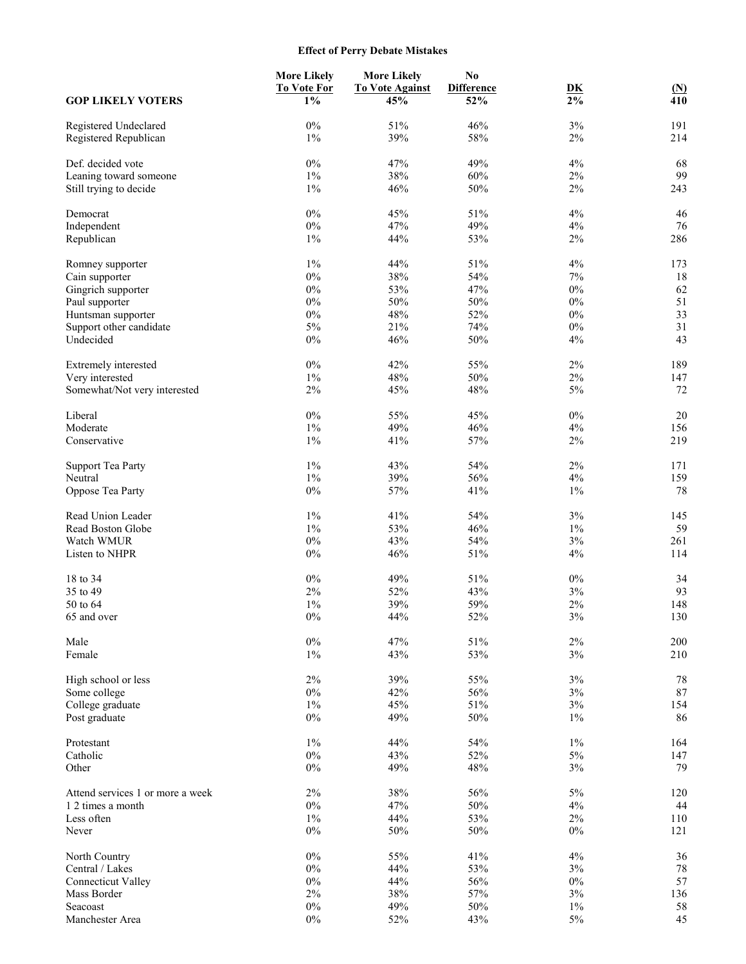# **Effect of Perry Debate Mistakes**

| <b>GOP LIKELY VOTERS</b>                       | <b>More Likely</b><br><b>To Vote For</b><br>$1\%$ | <b>More Likely</b><br><b>To Vote Against</b><br>45% | N <sub>0</sub><br><b>Difference</b><br>52% | DK<br>$2\%$ | $\mathbf{N}$<br>410 |
|------------------------------------------------|---------------------------------------------------|-----------------------------------------------------|--------------------------------------------|-------------|---------------------|
|                                                |                                                   |                                                     |                                            |             |                     |
| Registered Undeclared<br>Registered Republican | $0\%$<br>$1\%$                                    | 51%<br>39%                                          | 46%<br>58%                                 | 3%<br>$2\%$ | 191<br>214          |
| Def. decided vote                              | $0\%$                                             | 47%                                                 | 49%                                        | 4%          | 68                  |
| Leaning toward someone                         | $1\%$                                             | 38%                                                 | 60%                                        | $2\%$       | 99                  |
| Still trying to decide                         | $1\%$                                             | 46%                                                 | 50%                                        | $2\%$       | 243                 |
| Democrat                                       | $0\%$                                             | 45%                                                 | 51%                                        | 4%          | 46                  |
| Independent                                    | $0\%$                                             | 47%                                                 | 49%                                        | 4%          | 76                  |
| Republican                                     | $1\%$                                             | 44%                                                 | 53%                                        | $2\%$       | 286                 |
| Romney supporter                               | $1\%$                                             | 44%                                                 | 51%                                        | 4%          | 173                 |
| Cain supporter                                 | $0\%$                                             | 38%                                                 | 54%                                        | $7\%$       | 18                  |
| Gingrich supporter                             | $0\%$                                             | 53%                                                 | 47%                                        | $0\%$       | 62                  |
| Paul supporter                                 | $0\%$                                             | 50%                                                 | 50%                                        | $0\%$       | 51                  |
| Huntsman supporter                             | $0\%$                                             | 48%                                                 | 52%                                        | $0\%$       | 33                  |
| Support other candidate                        | 5%                                                | 21%                                                 | 74%                                        | $0\%$       | 31                  |
| Undecided                                      | $0\%$                                             | 46%                                                 | 50%                                        | 4%          | 43                  |
| Extremely interested                           | $0\%$                                             | 42%                                                 | 55%                                        | $2\%$       | 189                 |
| Very interested                                | $1\%$                                             | 48%                                                 | 50%                                        | 2%          | 147                 |
| Somewhat/Not very interested                   | $2\%$                                             | 45%                                                 | 48%                                        | 5%          | 72                  |
| Liberal                                        | $0\%$                                             | 55%                                                 | 45%                                        | $0\%$       | $20\,$              |
| Moderate                                       | $1\%$                                             | 49%                                                 | 46%                                        | 4%          | 156                 |
| Conservative                                   | $1\%$                                             | 41%                                                 | 57%                                        | 2%          | 219                 |
| <b>Support Tea Party</b>                       | $1\%$                                             | 43%                                                 | 54%                                        | 2%          | 171                 |
| Neutral                                        | $1\%$                                             | 39%                                                 | 56%                                        | 4%          | 159                 |
| Oppose Tea Party                               | $0\%$                                             | 57%                                                 | 41%                                        | $1\%$       | 78                  |
| Read Union Leader                              | $1\%$                                             | 41%                                                 | 54%                                        | 3%          | 145                 |
| Read Boston Globe                              | $1\%$                                             | 53%                                                 | 46%                                        | $1\%$       | 59                  |
| Watch WMUR                                     | $0\%$                                             | 43%                                                 | 54%                                        | $3\%$       | 261                 |
| Listen to NHPR                                 | $0\%$                                             | 46%                                                 | 51%                                        | 4%          | 114                 |
| 18 to 34                                       | $0\%$                                             | 49%                                                 | 51%                                        | $0\%$       | 34                  |
| 35 to 49                                       | 2%                                                | 52%                                                 | 43%                                        | 3%          | 93                  |
| 50 to 64                                       | $1\%$                                             | 39%                                                 | 59%                                        | 2%          | 148                 |
| 65 and over                                    | $0\%$                                             | 44%                                                 | 52%                                        | $3\%$       | 130                 |
| Male                                           | $0\%$                                             | 47%                                                 | 51%                                        | $2\%$       | 200                 |
| Female                                         | $1\%$                                             | 43%                                                 | 53%                                        | $3\%$       | 210                 |
| High school or less                            | $2\%$                                             | 39%                                                 | 55%                                        | $3\%$       | 78                  |
| Some college                                   | $0\%$                                             | 42%                                                 | 56%                                        | $3\%$       | 87                  |
| College graduate                               | $1\%$                                             | 45%                                                 | 51%                                        | $3\%$       | 154                 |
| Post graduate                                  | $0\%$                                             | 49%                                                 | $50\%$                                     | $1\%$       | 86                  |
| Protestant                                     | $1\%$                                             | 44%                                                 | 54%                                        | $1\%$       | 164                 |
| Catholic                                       | $0\%$                                             | 43%                                                 | 52%                                        | $5\%$       | 147                 |
| Other                                          | $0\%$                                             | 49%                                                 | 48%                                        | $3\%$       | 79                  |
| Attend services 1 or more a week               | $2\%$                                             | 38%                                                 | 56%                                        | $5\%$       | 120                 |
| 1 2 times a month                              | $0\%$                                             | 47%                                                 | 50%                                        | 4%          | 44                  |
| Less often                                     | $1\%$                                             | 44%                                                 | 53%                                        | $2\%$       | 110                 |
| Never                                          | $0\%$                                             | 50%                                                 | $50\%$                                     | $0\%$       | 121                 |
| North Country                                  | $0\%$                                             | 55%                                                 | 41%                                        | 4%          | 36                  |
| Central / Lakes                                | $0\%$                                             | 44%                                                 | 53%                                        | $3\%$       | 78                  |
| <b>Connecticut Valley</b>                      | $0\%$                                             | 44%                                                 | 56%                                        | $0\%$       | 57                  |
| Mass Border                                    | $2\%$                                             | 38%                                                 | 57%                                        | $3\%$       | 136                 |
| Seacoast                                       | $0\%$                                             | 49%                                                 | 50%                                        | $1\%$       | 58                  |
| Manchester Area                                | $0\%$                                             | 52%                                                 | 43%                                        | $5\%$       | $45\,$              |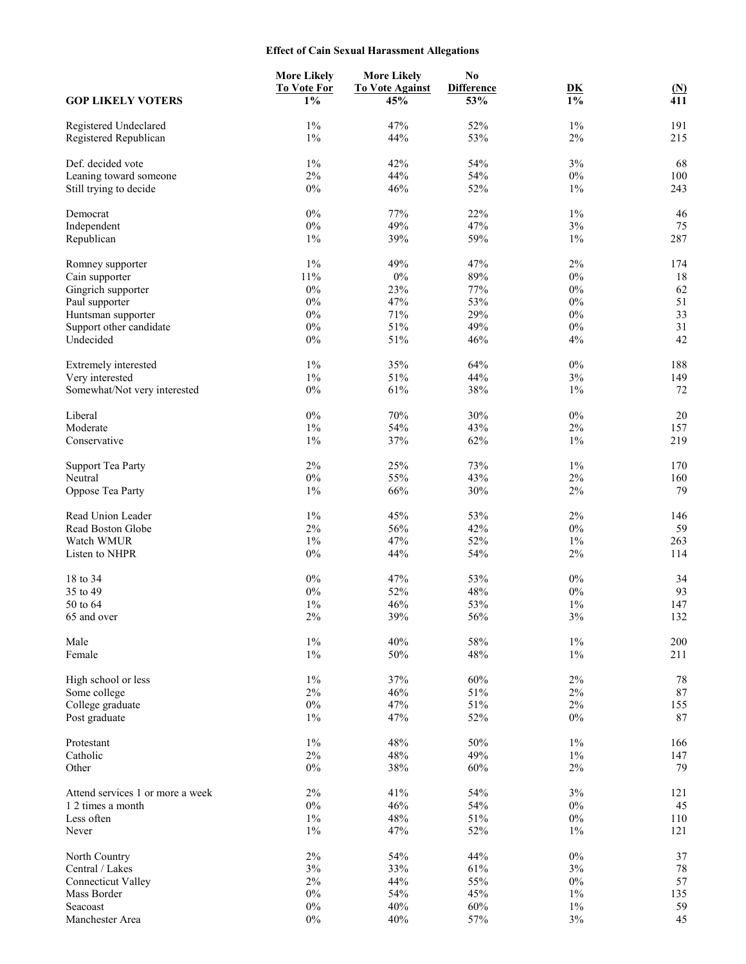# **Effect of Cain Sexual Harassment Allegations**

|                                                  | <b>More Likely</b><br><b>To Vote For</b> | <b>More Likely</b><br><b>To Vote Against</b> | No<br><b>Difference</b> | D <sub>K</sub> | $\mathbf{M}$ |
|--------------------------------------------------|------------------------------------------|----------------------------------------------|-------------------------|----------------|--------------|
| <b>GOP LIKELY VOTERS</b>                         | $1\%$                                    | 45%                                          | 53%                     | $1\%$          | 411          |
| Registered Undeclared                            | $1\%$                                    | 47%                                          | 52%                     | $1\%$          | 191          |
| Registered Republican                            | $1\%$                                    | 44%                                          | 53%                     | $2\%$          | 215          |
|                                                  |                                          |                                              |                         |                |              |
| Def. decided vote                                | $1\%$<br>2%                              | 42%                                          | 54%                     | $3\%$          | 68           |
| Leaning toward someone<br>Still trying to decide | $0\%$                                    | 44%<br>46%                                   | 54%<br>52%              | $0\%$<br>$1\%$ | 100<br>243   |
|                                                  |                                          |                                              |                         |                |              |
| Democrat                                         | $0\%$                                    | 77%                                          | 22%                     | $1\%$          | 46           |
| Independent                                      | $0\%$                                    | 49%                                          | 47%                     | $3\%$          | 75           |
| Republican                                       | $1\%$                                    | 39%                                          | 59%                     | $1\%$          | 287          |
| Romney supporter                                 | $1\%$                                    | 49%                                          | 47%                     | 2%             | 174          |
| Cain supporter                                   | 11%                                      | $0\%$                                        | 89%                     | $0\%$          | 18           |
| Gingrich supporter                               | $0\%$                                    | 23%                                          | 77%                     | $0\%$          | 62           |
| Paul supporter                                   | $0\%$                                    | 47%                                          | 53%                     | $0\%$          | 51           |
| Huntsman supporter                               | $0\%$                                    | 71%                                          | 29%                     | $0\%$          | 33           |
| Support other candidate                          | $0\%$                                    | 51%                                          | 49%                     | $0\%$          | 31           |
| Undecided                                        | $0\%$                                    | 51%                                          | 46%                     | 4%             | 42           |
| Extremely interested                             | $1\%$                                    | 35%                                          | 64%                     | $0\%$          | 188          |
| Very interested                                  | $1\%$                                    | 51%                                          | 44%                     | $3\%$          | 149          |
| Somewhat/Not very interested                     | $0\%$                                    | 61%                                          | 38%                     | $1\%$          | 72           |
| Liberal                                          | $0\%$                                    | 70%                                          | 30%                     | $0\%$          | 20           |
| Moderate                                         | $1\%$                                    | 54%                                          | 43%                     | 2%             | 157          |
| Conservative                                     | $1\%$                                    | 37%                                          | 62%                     | $1\%$          | 219          |
| <b>Support Tea Party</b>                         | 2%                                       | 25%                                          | 73%                     | $1\%$          | 170          |
| Neutral                                          | $0\%$                                    | 55%                                          | 43%                     | $2\%$          | 160          |
| Oppose Tea Party                                 | $1\%$                                    | 66%                                          | 30%                     | $2\%$          | 79           |
|                                                  |                                          |                                              |                         |                |              |
| Read Union Leader                                | $1\%$                                    | 45%                                          | 53%                     | $2\%$          | 146          |
| Read Boston Globe                                | $2\%$                                    | 56%                                          | 42%                     | $0\%$          | 59           |
| Watch WMUR                                       | $1\%$                                    | 47%                                          | 52%                     | $1\%$          | 263          |
| Listen to NHPR                                   | $0\%$                                    | 44%                                          | 54%                     | $2\%$          | 114          |
| 18 to 34                                         | $0\%$                                    | 47%                                          | 53%                     | $0\%$          | 34           |
| 35 to 49                                         | $0\%$                                    | 52%                                          | 48%                     | $0\%$          | 93           |
| 50 to 64                                         | $1\%$                                    | 46%                                          | 53%                     | $1\%$          | 147          |
| 65 and over                                      | $2\%$                                    | 39%                                          | 56%                     | $3\%$          | 132          |
| Male                                             | $1\%$                                    | 40%                                          | 58%                     | $1\%$          | 200          |
| Female                                           | $1\%$                                    | 50%                                          | 48%                     | $1\%$          | 211          |
| High school or less                              | $1\%$                                    | 37%                                          | 60%                     | $2\%$          | 78           |
| Some college                                     | $2\%$                                    | 46%                                          | 51%                     | $2\%$          | 87           |
| College graduate                                 | $0\%$                                    | 47%                                          | 51%                     | 2%             | 155          |
| Post graduate                                    | $1\%$                                    | 47%                                          | 52%                     | $0\%$          | 87           |
|                                                  |                                          |                                              |                         |                |              |
| Protestant<br>Catholic                           | $1\%$<br>$2\%$                           | 48%<br>48%                                   | 50%<br>49%              | $1\%$<br>$1\%$ | 166<br>147   |
| Other                                            | $0\%$                                    | $38\%$                                       | 60%                     | $2\%$          | 79           |
|                                                  |                                          |                                              |                         |                |              |
| Attend services 1 or more a week                 | $2\%$                                    | 41%                                          | 54%                     | $3\%$          | 121          |
| 1 2 times a month                                | $0\%$                                    | 46%                                          | 54%                     | $0\%$          | 45           |
| Less often                                       | $1\%$                                    | 48%                                          | 51%                     | $0\%$          | 110          |
| Never                                            | $1\%$                                    | 47%                                          | 52%                     | $1\%$          | 121          |
| North Country                                    | $2\%$                                    | 54%                                          | 44%                     | $0\%$          | $37\,$       |
| Central / Lakes                                  | $3\%$                                    | 33%                                          | 61%                     | $3\%$          | 78           |
| <b>Connecticut Valley</b>                        | $2\%$                                    | 44%                                          | 55%                     | $0\%$          | 57           |
| Mass Border                                      | $0\%$                                    | 54%                                          | 45%                     | $1\%$          | 135          |
| Seacoast                                         | $0\%$                                    | 40%                                          | 60%                     | $1\%$          | 59           |
| Manchester Area                                  | $0\%$                                    | 40%                                          | 57%                     | $3\%$          | 45           |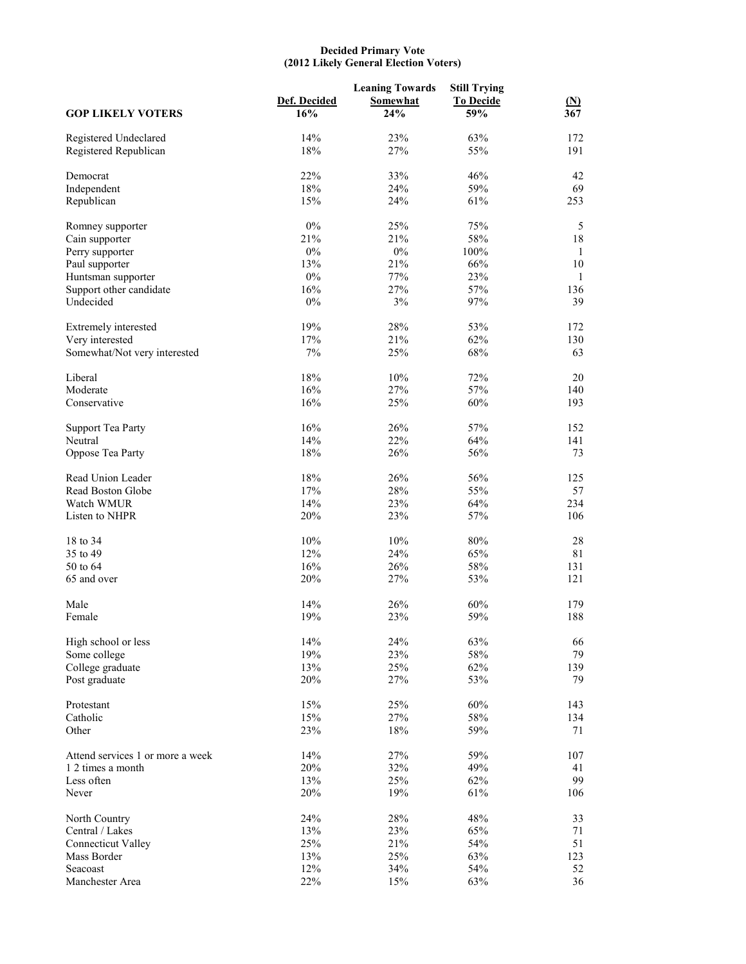#### **Decided Primary Vote (2012 Likely General Election Voters)**

| <b>GOP LIKELY VOTERS</b>                       | Def. Decided<br>16% | <b>Leaning Towards</b><br>Somewhat<br>24% | <b>Still Trying</b><br><b>To Decide</b><br>59% | $(\underline{N})$<br>367 |
|------------------------------------------------|---------------------|-------------------------------------------|------------------------------------------------|--------------------------|
|                                                |                     |                                           |                                                |                          |
| Registered Undeclared<br>Registered Republican | 14%<br>18%          | 23%<br>27%                                | 63%<br>55%                                     | 172<br>191               |
| Democrat                                       | 22%                 | 33%                                       | 46%                                            | 42                       |
| Independent                                    | 18%                 | 24%                                       | 59%                                            | 69                       |
| Republican                                     | 15%                 | 24%                                       | 61%                                            | 253                      |
| Romney supporter                               | $0\%$               | 25%                                       | 75%                                            | 5                        |
| Cain supporter                                 | 21%                 | 21%                                       | 58%                                            | $18\,$                   |
| Perry supporter                                | $0\%$               | $0\%$                                     | 100%                                           | 1                        |
| Paul supporter                                 | 13%                 | 21%                                       | 66%                                            | $10\,$                   |
| Huntsman supporter                             | $0\%$               | 77%                                       | 23%                                            | 1                        |
| Support other candidate                        | 16%                 | 27%                                       | 57%                                            | 136                      |
| Undecided                                      | $0\%$               | 3%                                        | 97%                                            | 39                       |
| Extremely interested                           | 19%                 | 28%                                       | 53%                                            | 172                      |
| Very interested                                | 17%                 | 21%                                       | 62%                                            | 130                      |
| Somewhat/Not very interested                   | $7\%$               | 25%                                       | 68%                                            | 63                       |
| Liberal                                        | 18%                 | 10%                                       | 72%                                            | 20                       |
| Moderate                                       | 16%                 | 27%                                       | 57%                                            | 140                      |
| Conservative                                   | 16%                 | 25%                                       | 60%                                            | 193                      |
| <b>Support Tea Party</b>                       | 16%                 | 26%                                       | 57%                                            | 152                      |
| Neutral                                        | 14%                 | 22%                                       | 64%                                            | 141                      |
| Oppose Tea Party                               | 18%                 | 26%                                       | 56%                                            | 73                       |
| Read Union Leader                              | 18%                 | 26%                                       | 56%                                            | 125                      |
| Read Boston Globe                              | 17%                 | 28%                                       | 55%                                            | 57                       |
| Watch WMUR                                     | 14%                 | 23%                                       | 64%                                            | 234                      |
| Listen to NHPR                                 | 20%                 | 23%                                       | 57%                                            | 106                      |
| 18 to 34                                       | 10%                 | 10%                                       | 80%                                            | $28\,$                   |
| 35 to 49                                       | 12%                 | 24%                                       | 65%                                            | 81                       |
| 50 to 64                                       | 16%                 | 26%                                       | 58%                                            | 131                      |
| 65 and over                                    | 20%                 | 27%                                       | 53%                                            | 121                      |
| Male                                           | 14%                 | 26%                                       | 60%                                            | 179                      |
| Female                                         | 19%                 | 23%                                       | 59%                                            | 188                      |
| High school or less                            | 14%                 | 24%                                       | 63%                                            | 66                       |
| Some college                                   | 19%                 | 23%                                       | 58%                                            | 79                       |
| College graduate                               | 13%                 | 25%                                       | 62%                                            | 139                      |
| Post graduate                                  | 20%                 | 27%                                       | 53%                                            | 79                       |
| Protestant                                     | 15%                 | 25%                                       | 60%                                            | 143                      |
| Catholic                                       | 15%                 | 27%                                       | 58%                                            | 134                      |
| Other                                          | 23%                 | $18\%$                                    | 59%                                            | 71                       |
| Attend services 1 or more a week               | 14%                 | 27%                                       | 59%                                            | 107                      |
| 1 2 times a month                              | 20%                 | 32%                                       | 49%                                            | 41                       |
| Less often                                     | 13%                 | 25%                                       | 62%                                            | 99                       |
| Never                                          | 20%                 | 19%                                       | 61%                                            | 106                      |
| North Country                                  | 24%                 | 28%                                       | 48%                                            | 33                       |
| Central / Lakes                                | 13%                 | 23%                                       | 65%                                            | 71                       |
| <b>Connecticut Valley</b>                      | 25%                 | 21%                                       | 54%                                            | 51                       |
| Mass Border                                    | 13%                 | 25%                                       | 63%                                            | 123                      |
| Seacoast                                       | 12%                 | 34%                                       | 54%                                            | 52                       |
| Manchester Area                                | 22%                 | 15%                                       | 63%                                            | 36                       |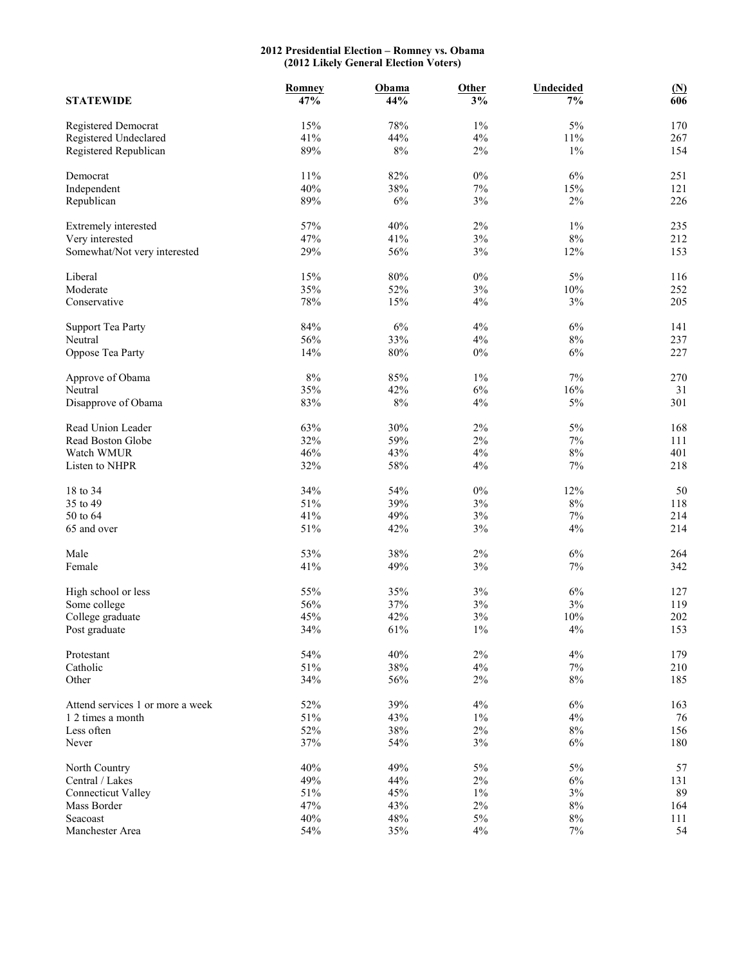#### **2012 Presidential Election – Romney vs. Obama (2012 Likely General Election Voters)**

|                                  | Romney | Obama  | <b>Other</b> | <b>Undecided</b> | $\mathbf{M}$ |
|----------------------------------|--------|--------|--------------|------------------|--------------|
| <b>STATEWIDE</b>                 | 47%    | 44%    | 3%           | 7%               | 606          |
| Registered Democrat              | 15%    | 78%    | $1\%$        | $5\%$            | 170          |
| Registered Undeclared            | 41%    | 44%    | 4%           | $11\%$           | 267          |
| Registered Republican            | 89%    | $8\%$  | $2\%$        | $1\%$            | 154          |
| Democrat                         | 11%    | 82%    | $0\%$        | 6%               | 251          |
| Independent                      | 40%    | 38%    | $7\%$        | $15\%$           | 121          |
| Republican                       | 89%    | $6\%$  | $3\%$        | $2\%$            | 226          |
| Extremely interested             | 57%    | 40%    | 2%           | $1\%$            | 235          |
| Very interested                  | 47%    | 41%    | 3%           | $8\%$            | 212          |
| Somewhat/Not very interested     | 29%    | 56%    | $3\%$        | 12%              | 153          |
| Liberal                          | 15%    | $80\%$ | $0\%$        | $5\%$            | 116          |
| Moderate                         | 35%    | 52%    | 3%           | 10%              | 252          |
| Conservative                     | 78%    | 15%    | 4%           | $3\%$            | 205          |
| <b>Support Tea Party</b>         | 84%    | $6\%$  | $4\%$        | $6\%$            | 141          |
| Neutral                          | 56%    | 33%    | 4%           | $8\%$            | 237          |
| Oppose Tea Party                 | 14%    | $80\%$ | $0\%$        | $6\%$            | 227          |
| Approve of Obama                 | 8%     | 85%    | $1\%$        | $7\%$            | 270          |
| Neutral                          | 35%    | 42%    | 6%           | 16%              | 31           |
| Disapprove of Obama              | 83%    | $8\%$  | 4%           | $5\%$            | 301          |
| Read Union Leader                | 63%    | 30%    | $2\%$        | $5\%$            | 168          |
| Read Boston Globe                | 32%    | 59%    | $2\%$        | $7\%$            | 111          |
| Watch WMUR                       | 46%    | 43%    | 4%           | $8\%$            | 401          |
| Listen to NHPR                   | 32%    | 58%    | 4%           | $7\%$            | 218          |
| 18 to 34                         | 34%    | 54%    | $0\%$        | 12%              | 50           |
| 35 to 49                         | 51%    | 39%    | 3%           | $8\%$            | 118          |
| 50 to 64                         | 41%    | 49%    | 3%           | $7\%$            | 214          |
| 65 and over                      | 51%    | 42%    | 3%           | 4%               | 214          |
| Male                             | 53%    | 38%    | 2%           | $6\%$            | 264          |
| Female                           | 41%    | 49%    | $3\%$        | $7\%$            | 342          |
| High school or less              | 55%    | 35%    | $3\%$        | $6\%$            | 127          |
| Some college                     | 56%    | 37%    | 3%           | 3%               | 119          |
| College graduate                 | 45%    | 42%    | $3\%$        | 10%              | 202          |
| Post graduate                    | 34%    | $61\%$ | $1\%$        | $4\%$            | 153          |
| Protestant                       | 54%    | 40%    | $2\%$        | $4\%$            | 179          |
| Catholic                         | 51%    | $38\%$ | $4\%$        | $7\%$            | 210          |
| Other                            | 34%    | 56%    | 2%           | $8\%$            | 185          |
| Attend services 1 or more a week | 52%    | 39%    | 4%           | $6\%$            | 163          |
| 1 2 times a month                | 51%    | 43%    | $1\%$        | $4\%$            | 76           |
| Less often                       | 52%    | $38\%$ | $2\%$        | $8\%$            | 156          |
| Never                            | 37%    | 54%    | $3\%$        | $6\%$            | 180          |
| North Country                    | 40%    | 49%    | 5%           | $5\%$            | 57           |
| Central / Lakes                  | 49%    | 44%    | $2\%$        | $6\%$            | 131          |
| <b>Connecticut Valley</b>        | 51%    | 45%    | $1\%$        | $3\%$            | 89           |
| Mass Border                      | 47%    | 43%    | $2\%$        | $8\%$            | 164          |
| Seacoast                         | 40%    | 48%    | 5%           | $8\%$            | 111          |
| Manchester Area                  | 54%    | 35%    | $4\%$        | $7\%$            | 54           |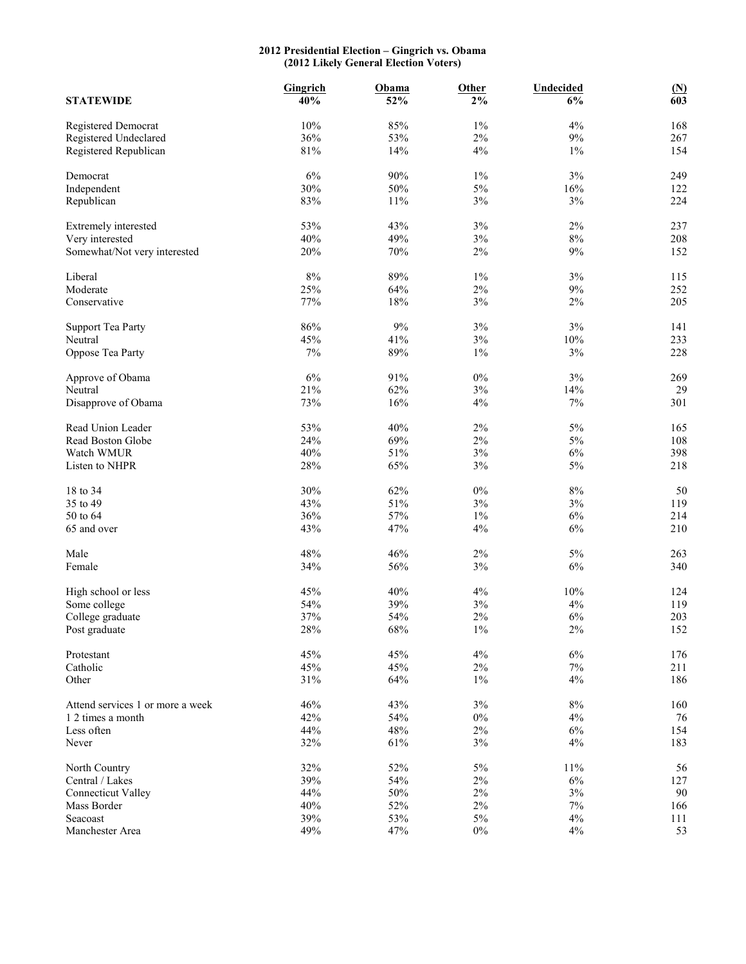#### **2012 Presidential Election – Gingrich vs. Obama (2012 Likely General Election Voters)**

| <b>STATEWIDE</b>                 | <b>Gingrich</b><br>40% | Obama<br>52% | Other<br>$2\%$ | <b>Undecided</b><br>6% | $\underline{\mathbf{(N)}}$<br>603 |
|----------------------------------|------------------------|--------------|----------------|------------------------|-----------------------------------|
|                                  |                        |              |                |                        |                                   |
| Registered Democrat              | 10%                    | 85%          | $1\%$          | 4%                     | 168                               |
| Registered Undeclared            | 36%                    | 53%          | $2\%$          | $9\%$                  | 267                               |
| Registered Republican            | $81\%$                 | 14%          | $4\%$          | $1\%$                  | 154                               |
| Democrat                         | 6%                     | $90\%$       | $1\%$          | 3%                     | 249                               |
| Independent                      | 30%                    | 50%          | 5%             | $16\%$                 | 122                               |
| Republican                       | 83%                    | $11\%$       | 3%             | 3%                     | 224                               |
| Extremely interested             | 53%                    | 43%          | 3%             | $2\%$                  | 237                               |
| Very interested                  | 40%                    | 49%          | 3%             | $8\%$                  | 208                               |
| Somewhat/Not very interested     | 20%                    | $70\%$       | 2%             | $9\%$                  | 152                               |
| Liberal                          | 8%                     | 89%          | $1\%$          | 3%                     | 115                               |
| Moderate                         | 25%                    | 64%          | $2\%$          | $9\%$                  | 252                               |
| Conservative                     | 77%                    | $18\%$       | $3\%$          | 2%                     | 205                               |
|                                  |                        |              |                |                        |                                   |
| <b>Support Tea Party</b>         | 86%                    | $9\%$        | $3\%$          | 3%                     | 141                               |
| Neutral                          | 45%                    | 41%          | 3%             | 10%                    | 233                               |
| Oppose Tea Party                 | 7%                     | 89%          | $1\%$          | 3%                     | 228                               |
| Approve of Obama                 | $6\%$                  | 91%          | $0\%$          | 3%                     | 269                               |
| Neutral                          | 21%                    | 62%          | $3\%$          | 14%                    | 29                                |
| Disapprove of Obama              | 73%                    | 16%          | 4%             | $7\%$                  | 301                               |
| Read Union Leader                | 53%                    | 40%          | $2\%$          | $5\%$                  | 165                               |
| Read Boston Globe                | 24%                    | 69%          | $2\%$          | $5\%$                  | 108                               |
| Watch WMUR                       | 40%                    | 51%          | 3%             | $6\%$                  | 398                               |
| Listen to NHPR                   | 28%                    | 65%          | 3%             | $5\%$                  | 218                               |
| 18 to 34                         | 30%                    | 62%          | $0\%$          | $8\%$                  | 50                                |
| 35 to 49                         | 43%                    | 51%          | 3%             | $3\%$                  | 119                               |
| 50 to 64                         | 36%                    | 57%          | $1\%$          | $6\%$                  | 214                               |
| 65 and over                      | 43%                    | 47%          | 4%             | 6%                     | 210                               |
| Male                             | 48%                    | 46%          | $2\%$          | $5\%$                  | 263                               |
| Female                           | 34%                    | 56%          | 3%             | $6\%$                  | 340                               |
| High school or less              | 45%                    | 40%          | 4%             | $10\%$                 | 124                               |
| Some college                     | 54%                    | 39%          | $3\%$          | 4%                     | 119                               |
| College graduate                 | 37%                    | 54%          | $2\%$          | 6%                     | 203                               |
| Post graduate                    | 28%                    | 68%          | $1\%$          | 2%                     | 152                               |
| Protestant                       | 45%                    | 45%          | $4\%$          | $6\%$                  | 176                               |
| Catholic                         | 45%                    | 45%          | $2\%$          | $7\%$                  | 211                               |
| Other                            | $31\%$                 | 64%          | $1\%$          | 4%                     | 186                               |
| Attend services 1 or more a week | 46%                    | 43%          | $3\%$          | $8\%$                  | 160                               |
| 1 2 times a month                | 42%                    | 54%          | $0\%$          | $4\%$                  | 76                                |
| Less often                       | 44%                    | 48%          | $2\%$          | $6\%$                  | 154                               |
| Never                            | 32%                    | 61%          | $3\%$          | $4\%$                  | 183                               |
| North Country                    | 32%                    | 52%          | $5\%$          | $11\%$                 | 56                                |
| Central / Lakes                  | 39%                    | 54%          | $2\%$          | $6\%$                  | 127                               |
| <b>Connecticut Valley</b>        | 44%                    | $50\%$       | $2\%$          | $3\%$                  | 90                                |
| Mass Border                      | 40%                    | 52%          | $2\%$          | $7\%$                  | 166                               |
| Seacoast                         | 39%                    | 53%          | $5\%$          | 4%                     | 111                               |
| Manchester Area                  | 49%                    | 47%          | $0\%$          | $4\%$                  | 53                                |